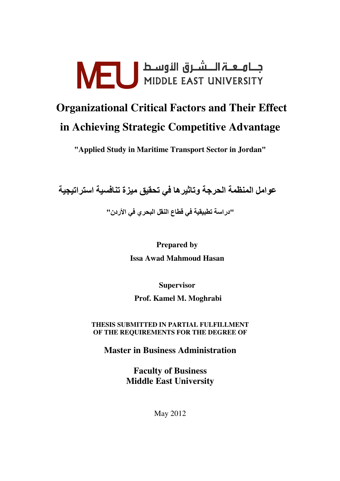# FU المسلسلة المسلمة السلمة المسلمة المسلمة المسلمة المسلمة المسلمة المسلمة المسلمة المسلمة المسلمة ا

# **Organizational Critical Factors and Their Effect** in Achieving Strategic Competitive Advantage

"Applied Study in Maritime Transport Sector in Jordan"

عوامل المنظمة الحرجة وتاثيرها في تحقيق ميزة تنافسية استراتيجية

"دراسة تطبيقية في قطاع النقل البحر ي في الأردن"

**Prepared by Issa Awad Mahmoud Hasan** 

**Supervisor** 

Prof. Kamel M. Moghrabi

THESIS SUBMITTED IN PARTIAL FULFILLMENT OF THE REQUIREMENTS FOR THE DEGREE OF

**Master in Business Administration** 

**Faculty of Business Middle East University** 

**May 2012**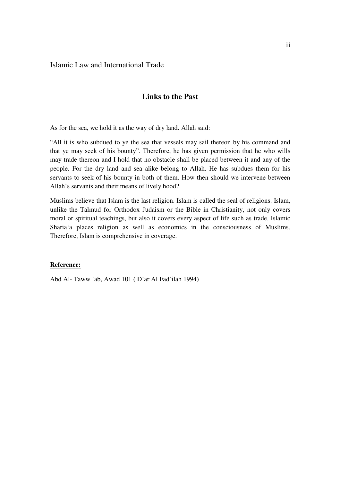#### Islamic Law and International Trade

### **Links to the Past**

As for the sea, we hold it as the way of dry land. Allah said:

"All it is who subdued to ye the sea that vessels may sail thereon by his command and that ye may seek of his bounty". Therefore, he has given permission that he who wills may trade thereon and I hold that no obstacle shall be placed between it and any of the people. For the dry land and sea alike belong to Allah. He has subdues them for his servants to seek of his bounty in both of them. How then should we intervene between Allah's servants and their means of lively hood?

Muslims believe that Islam is the last religion. Islam is called the seal of religions. Islam, unlike the Talmud for Orthodox Judaism or the Bible in Christianity, not only covers moral or spiritual teachings, but also it covers every aspect of life such as trade. Islamic Sharia'a places religion as well as economics in the consciousness of Muslims. Therefore, Islam is comprehensive in coverage.

#### **Reference:**

Abd Al- Taww 'ab, Awad 101 ( D'ar Al Fad'ilah 1994)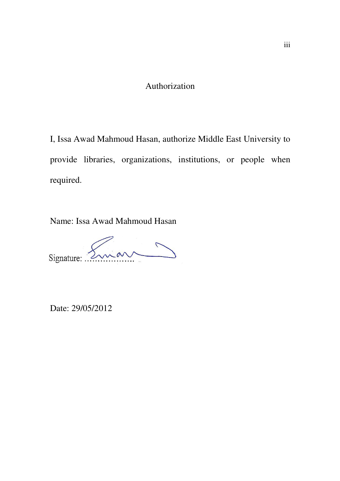## Authorization

I, Issa Awad Mahmoud Hasan, authorize Middle East University to provide libraries, organizations, institutions, or people when required.

Name: Issa Awad Mahmoud Hasan

Signature: Eman

Date: 29/05/2012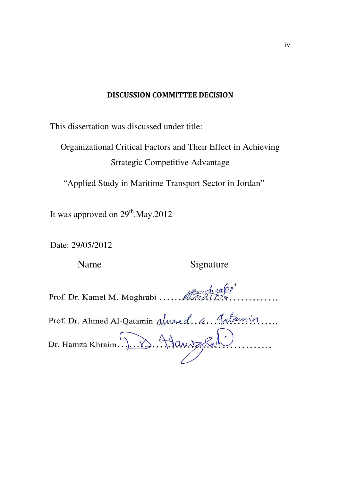### DISCUSSION COMMITTEE DECISION

This dissertation was discussed under title:

Organizational Critical Factors and Their Effect in Achieving Strategic Competitive Advantage

"Applied Study in Maritime Transport Sector in Jordan"

It was approved on  $29<sup>th</sup>$ .May.2012

Date: 29/05/2012

### Name Signature

Prof. Dr. Kamel M. Moghrabi ....... Handle

Prof. Dr. Ahmed Al-Qatamin almored. A. Gatamin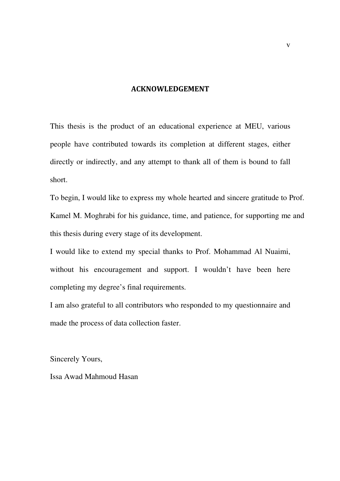#### ACKNOWLEDGEMENT

This thesis is the product of an educational experience at MEU, various people have contributed towards its completion at different stages, either directly or indirectly, and any attempt to thank all of them is bound to fall short.

To begin, I would like to express my whole hearted and sincere gratitude to Prof. Kamel M. Moghrabi for his guidance, time, and patience, for supporting me and this thesis during every stage of its development.

I would like to extend my special thanks to Prof. Mohammad Al Nuaimi, without his encouragement and support. I wouldn't have been here completing my degree's final requirements.

I am also grateful to all contributors who responded to my questionnaire and made the process of data collection faster.

Sincerely Yours,

Issa Awad Mahmoud Hasan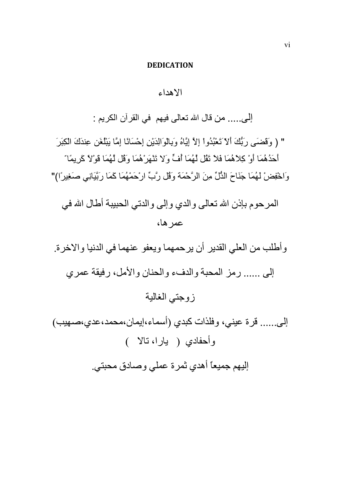#### **DEDICATION**

### الأهداء

إلى..... من قال الله تعالى فيهم في القرآن الكريم :

" ( وَقَضَى رَبُّكَ أَلاَّ تَعْبُدُواْ إِلاَّ إِيَّاهُ وَبِالْوَالِدَيْنِ إِحْسَانًا إِمَّا يَبْلُغَن عِندَكَ الْكِبَرَ أَحَدُهُمَا أَوْ كِلاَهُمَا فَلاَ تَقُل لَهُمَا أَفٍّ وَلا تَنْهَرَ هُمَا وَقُل لَهُمَا قَوْلاً كَرِيمًا ّ وَاخْفِضْ لَهُمَا جَنَاحَ الذُّلِّ مِنَ الرَّحْمَة وَقُل رَّبِّ ارْحَمْهُمَا كَمَا رَبَّيَانِي صَغِيرًا)"

المرحوم بإذن الله تعالى والدي وإلى والدتي الحبيبة أطال الله في عمر ها،

وأطلب من العلي القدير أن يرحمهما ويعفو عنهما في الدنيا والاخرة. إلىي ...... رمز المحبة والدفء والحنان والأمل، رفيقة عمري ز وجتبي الغالية

إلى...... قرة عيني، وفلذات كبدي (أسماء،إيمان،محمد،عدي،صـهيب) وأحفادي ( يارا، نالا ) إليهم جميعاً أهدي ثمرة عملي وصادق محبتي.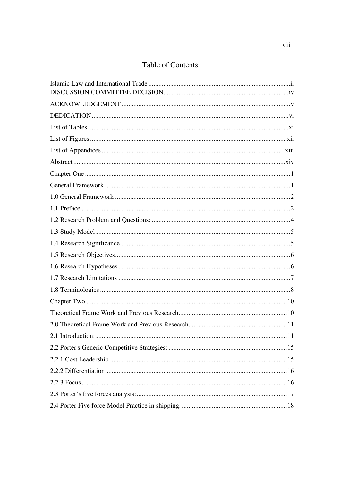### Table of Contents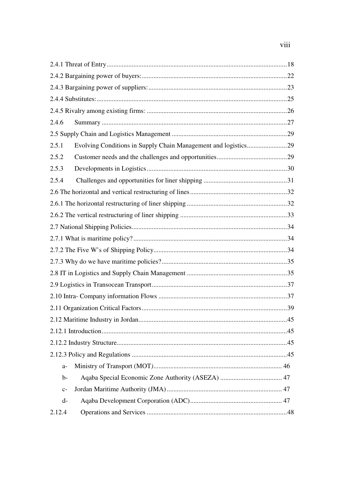# viii

| 2.4.6  |  |
|--------|--|
|        |  |
| 2.5.1  |  |
| 2.5.2  |  |
| 2.5.3  |  |
| 2.5.4  |  |
|        |  |
|        |  |
|        |  |
|        |  |
|        |  |
|        |  |
|        |  |
|        |  |
|        |  |
|        |  |
|        |  |
|        |  |
|        |  |
|        |  |
|        |  |
| $a-$   |  |
| $b-$   |  |
| $C-$   |  |
| $d-$   |  |
| 2.12.4 |  |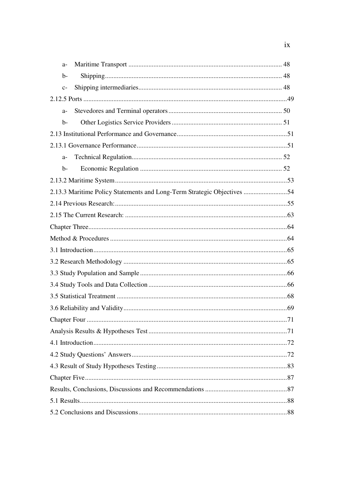| $a-$ |                                                                         |  |
|------|-------------------------------------------------------------------------|--|
| $b-$ |                                                                         |  |
| $C-$ |                                                                         |  |
|      |                                                                         |  |
| $a-$ |                                                                         |  |
| $b-$ |                                                                         |  |
|      |                                                                         |  |
|      |                                                                         |  |
| $a-$ |                                                                         |  |
| $b-$ |                                                                         |  |
|      |                                                                         |  |
|      | 2.13.3 Maritime Policy Statements and Long-Term Strategic Objectives 54 |  |
|      |                                                                         |  |
|      |                                                                         |  |
|      |                                                                         |  |
|      |                                                                         |  |
|      |                                                                         |  |
|      |                                                                         |  |
|      |                                                                         |  |
|      |                                                                         |  |
|      |                                                                         |  |
|      |                                                                         |  |
|      |                                                                         |  |
|      |                                                                         |  |
|      |                                                                         |  |
|      |                                                                         |  |
|      |                                                                         |  |
|      |                                                                         |  |
|      |                                                                         |  |
|      |                                                                         |  |
|      |                                                                         |  |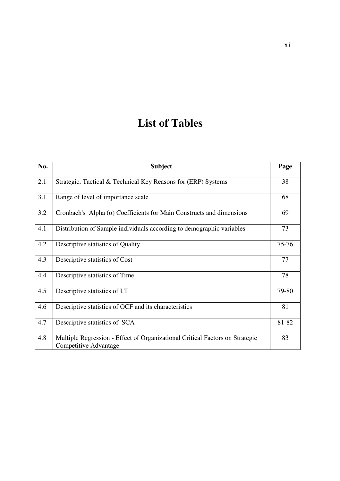# **List of Tables**

| No. | <b>Subject</b>                                                                                        | Page  |
|-----|-------------------------------------------------------------------------------------------------------|-------|
| 2.1 | Strategic, Tactical & Technical Key Reasons for (ERP) Systems                                         | 38    |
| 3.1 | Range of level of importance scale                                                                    | 68    |
| 3.2 | Cronbach's Alpha $(\alpha)$ Coefficients for Main Constructs and dimensions                           | 69    |
| 4.1 | Distribution of Sample individuals according to demographic variables                                 | 73    |
| 4.2 | Descriptive statistics of Quality                                                                     | 75-76 |
| 4.3 | Descriptive statistics of Cost                                                                        | 77    |
| 4.4 | Descriptive statistics of Time                                                                        | 78    |
| 4.5 | Descriptive statistics of I.T                                                                         | 79-80 |
| 4.6 | Descriptive statistics of OCF and its characteristics                                                 | 81    |
| 4.7 | Descriptive statistics of SCA                                                                         | 81-82 |
| 4.8 | Multiple Regression - Effect of Organizational Critical Factors on Strategic<br>Competitive Advantage | 83    |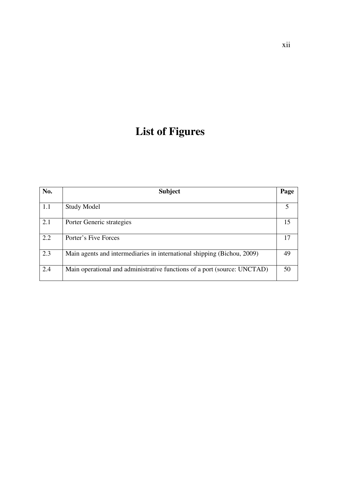# **List of Figures**

| No. | <b>Subject</b>                                                           | Page |
|-----|--------------------------------------------------------------------------|------|
| 1.1 | <b>Study Model</b>                                                       |      |
| 2.1 | Porter Generic strategies                                                | 15   |
| 2.2 | Porter's Five Forces                                                     | 17   |
| 2.3 | Main agents and intermediaries in international shipping (Bichou, 2009)  | 49   |
| 2.4 | Main operational and administrative functions of a port (source: UNCTAD) | 50   |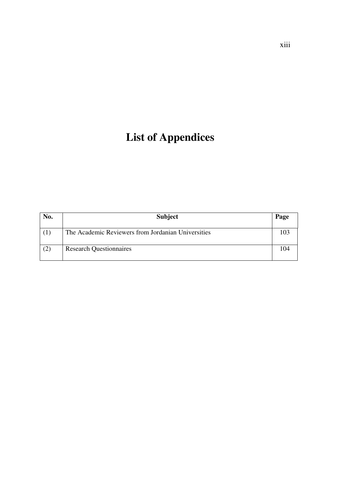# **List of Appendices**

| No. | <b>Subject</b>                                     | Page |
|-----|----------------------------------------------------|------|
| (1) | The Academic Reviewers from Jordanian Universities |      |
| (2) | <b>Research Questionnaires</b>                     | 104  |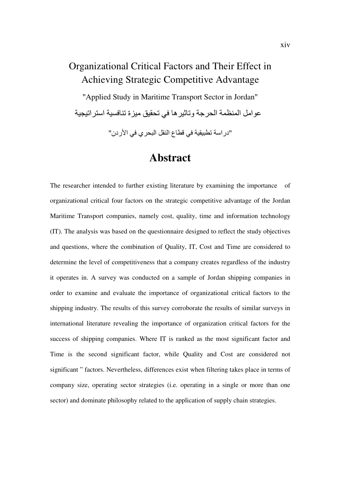# Organizational Critical Factors and Their Effect in Achieving Strategic Competitive Advantage

"Applied Study in Maritime Transport Sector in Jordan" عو إمل المنظمة الحر جة وتاثير ها في تحقيق ميز ة تنافسية استر اتيجية "دراسة تطبيقية في قطاع النقل البحري في الأر دن"

# **Abstract**

The researcher intended to further existing literature by examining the importance <sub>of</sub> organizational critical four factors on the strategic competitive advantage of the Jordan Maritime Transport companies, namely cost, quality, time and information technology (IT). The analysis was based on the questionnaire designed to reflect the study objectives and questions, where the combination of Quality, IT, Cost and Time are considered to determine the level of competitiveness that a company creates regardless of the industry it operates in. A survey was conducted on a sample of Jordan shipping companies in order to examine and evaluate the importance of organizational critical factors to the shipping industry. The results of this survey corroborate the results of similar surveys in international literature revealing the importance of organization critical factors for the success of shipping companies. Where IT is ranked as the most significant factor and Time is the second significant factor, while Quality and Cost are considered not significant "factors. Nevertheless, differences exist when filtering takes place in terms of company size, operating sector strategies (i.e. operating in a single or more than one sector) and dominate philosophy related to the application of supply chain strategies.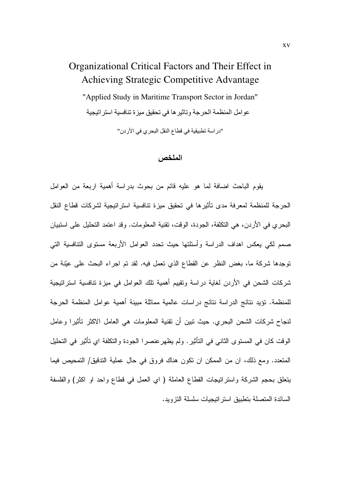# Organizational Critical Factors and Their Effect in Achieving Strategic Competitive Advantage

"Applied Study in Maritime Transport Sector in Jordan" عو امل المنظمة الحر جة و تاثير ها في تحقيق ميز ة تنافسية استر اتبجية

"دراسة تطبيقية في قطاع النقل البحري في الأردن"

الملخص

يقوم الباحث اضافة لما هو عليه قائم من بحوث بدراسة أهمية اربعة من العوامل الحرجة للمنظمة لمعرفة مدى تأثيرها في تحقيق ميزة تنافسية استراتيجية لشركات قطاع النقل البحر ي في الأردن، هي التكلفة، الجودة، الوقت، تقنية المعلومات. وقد اعتمد التحليل على استبيان صمم لكي يعكس اهداف الدراسة وأسئلتها حيث نحدد العوامل الأربعة مستوى التنافسية التي نوجدها شركة ما، بغض النظر عن القطاع الذي نعمل فيه. لقد نم اجراء البحث على عيّنة من شركات الشحن في الأردن لغاية دراسة وتقييم أهمية تلك العوامل في ميزة تنافسية استراتيجية للمنظمة. تؤيد نتائج الدراسة نتائج دراسات عالمية مماثلة مبينة أهمية عوامل المنظمة الحرجة لنجاح شركات الشحن البحري. حيث تبين أن تقنية المعلومات هي العامل الاكثر تأثيرا وعامل الوقت كان في المستوى الثاني في التأثير. ولم يظهر عنصرا الجودة والتكلفة اي تأثير في التحليل المتعدد. ومع ذلك، ان من الممكن ان نكون هناك فروق في حال عملية التدقيق/ التمحيص فيما يتعلَّق بحجم الشَّركة واستراتيجات القطاع العاملة ( اي العمل في قطاع واحد او اكثر) والفلسفة السائدة المتصلة بتطبيق استر اتيجبات سلسلة التزويد.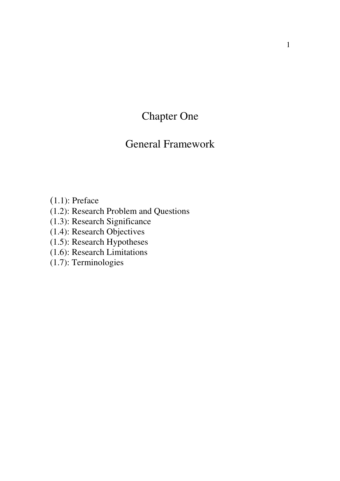Chapter One

# General Framework

(1.1): Preface

(1.2): Research Problem and Questions

(1.3): Research Significance

(1.4): Research Objectives

(1.5): Research Hypotheses

(1.6): Research Limitations

(1.7): Terminologies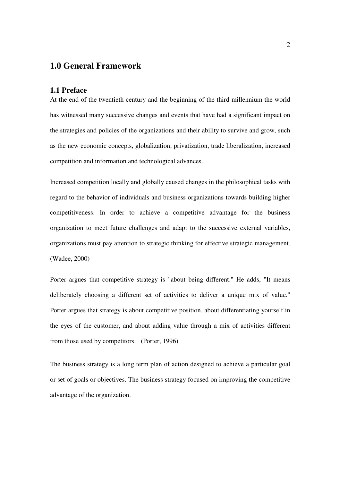### **1.0 General Framework**

#### **1.1 Preface**

At the end of the twentieth century and the beginning of the third millennium the world has witnessed many successive changes and events that have had a significant impact on the strategies and policies of the organizations and their ability to survive and grow, such as the new economic concepts, globalization, privatization, trade liberalization, increased competition and information and technological advances.

Increased competition locally and globally caused changes in the philosophical tasks with regard to the behavior of individuals and business organizations towards building higher competitiveness. In order to achieve a competitive advantage for the business organization to meet future challenges and adapt to the successive external variables, organizations must pay attention to strategic thinking for effective strategic management. (Wadee, 2000)

Porter argues that competitive strategy is "about being different." He adds, "It means deliberately choosing a different set of activities to deliver a unique mix of value." Porter argues that strategy is about competitive position, about differentiating yourself in the eyes of the customer, and about adding value through a mix of activities different from those used by competitors. (Porter, 1996)

The business strategy is a long term plan of action designed to achieve a particular goal or set of goals or objectives. The business strategy focused on improving the competitive advantage of the organization.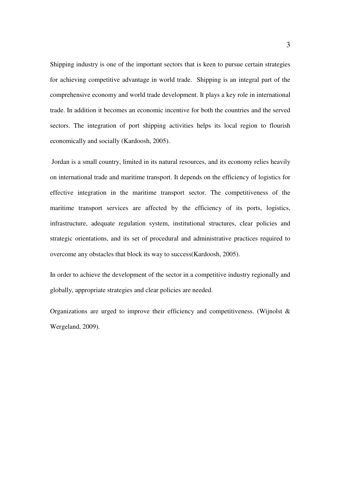Shipping industry is one of the important sectors that is keen to pursue certain strategies for achieving competitive advantage in world trade. Shipping is an integral part of the comprehensive economy and world trade development. It plays a key role in international trade. In addition it becomes an economic incentive for both the countries and the served sectors. The integration of port shipping activities helps its local region to flourish economically and socially (Kardoosh, 2005).

 Jordan is a small country, limited in its natural resources, and its economy relies heavily on international trade and maritime transport. It depends on the efficiency of logistics for effective integration in the maritime transport sector. The competitiveness of the maritime transport services are affected by the efficiency of its ports, logistics, infrastructure, adequate regulation system, institutional structures, clear policies and strategic orientations, and its set of procedural and administrative practices required to overcome any obstacles that block its way to success(Kardoosh, 2005).

In order to achieve the development of the sector in a competitive industry regionally and globally, appropriate strategies and clear policies are needed.

Organizations are urged to improve their efficiency and competitiveness. (Wijnolst & Wergeland, 2009).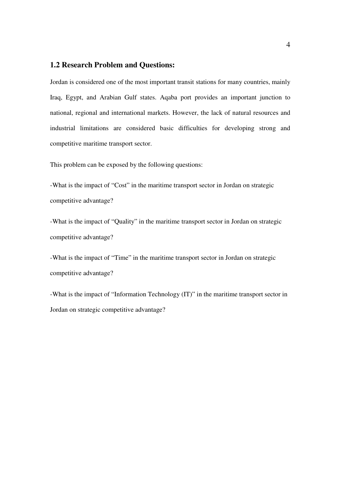#### **1.2 Research Problem and Questions:**

Jordan is considered one of the most important transit stations for many countries, mainly Iraq, Egypt, and Arabian Gulf states. Aqaba port provides an important junction to national, regional and international markets. However, the lack of natural resources and industrial limitations are considered basic difficulties for developing strong and competitive maritime transport sector.

This problem can be exposed by the following questions:

-What is the impact of "Cost" in the maritime transport sector in Jordan on strategic competitive advantage?

-What is the impact of "Quality" in the maritime transport sector in Jordan on strategic competitive advantage?

-What is the impact of "Time" in the maritime transport sector in Jordan on strategic competitive advantage?

-What is the impact of "Information Technology (IT)" in the maritime transport sector in Jordan on strategic competitive advantage?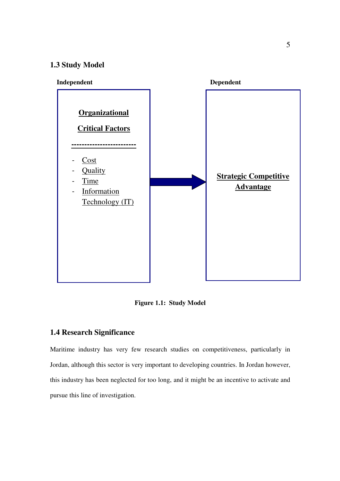### **1.3 Study Model**



**Figure** 1**.1: Study Model**

### **1.4 Research Significance**

Maritime industry has very few research studies on competitiveness, particularly in Jordan, although this sector is very important to developing countries. In Jordan however, this industry has been neglected for too long, and it might be an incentive to activate and pursue this line of investigation.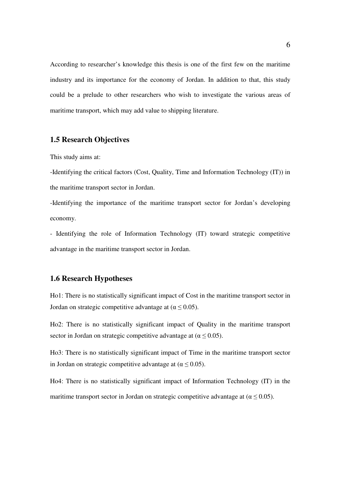According to researcher's knowledge this thesis is one of the first few on the maritime industry and its importance for the economy of Jordan. In addition to that, this study could be a prelude to other researchers who wish to investigate the various areas of maritime transport, which may add value to shipping literature.

### **1.5 Research Objectives**

This study aims at:

-Identifying the critical factors (Cost, Quality, Time and Information Technology (IT)) in the maritime transport sector in Jordan.

-Identifying the importance of the maritime transport sector for Jordan's developing economy.

- Identifying the role of Information Technology (IT) toward strategic competitive advantage in the maritime transport sector in Jordan.

#### **1.6 Research Hypotheses**

Ho1: There is no statistically significant impact of Cost in the maritime transport sector in Jordan on strategic competitive advantage at ( $\alpha \leq 0.05$ ).

Ho2: There is no statistically significant impact of Quality in the maritime transport sector in Jordan on strategic competitive advantage at ( $\alpha \leq 0.05$ ).

Ho3: There is no statistically significant impact of Time in the maritime transport sector in Jordan on strategic competitive advantage at ( $\alpha \leq 0.05$ ).

Ho4: There is no statistically significant impact of Information Technology (IT) in the maritime transport sector in Jordan on strategic competitive advantage at ( $\alpha \leq 0.05$ ).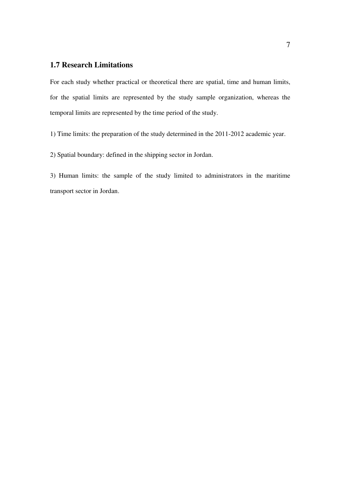#### **1.7 Research Limitations**

For each study whether practical or theoretical there are spatial, time and human limits, for the spatial limits are represented by the study sample organization, whereas the temporal limits are represented by the time period of the study.

1) Time limits: the preparation of the study determined in the 2011-2012 academic year.

2) Spatial boundary: defined in the shipping sector in Jordan.

3) Human limits: the sample of the study limited to administrators in the maritime transport sector in Jordan.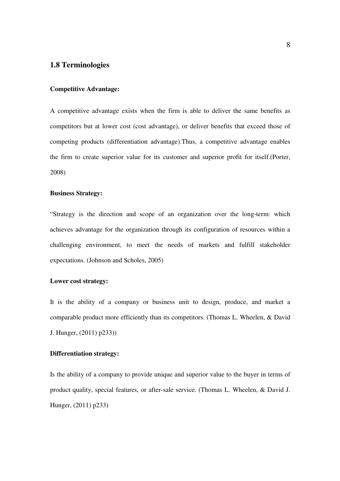#### **1.8 Terminologies**

#### **Competitive Advantage:**

A competitive advantage exists when the firm is able to deliver the same benefits as competitors but at lower cost (cost advantage), or deliver benefits that exceed those of competing products (differentiation advantage).Thus, a competitive advantage enables the firm to create superior value for its customer and superior profit for itself.(Porter, 2008)

#### **Business Strategy:**

"Strategy is the direction and scope of an organization over the long-term: which achieves advantage for the organization through its configuration of resources within a challenging environment, to meet the needs of markets and fulfill stakeholder expectations. (Johnson and Scholes, 2005)

#### **Lower cost strategy:**

It is the ability of a company or business unit to design, produce, and market a comparable product more efficiently than its competitors. (Thomas L. Wheelen, & David J. Hunger, (2011) p233))

#### **Differentiation strategy:**

Is the ability of a company to provide unique and superior value to the buyer in terms of product quality, special features, or after-sale service. (Thomas L. Wheelen, & David J. Hunger, (2011) p233)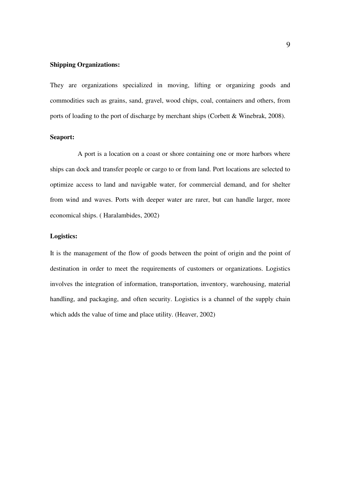#### **Shipping Organizations:**

They are organizations specialized in moving, lifting or organizing goods and commodities such as grains, sand, gravel, wood chips, coal, containers and others, from ports of loading to the port of discharge by merchant ships (Corbett & Winebrak, 2008).

#### **Seaport:**

A port is a location on a coast or shore containing one or more harbors where ships can dock and transfer people or cargo to or from land. Port locations are selected to optimize access to land and navigable water, for commercial demand, and for shelter from wind and waves. Ports with deeper water are rarer, but can handle larger, more economical ships. ( Haralambides, 2002)

#### **Logistics:**

It is the management of the flow of goods between the point of origin and the point of destination in order to meet the requirements of customers or organizations. Logistics involves the integration of information, transportation, inventory, warehousing, material handling, and packaging, and often security. Logistics is a channel of the supply chain which adds the value of time and place utility. (Heaver, 2002)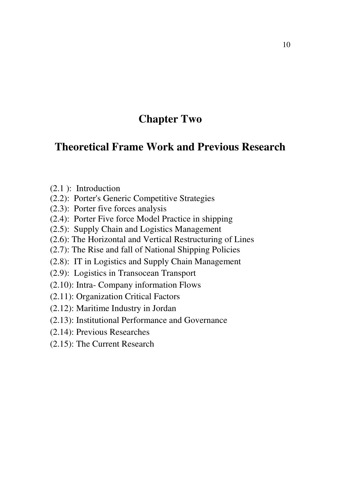# **Chapter Two**

# **Theoretical Frame Work and Previous Research**

- (2.1 ): Introduction
- (2.2): Porter's Generic Competitive Strategies
- (2.3): Porter five forces analysis
- (2.4): Porter Five force Model Practice in shipping
- (2.5): Supply Chain and Logistics Management
- (2.6): The Horizontal and Vertical Restructuring of Lines
- (2.7): The Rise and fall of National Shipping Policies
- (2.8): IT in Logistics and Supply Chain Management
- (2.9): Logistics in Transocean Transport
- (2.10): Intra- Company information Flows
- (2.11): Organization Critical Factors
- (2.12): Maritime Industry in Jordan
- (2.13): Institutional Performance and Governance
- (2.14): Previous Researches
- (2.15): The Current Research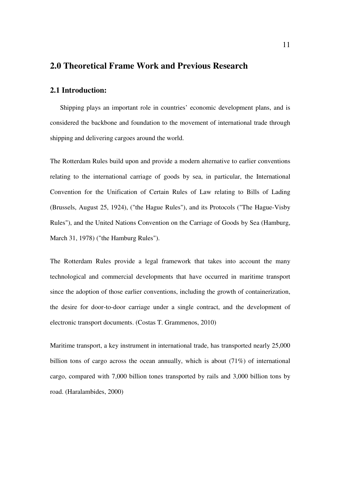### **2.0 Theoretical Frame Work and Previous Research**

#### **2.1 Introduction:**

 Shipping plays an important role in countries' economic development plans, and is considered the backbone and foundation to the movement of international trade through shipping and delivering cargoes around the world.

The Rotterdam Rules build upon and provide a modern alternative to earlier conventions relating to the international carriage of goods by sea, in particular, the International Convention for the Unification of Certain Rules of Law relating to Bills of Lading (Brussels, August 25, 1924), ("the Hague Rules"), and its Protocols ("The Hague-Visby Rules"), and the United Nations Convention on the Carriage of Goods by Sea (Hamburg, March 31, 1978) ("the Hamburg Rules").

The Rotterdam Rules provide a legal framework that takes into account the many technological and commercial developments that have occurred in maritime transport since the adoption of those earlier conventions, including the growth of containerization, the desire for door-to-door carriage under a single contract, and the development of electronic transport documents. (Costas T. Grammenos, 2010)

Maritime transport, a key instrument in international trade, has transported nearly 25,000 billion tons of cargo across the ocean annually, which is about (71%) of international cargo, compared with 7,000 billion tones transported by rails and 3,000 billion tons by road. (Haralambides, 2000)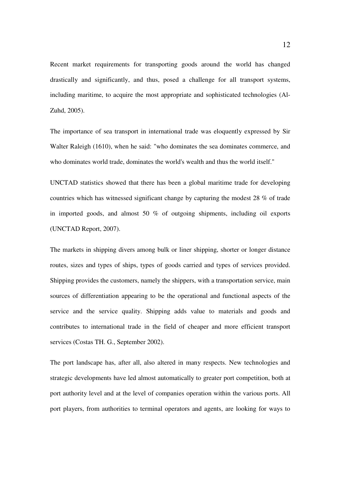Recent market requirements for transporting goods around the world has changed drastically and significantly, and thus, posed a challenge for all transport systems, including maritime, to acquire the most appropriate and sophisticated technologies (Al-Zuhd, 2005).

The importance of sea transport in international trade was eloquently expressed by Sir Walter Raleigh (1610), when he said: "who dominates the sea dominates commerce, and who dominates world trade, dominates the world's wealth and thus the world itself."

UNCTAD statistics showed that there has been a global maritime trade for developing countries which has witnessed significant change by capturing the modest 28 % of trade in imported goods, and almost 50 % of outgoing shipments, including oil exports (UNCTAD Report, 2007).

The markets in shipping divers among bulk or liner shipping, shorter or longer distance routes, sizes and types of ships, types of goods carried and types of services provided. Shipping provides the customers, namely the shippers, with a transportation service, main sources of differentiation appearing to be the operational and functional aspects of the service and the service quality. Shipping adds value to materials and goods and contributes to international trade in the field of cheaper and more efficient transport services (Costas TH. G., September 2002).

The port landscape has, after all, also altered in many respects. New technologies and strategic developments have led almost automatically to greater port competition, both at port authority level and at the level of companies operation within the various ports. All port players, from authorities to terminal operators and agents, are looking for ways to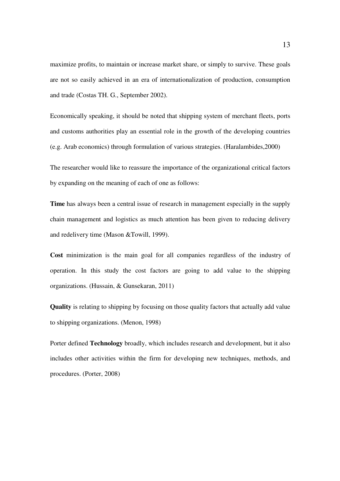maximize profits, to maintain or increase market share, or simply to survive. These goals are not so easily achieved in an era of internationalization of production, consumption and trade (Costas TH. G., September 2002).

Economically speaking, it should be noted that shipping system of merchant fleets, ports and customs authorities play an essential role in the growth of the developing countries (e.g. Arab economics) through formulation of various strategies. (Haralambides,2000)

The researcher would like to reassure the importance of the organizational critical factors by expanding on the meaning of each of one as follows:

**Time** has always been a central issue of research in management especially in the supply chain management and logistics as much attention has been given to reducing delivery and redelivery time (Mason &Towill, 1999).

**Cost** minimization is the main goal for all companies regardless of the industry of operation. In this study the cost factors are going to add value to the shipping organizations. (Hussain, & Gunsekaran, 2011)

**Quality** is relating to shipping by focusing on those quality factors that actually add value to shipping organizations. (Menon, 1998)

Porter defined **Technology** broadly, which includes research and development, but it also includes other activities within the firm for developing new techniques, methods, and procedures. (Porter, 2008)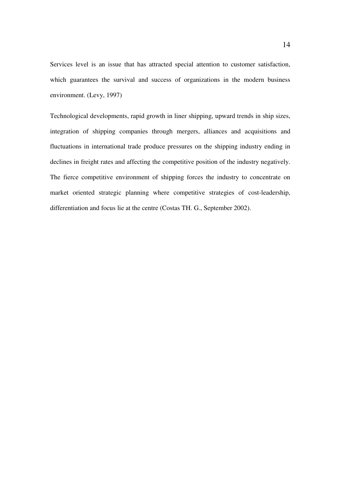Services level is an issue that has attracted special attention to customer satisfaction, which guarantees the survival and success of organizations in the modern business environment. (Levy, 1997)

Technological developments, rapid growth in liner shipping, upward trends in ship sizes, integration of shipping companies through mergers, alliances and acquisitions and fluctuations in international trade produce pressures on the shipping industry ending in declines in freight rates and affecting the competitive position of the industry negatively. The fierce competitive environment of shipping forces the industry to concentrate on market oriented strategic planning where competitive strategies of cost-leadership, differentiation and focus lie at the centre (Costas TH. G., September 2002).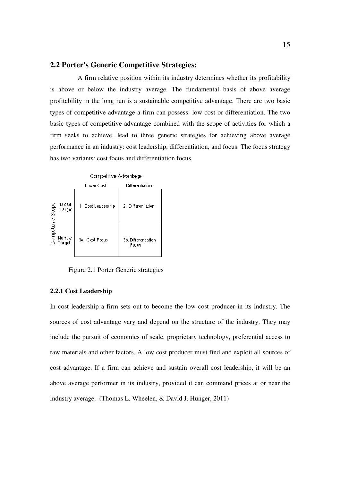#### **2.2 Porter's Generic Competitive Strategies:**

 A firm relative position within its industry determines whether its profitability is above or below the industry average. The fundamental basis of above average profitability in the long run is a sustainable competitive advantage. There are two basic types of competitive advantage a firm can possess: low cost or differentiation. The two basic types of competitive advantage combined with the scope of activities for which a firm seeks to achieve, lead to three generic strategies for achieving above average performance in an industry: cost leadership, differentiation, and focus. The focus strategy has two variants: cost focus and differentiation focus.



Figure 2.1 Porter Generic strategies

#### **2.2.1 Cost Leadership**

In cost leadership a firm sets out to become the low cost producer in its industry. The sources of cost advantage vary and depend on the structure of the industry. They may include the pursuit of economies of scale, proprietary technology, preferential access to raw materials and other factors. A low cost producer must find and exploit all sources of cost advantage. If a firm can achieve and sustain overall cost leadership, it will be an above average performer in its industry, provided it can command prices at or near the industry average. (Thomas L. Wheelen, & David J. Hunger, 2011)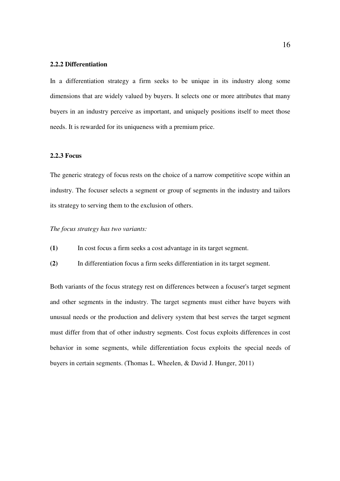#### **2.2.2 Differentiation**

In a differentiation strategy a firm seeks to be unique in its industry along some dimensions that are widely valued by buyers. It selects one or more attributes that many buyers in an industry perceive as important, and uniquely positions itself to meet those needs. It is rewarded for its uniqueness with a premium price.

#### **2.2.3 Focus**

The generic strategy of focus rests on the choice of a narrow competitive scope within an industry. The focuser selects a segment or group of segments in the industry and tailors its strategy to serving them to the exclusion of others.

#### *The focus strategy has two variants:*

- **(1)** In cost focus a firm seeks a cost advantage in its target segment.
- **(2)** In differentiation focus a firm seeks differentiation in its target segment.

Both variants of the focus strategy rest on differences between a focuser's target segment and other segments in the industry. The target segments must either have buyers with unusual needs or the production and delivery system that best serves the target segment must differ from that of other industry segments. Cost focus exploits differences in cost behavior in some segments, while differentiation focus exploits the special needs of buyers in certain segments. (Thomas L. Wheelen, & David J. Hunger, 2011)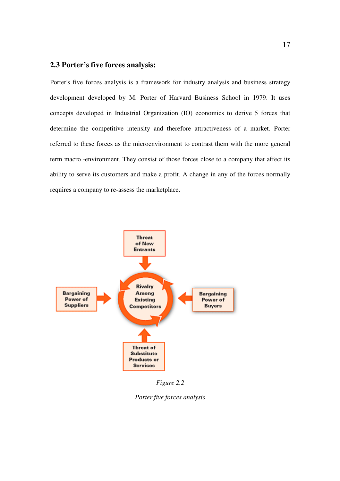### **2.3 Porter's five forces analysis:**

Porter's five forces analysis is a framework for industry analysis and business strategy development developed by M. Porter of Harvard Business School in 1979. It uses concepts developed in Industrial Organization (IO) economics to derive 5 forces that determine the competitive intensity and therefore attractiveness of a market. Porter referred to these forces as the microenvironment to contrast them with the more general term macro -environment. They consist of those forces close to a company that affect its ability to serve its customers and make a profit. A change in any of the forces normally requires a company to re-assess the marketplace.



*Figure 2.2* 

*Porter five forces analysis*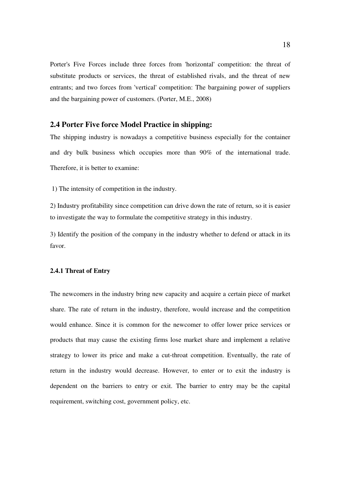Porter's Five Forces include three forces from 'horizontal' competition: the threat of substitute products or services, the threat of established rivals, and the threat of new entrants; and two forces from 'vertical' competition: The bargaining power of suppliers and the bargaining power of customers. (Porter, M.E., 2008)

#### **2.4 Porter Five force Model Practice in shipping:**

The shipping industry is nowadays a competitive business especially for the container and dry bulk business which occupies more than 90% of the international trade. Therefore, it is better to examine:

1) The intensity of competition in the industry.

2) Industry profitability since competition can drive down the rate of return, so it is easier to investigate the way to formulate the competitive strategy in this industry.

3) Identify the position of the company in the industry whether to defend or attack in its favor.

#### **2.4.1 Threat of Entry**

The newcomers in the industry bring new capacity and acquire a certain piece of market share. The rate of return in the industry, therefore, would increase and the competition would enhance. Since it is common for the newcomer to offer lower price services or products that may cause the existing firms lose market share and implement a relative strategy to lower its price and make a cut-throat competition. Eventually, the rate of return in the industry would decrease. However, to enter or to exit the industry is dependent on the barriers to entry or exit. The barrier to entry may be the capital requirement, switching cost, government policy, etc.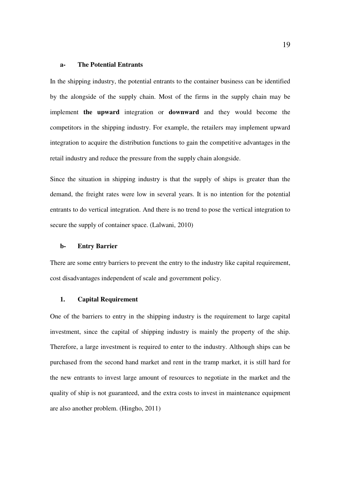#### **a- The Potential Entrants**

In the shipping industry, the potential entrants to the container business can be identified by the alongside of the supply chain. Most of the firms in the supply chain may be implement **the upward** integration or **downward** and they would become the competitors in the shipping industry. For example, the retailers may implement upward integration to acquire the distribution functions to gain the competitive advantages in the retail industry and reduce the pressure from the supply chain alongside.

Since the situation in shipping industry is that the supply of ships is greater than the demand, the freight rates were low in several years. It is no intention for the potential entrants to do vertical integration. And there is no trend to pose the vertical integration to secure the supply of container space. (Lalwani, 2010)

#### **b- Entry Barrier**

There are some entry barriers to prevent the entry to the industry like capital requirement, cost disadvantages independent of scale and government policy.

#### **1. Capital Requirement**

One of the barriers to entry in the shipping industry is the requirement to large capital investment, since the capital of shipping industry is mainly the property of the ship. Therefore, a large investment is required to enter to the industry. Although ships can be purchased from the second hand market and rent in the tramp market, it is still hard for the new entrants to invest large amount of resources to negotiate in the market and the quality of ship is not guaranteed, and the extra costs to invest in maintenance equipment are also another problem. (Hingho, 2011)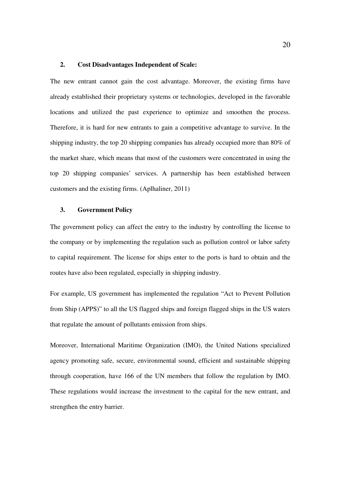#### **2. Cost Disadvantages Independent of Scale:**

The new entrant cannot gain the cost advantage. Moreover, the existing firms have already established their proprietary systems or technologies, developed in the favorable locations and utilized the past experience to optimize and smoothen the process. Therefore, it is hard for new entrants to gain a competitive advantage to survive. In the shipping industry, the top 20 shipping companies has already occupied more than 80% of the market share, which means that most of the customers were concentrated in using the top 20 shipping companies' services. A partnership has been established between customers and the existing firms. (Aplhaliner, 2011)

#### **3. Government Policy**

The government policy can affect the entry to the industry by controlling the license to the company or by implementing the regulation such as pollution control or labor safety to capital requirement. The license for ships enter to the ports is hard to obtain and the routes have also been regulated, especially in shipping industry.

For example, US government has implemented the regulation "Act to Prevent Pollution from Ship (APPS)" to all the US flagged ships and foreign flagged ships in the US waters that regulate the amount of pollutants emission from ships.

Moreover, International Maritime Organization (IMO), the United Nations specialized agency promoting safe, secure, environmental sound, efficient and sustainable shipping through cooperation, have 166 of the UN members that follow the regulation by IMO. These regulations would increase the investment to the capital for the new entrant, and strengthen the entry barrier.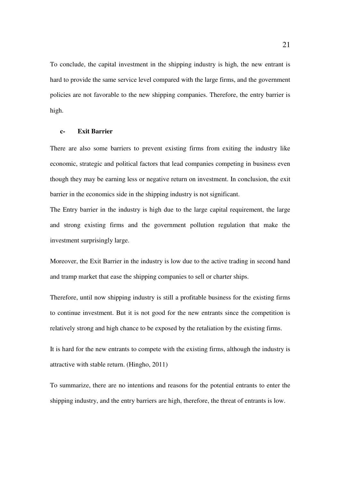To conclude, the capital investment in the shipping industry is high, the new entrant is hard to provide the same service level compared with the large firms, and the government policies are not favorable to the new shipping companies. Therefore, the entry barrier is high.

#### **c- Exit Barrier**

There are also some barriers to prevent existing firms from exiting the industry like economic, strategic and political factors that lead companies competing in business even though they may be earning less or negative return on investment. In conclusion, the exit barrier in the economics side in the shipping industry is not significant.

The Entry barrier in the industry is high due to the large capital requirement, the large and strong existing firms and the government pollution regulation that make the investment surprisingly large.

Moreover, the Exit Barrier in the industry is low due to the active trading in second hand and tramp market that ease the shipping companies to sell or charter ships.

Therefore, until now shipping industry is still a profitable business for the existing firms to continue investment. But it is not good for the new entrants since the competition is relatively strong and high chance to be exposed by the retaliation by the existing firms.

It is hard for the new entrants to compete with the existing firms, although the industry is attractive with stable return. (Hingho, 2011)

To summarize, there are no intentions and reasons for the potential entrants to enter the shipping industry, and the entry barriers are high, therefore, the threat of entrants is low.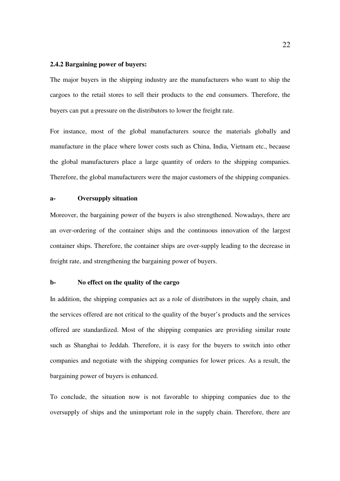## **2.4.2 Bargaining power of buyers:**

The major buyers in the shipping industry are the manufacturers who want to ship the cargoes to the retail stores to sell their products to the end consumers. Therefore, the buyers can put a pressure on the distributors to lower the freight rate.

For instance, most of the global manufacturers source the materials globally and manufacture in the place where lower costs such as China, India, Vietnam etc., because the global manufacturers place a large quantity of orders to the shipping companies. Therefore, the global manufacturers were the major customers of the shipping companies.

### **a- Oversupply situation**

Moreover, the bargaining power of the buyers is also strengthened. Nowadays, there are an over-ordering of the container ships and the continuous innovation of the largest container ships. Therefore, the container ships are over-supply leading to the decrease in freight rate, and strengthening the bargaining power of buyers.

#### **b- No effect on the quality of the cargo**

In addition, the shipping companies act as a role of distributors in the supply chain, and the services offered are not critical to the quality of the buyer's products and the services offered are standardized. Most of the shipping companies are providing similar route such as Shanghai to Jeddah. Therefore, it is easy for the buyers to switch into other companies and negotiate with the shipping companies for lower prices. As a result, the bargaining power of buyers is enhanced.

To conclude, the situation now is not favorable to shipping companies due to the oversupply of ships and the unimportant role in the supply chain. Therefore, there are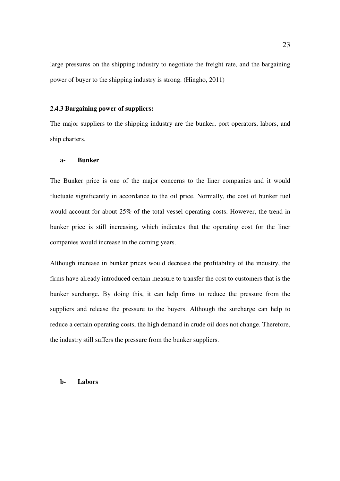large pressures on the shipping industry to negotiate the freight rate, and the bargaining power of buyer to the shipping industry is strong. (Hingho, 2011)

## **2.4.3 Bargaining power of suppliers:**

The major suppliers to the shipping industry are the bunker, port operators, labors, and ship charters.

## **a- Bunker**

The Bunker price is one of the major concerns to the liner companies and it would fluctuate significantly in accordance to the oil price. Normally, the cost of bunker fuel would account for about 25% of the total vessel operating costs. However, the trend in bunker price is still increasing, which indicates that the operating cost for the liner companies would increase in the coming years.

Although increase in bunker prices would decrease the profitability of the industry, the firms have already introduced certain measure to transfer the cost to customers that is the bunker surcharge. By doing this, it can help firms to reduce the pressure from the suppliers and release the pressure to the buyers. Although the surcharge can help to reduce a certain operating costs, the high demand in crude oil does not change. Therefore, the industry still suffers the pressure from the bunker suppliers.

#### **b- Labors**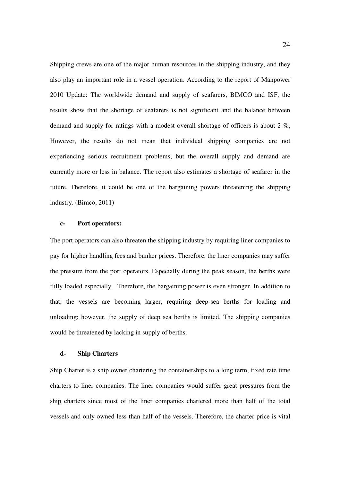Shipping crews are one of the major human resources in the shipping industry, and they also play an important role in a vessel operation. According to the report of Manpower 2010 Update: The worldwide demand and supply of seafarers, BIMCO and ISF, the results show that the shortage of seafarers is not significant and the balance between demand and supply for ratings with a modest overall shortage of officers is about 2 %, However, the results do not mean that individual shipping companies are not experiencing serious recruitment problems, but the overall supply and demand are currently more or less in balance. The report also estimates a shortage of seafarer in the future. Therefore, it could be one of the bargaining powers threatening the shipping industry. (Bimco, 2011)

## **c- Port operators:**

The port operators can also threaten the shipping industry by requiring liner companies to pay for higher handling fees and bunker prices. Therefore, the liner companies may suffer the pressure from the port operators. Especially during the peak season, the berths were fully loaded especially. Therefore, the bargaining power is even stronger. In addition to that, the vessels are becoming larger, requiring deep-sea berths for loading and unloading; however, the supply of deep sea berths is limited. The shipping companies would be threatened by lacking in supply of berths.

## **d- Ship Charters**

Ship Charter is a ship owner chartering the containerships to a long term, fixed rate time charters to liner companies. The liner companies would suffer great pressures from the ship charters since most of the liner companies chartered more than half of the total vessels and only owned less than half of the vessels. Therefore, the charter price is vital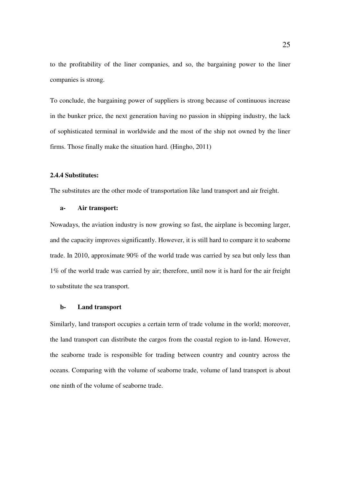to the profitability of the liner companies, and so, the bargaining power to the liner companies is strong.

To conclude, the bargaining power of suppliers is strong because of continuous increase in the bunker price, the next generation having no passion in shipping industry, the lack of sophisticated terminal in worldwide and the most of the ship not owned by the liner firms. Those finally make the situation hard. (Hingho, 2011)

## **2.4.4 Substitutes:**

The substitutes are the other mode of transportation like land transport and air freight.

#### **a- Air transport:**

Nowadays, the aviation industry is now growing so fast, the airplane is becoming larger, and the capacity improves significantly. However, it is still hard to compare it to seaborne trade. In 2010, approximate 90% of the world trade was carried by sea but only less than 1% of the world trade was carried by air; therefore, until now it is hard for the air freight to substitute the sea transport.

#### **b- Land transport**

Similarly, land transport occupies a certain term of trade volume in the world; moreover, the land transport can distribute the cargos from the coastal region to in-land. However, the seaborne trade is responsible for trading between country and country across the oceans. Comparing with the volume of seaborne trade, volume of land transport is about one ninth of the volume of seaborne trade.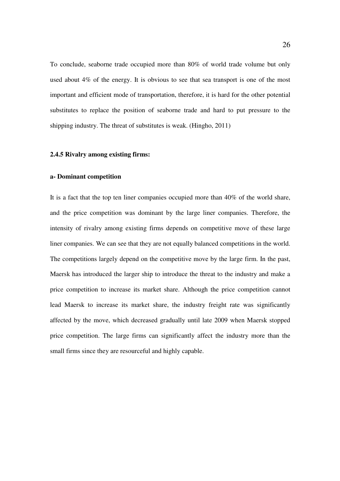To conclude, seaborne trade occupied more than 80% of world trade volume but only used about 4% of the energy. It is obvious to see that sea transport is one of the most important and efficient mode of transportation, therefore, it is hard for the other potential substitutes to replace the position of seaborne trade and hard to put pressure to the shipping industry. The threat of substitutes is weak. (Hingho, 2011)

## **2.4.5 Rivalry among existing firms:**

## **a- Dominant competition**

It is a fact that the top ten liner companies occupied more than 40% of the world share, and the price competition was dominant by the large liner companies. Therefore, the intensity of rivalry among existing firms depends on competitive move of these large liner companies. We can see that they are not equally balanced competitions in the world. The competitions largely depend on the competitive move by the large firm. In the past, Maersk has introduced the larger ship to introduce the threat to the industry and make a price competition to increase its market share. Although the price competition cannot lead Maersk to increase its market share, the industry freight rate was significantly affected by the move, which decreased gradually until late 2009 when Maersk stopped price competition. The large firms can significantly affect the industry more than the small firms since they are resourceful and highly capable.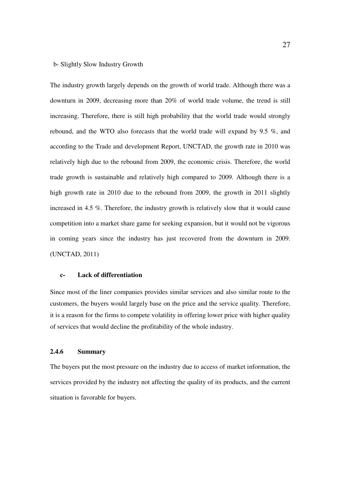#### b- Slightly Slow Industry Growth

The industry growth largely depends on the growth of world trade. Although there was a downturn in 2009, decreasing more than 20% of world trade volume, the trend is still increasing. Therefore, there is still high probability that the world trade would strongly rebound, and the WTO also forecasts that the world trade will expand by 9.5 %, and according to the Trade and development Report, UNCTAD, the growth rate in 2010 was relatively high due to the rebound from 2009, the economic crisis. Therefore, the world trade growth is sustainable and relatively high compared to 2009. Although there is a high growth rate in 2010 due to the rebound from 2009, the growth in 2011 slightly increased in 4.5 %. Therefore, the industry growth is relatively slow that it would cause competition into a market share game for seeking expansion, but it would not be vigorous in coming years since the industry has just recovered from the downturn in 2009. (UNCTAD, 2011)

## **c- Lack of differentiation**

Since most of the liner companies provides similar services and also similar route to the customers, the buyers would largely base on the price and the service quality. Therefore, it is a reason for the firms to compete volatility in offering lower price with higher quality of services that would decline the profitability of the whole industry.

## **2.4.6 Summary**

The buyers put the most pressure on the industry due to access of market information, the services provided by the industry not affecting the quality of its products, and the current situation is favorable for buyers.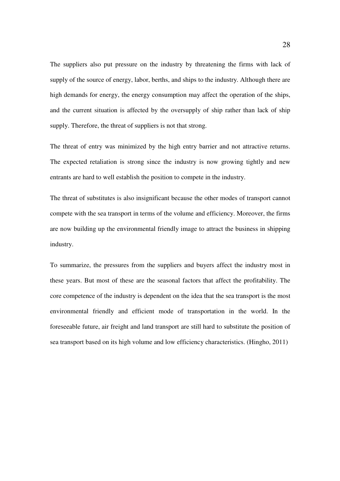The suppliers also put pressure on the industry by threatening the firms with lack of supply of the source of energy, labor, berths, and ships to the industry. Although there are high demands for energy, the energy consumption may affect the operation of the ships, and the current situation is affected by the oversupply of ship rather than lack of ship supply. Therefore, the threat of suppliers is not that strong.

The threat of entry was minimized by the high entry barrier and not attractive returns. The expected retaliation is strong since the industry is now growing tightly and new entrants are hard to well establish the position to compete in the industry.

The threat of substitutes is also insignificant because the other modes of transport cannot compete with the sea transport in terms of the volume and efficiency. Moreover, the firms are now building up the environmental friendly image to attract the business in shipping industry.

To summarize, the pressures from the suppliers and buyers affect the industry most in these years. But most of these are the seasonal factors that affect the profitability. The core competence of the industry is dependent on the idea that the sea transport is the most environmental friendly and efficient mode of transportation in the world. In the foreseeable future, air freight and land transport are still hard to substitute the position of sea transport based on its high volume and low efficiency characteristics. (Hingho, 2011)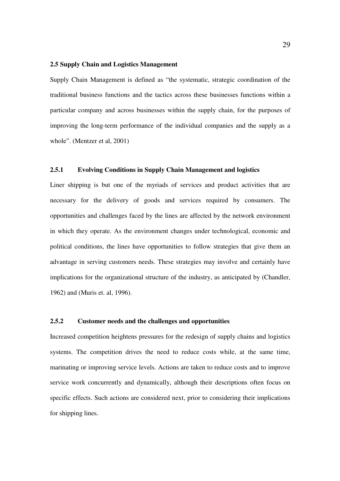## **2.5 Supply Chain and Logistics Management**

Supply Chain Management is defined as "the systematic, strategic coordination of the traditional business functions and the tactics across these businesses functions within a particular company and across businesses within the supply chain, for the purposes of improving the long-term performance of the individual companies and the supply as a whole". (Mentzer et al, 2001)

## **2.5.1 Evolving Conditions in Supply Chain Management and logistics**

Liner shipping is but one of the myriads of services and product activities that are necessary for the delivery of goods and services required by consumers. The opportunities and challenges faced by the lines are affected by the network environment in which they operate. As the environment changes under technological, economic and political conditions, the lines have opportunities to follow strategies that give them an advantage in serving customers needs. These strategies may involve and certainly have implications for the organizational structure of the industry, as anticipated by (Chandler, 1962) and (Muris et. al, 1996).

## **2.5.2 Customer needs and the challenges and opportunities**

Increased competition heightens pressures for the redesign of supply chains and logistics systems. The competition drives the need to reduce costs while, at the same time, marinating or improving service levels. Actions are taken to reduce costs and to improve service work concurrently and dynamically, although their descriptions often focus on specific effects. Such actions are considered next, prior to considering their implications for shipping lines.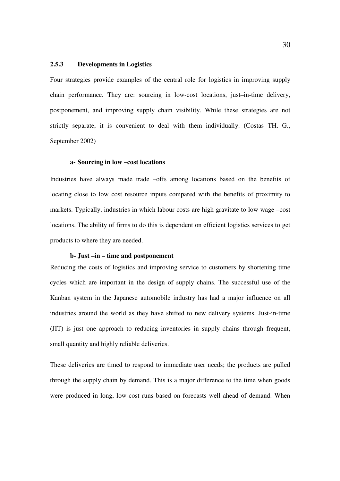## **2.5.3 Developments in Logistics**

Four strategies provide examples of the central role for logistics in improving supply chain performance. They are: sourcing in low-cost locations, just–in-time delivery, postponement, and improving supply chain visibility. While these strategies are not strictly separate, it is convenient to deal with them individually. (Costas TH. G., September 2002)

## **a- Sourcing in low –cost locations**

Industries have always made trade –offs among locations based on the benefits of locating close to low cost resource inputs compared with the benefits of proximity to markets. Typically, industries in which labour costs are high gravitate to low wage –cost locations. The ability of firms to do this is dependent on efficient logistics services to get products to where they are needed.

## **b- Just –in – time and postponement**

Reducing the costs of logistics and improving service to customers by shortening time cycles which are important in the design of supply chains. The successful use of the Kanban system in the Japanese automobile industry has had a major influence on all industries around the world as they have shifted to new delivery systems. Just-in-time (JIT) is just one approach to reducing inventories in supply chains through frequent, small quantity and highly reliable deliveries.

These deliveries are timed to respond to immediate user needs; the products are pulled through the supply chain by demand. This is a major difference to the time when goods were produced in long, low-cost runs based on forecasts well ahead of demand. When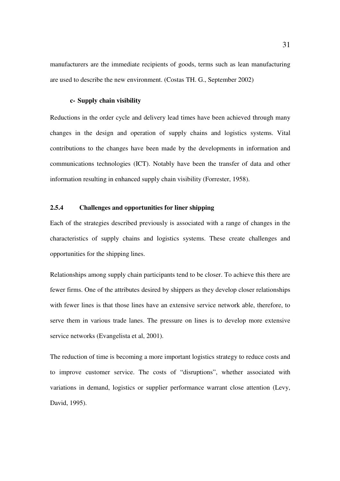manufacturers are the immediate recipients of goods, terms such as lean manufacturing are used to describe the new environment. (Costas TH. G., September 2002)

## **c- Supply chain visibility**

Reductions in the order cycle and delivery lead times have been achieved through many changes in the design and operation of supply chains and logistics systems. Vital contributions to the changes have been made by the developments in information and communications technologies (ICT). Notably have been the transfer of data and other information resulting in enhanced supply chain visibility (Forrester, 1958).

## **2.5.**4 **Challenges and opportunities for liner shipping**

Each of the strategies described previously is associated with a range of changes in the characteristics of supply chains and logistics systems. These create challenges and opportunities for the shipping lines.

Relationships among supply chain participants tend to be closer. To achieve this there are fewer firms. One of the attributes desired by shippers as they develop closer relationships with fewer lines is that those lines have an extensive service network able, therefore, to serve them in various trade lanes. The pressure on lines is to develop more extensive service networks (Evangelista et al, 2001).

The reduction of time is becoming a more important logistics strategy to reduce costs and to improve customer service. The costs of "disruptions", whether associated with variations in demand, logistics or supplier performance warrant close attention (Levy, David, 1995).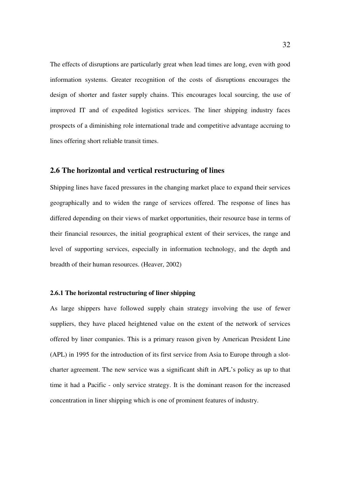The effects of disruptions are particularly great when lead times are long, even with good information systems. Greater recognition of the costs of disruptions encourages the design of shorter and faster supply chains. This encourages local sourcing, the use of improved IT and of expedited logistics services. The liner shipping industry faces prospects of a diminishing role international trade and competitive advantage accruing to lines offering short reliable transit times.

## **2.6 The horizontal and vertical restructuring of lines**

Shipping lines have faced pressures in the changing market place to expand their services geographically and to widen the range of services offered. The response of lines has differed depending on their views of market opportunities, their resource base in terms of their financial resources, the initial geographical extent of their services, the range and level of supporting services, especially in information technology, and the depth and breadth of their human resources. (Heaver, 2002)

### **2.6.1 The horizontal restructuring of liner shipping**

As large shippers have followed supply chain strategy involving the use of fewer suppliers, they have placed heightened value on the extent of the network of services offered by liner companies. This is a primary reason given by American President Line (APL) in 1995 for the introduction of its first service from Asia to Europe through a slotcharter agreement. The new service was a significant shift in APL's policy as up to that time it had a Pacific - only service strategy. It is the dominant reason for the increased concentration in liner shipping which is one of prominent features of industry.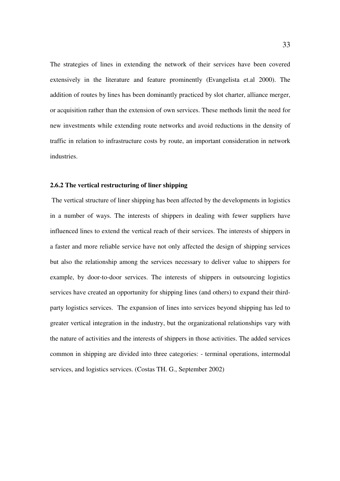The strategies of lines in extending the network of their services have been covered extensively in the literature and feature prominently (Evangelista et.al 2000). The addition of routes by lines has been dominantly practiced by slot charter, alliance merger, or acquisition rather than the extension of own services. These methods limit the need for new investments while extending route networks and avoid reductions in the density of traffic in relation to infrastructure costs by route, an important consideration in network industries.

## **2.6.2 The vertical restructuring of liner shipping**

 The vertical structure of liner shipping has been affected by the developments in logistics in a number of ways. The interests of shippers in dealing with fewer suppliers have influenced lines to extend the vertical reach of their services. The interests of shippers in a faster and more reliable service have not only affected the design of shipping services but also the relationship among the services necessary to deliver value to shippers for example, by door-to-door services. The interests of shippers in outsourcing logistics services have created an opportunity for shipping lines (and others) to expand their thirdparty logistics services. The expansion of lines into services beyond shipping has led to greater vertical integration in the industry, but the organizational relationships vary with the nature of activities and the interests of shippers in those activities. The added services common in shipping are divided into three categories: - terminal operations, intermodal services, and logistics services. (Costas TH. G., September 2002)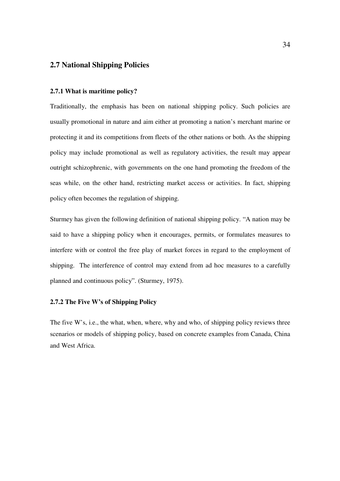## **2.7 National Shipping Policies**

## **2.7.1 What is maritime policy?**

Traditionally, the emphasis has been on national shipping policy. Such policies are usually promotional in nature and aim either at promoting a nation's merchant marine or protecting it and its competitions from fleets of the other nations or both. As the shipping policy may include promotional as well as regulatory activities, the result may appear outright schizophrenic, with governments on the one hand promoting the freedom of the seas while, on the other hand, restricting market access or activities. In fact, shipping policy often becomes the regulation of shipping.

Sturmey has given the following definition of national shipping policy. "A nation may be said to have a shipping policy when it encourages, permits, or formulates measures to interfere with or control the free play of market forces in regard to the employment of shipping. The interference of control may extend from ad hoc measures to a carefully planned and continuous policy". (Sturmey, 1975).

## **2.7.2 The Five W's of Shipping Policy**

The five W's, i.e., the what, when, where, why and who, of shipping policy reviews three scenarios or models of shipping policy, based on concrete examples from Canada, China and West Africa.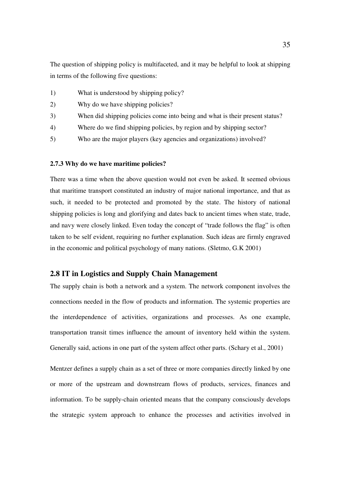The question of shipping policy is multifaceted, and it may be helpful to look at shipping in terms of the following five questions:

- 1) What is understood by shipping policy?
- 2) Why do we have shipping policies?
- 3) When did shipping policies come into being and what is their present status?
- 4) Where do we find shipping policies, by region and by shipping sector?
- 5) Who are the major players (key agencies and organizations) involved?

## **2.7.3 Why do we have maritime policies?**

There was a time when the above question would not even be asked. It seemed obvious that maritime transport constituted an industry of major national importance, and that as such, it needed to be protected and promoted by the state. The history of national shipping policies is long and glorifying and dates back to ancient times when state, trade, and navy were closely linked. Even today the concept of "trade follows the flag" is often taken to be self evident, requiring no further explanation. Such ideas are firmly engraved in the economic and political psychology of many nations. (Sletmo, G.K 2001)

## **2.8 IT in Logistics and Supply Chain Management**

The supply chain is both a network and a system. The network component involves the connections needed in the flow of products and information. The systemic properties are the interdependence of activities, organizations and processes. As one example, transportation transit times influence the amount of inventory held within the system. Generally said, actions in one part of the system affect other parts. (Schary et al., 2001)

Mentzer defines a supply chain as a set of three or more companies directly linked by one or more of the upstream and downstream flows of products, services, finances and information. To be supply-chain oriented means that the company consciously develops the strategic system approach to enhance the processes and activities involved in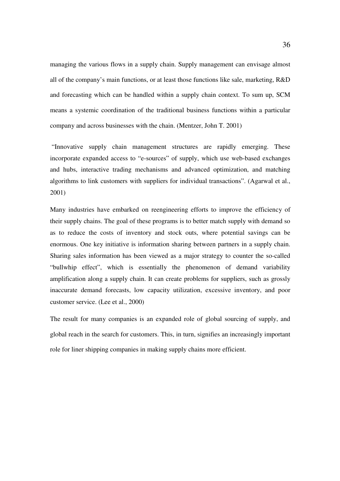managing the various flows in a supply chain. Supply management can envisage almost all of the company's main functions, or at least those functions like sale, marketing, R&D and forecasting which can be handled within a supply chain context. To sum up, SCM means a systemic coordination of the traditional business functions within a particular company and across businesses with the chain. (Mentzer, John T. 2001)

 "Innovative supply chain management structures are rapidly emerging. These incorporate expanded access to "e-sources" of supply, which use web-based exchanges and hubs, interactive trading mechanisms and advanced optimization, and matching algorithms to link customers with suppliers for individual transactions". (Agarwal et al., 2001)

Many industries have embarked on reengineering efforts to improve the efficiency of their supply chains. The goal of these programs is to better match supply with demand so as to reduce the costs of inventory and stock outs, where potential savings can be enormous. One key initiative is information sharing between partners in a supply chain. Sharing sales information has been viewed as a major strategy to counter the so-called "bullwhip effect", which is essentially the phenomenon of demand variability amplification along a supply chain. It can create problems for suppliers, such as grossly inaccurate demand forecasts, low capacity utilization, excessive inventory, and poor customer service. (Lee et al., 2000)

The result for many companies is an expanded role of global sourcing of supply, and global reach in the search for customers. This, in turn, signifies an increasingly important role for liner shipping companies in making supply chains more efficient.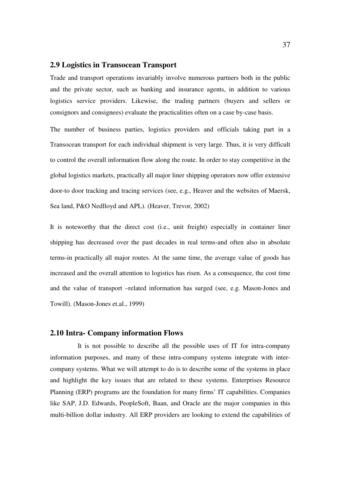## **2.9 Logistics in Transocean Transport**

Trade and transport operations invariably involve numerous partners both in the public and the private sector, such as banking and insurance agents, in addition to various logistics service providers. Likewise, the trading partners (buyers and sellers or consignors and consignees) evaluate the practicalities often on a case by-case basis.

The number of business parties, logistics providers and officials taking part in a Transocean transport for each individual shipment is very large. Thus, it is very difficult to control the overall information flow along the route. In order to stay competitive in the global logistics markets, practically all major liner shipping operators now offer extensive door-to door tracking and tracing services (see, e.g., Heaver and the websites of Maersk, Sea land, P&O Nedlloyd and APL). (Heaver, Trevor, 2002)

It is noteworthy that the direct cost (i.e., unit freight) especially in container liner shipping has decreased over the past decades in real terms-and often also in absolute terms-in practically all major routes. At the same time, the average value of goods has increased and the overall attention to logistics has risen. As a consequence, the cost time and the value of transport –related information has surged (see, e.g. Mason-Jones and Towill). (Mason-Jones et.al., 1999)

## **2.10 Intra- Company information Flows**

 It is not possible to describe all the possible uses of IT for intra-company information purposes, and many of these intra-company systems integrate with intercompany systems. What we will attempt to do is to describe some of the systems in place and highlight the key issues that are related to these systems. Enterprises Resource Planning (ERP) programs are the foundation for many firms' IT capabilities. Companies like SAP, J.D. Edwards, PeopleSoft, Baan, and Oracle are the major companies in this multi-billion dollar industry. All ERP providers are looking to extend the capabilities of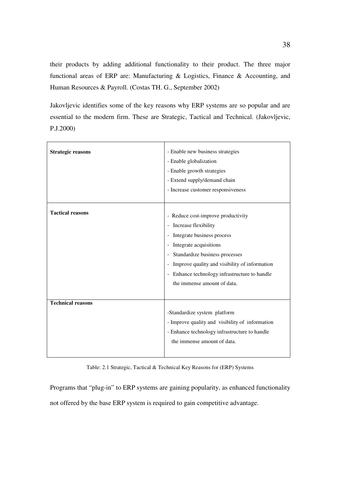their products by adding additional functionality to their product. The three major functional areas of ERP are: Manufacturing & Logistics, Finance & Accounting, and Human Resources & Payroll. (Costas TH. G., September 2002)

Jakovljevic identifies some of the key reasons why ERP systems are so popular and are essential to the modern firm. These are Strategic, Tactical and Technical. (Jakovljevic, P.J.2000)

| <b>Strategic reasons</b> | - Enable new business strategies<br>- Enable globalization<br>- Enable growth strategies<br>- Extend supply/demand chain<br>- Increase customer responsiveness                                                                                                                                                                                                                                                                                              |
|--------------------------|-------------------------------------------------------------------------------------------------------------------------------------------------------------------------------------------------------------------------------------------------------------------------------------------------------------------------------------------------------------------------------------------------------------------------------------------------------------|
| <b>Tactical reasons</b>  | - Reduce cost-improve productivity<br>Increase flexibility<br>$\overline{\phantom{a}}$<br>Integrate business process<br>$\overline{\phantom{0}}$<br>Integrate acquisitions<br>$\overline{\phantom{0}}$<br>Standardize business processes<br>$\overline{\phantom{0}}$<br>Improve quality and visibility of information<br>$\overline{\phantom{0}}$<br>Enhance technology infrastructure to handle<br>$\overline{\phantom{0}}$<br>the immense amount of data. |
| <b>Technical reasons</b> | -Standardize system platform<br>- Improve quality and visibility of information<br>- Enhance technology infrastructure to handle<br>the immense amount of data.                                                                                                                                                                                                                                                                                             |

Table: 2.1 Strategic, Tactical & Technical Key Reasons for (ERP) Systems

Programs that "plug-in" to ERP systems are gaining popularity, as enhanced functionality not offered by the base ERP system is required to gain competitive advantage.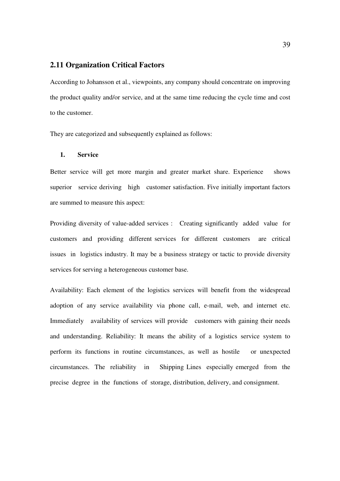## **2.11 Organization Critical Factors**

According to Johansson et al., viewpoints, any company should concentrate on improving the product quality and/or service, and at the same time reducing the cycle time and cost to the customer.

They are categorized and subsequently explained as follows:

## **1. Service**

Better service will get more margin and greater market share. Experience shows superior service deriving high customer satisfaction. Five initially important factors are summed to measure this aspect:

Providing diversity of value-added services : Creating significantly added value for customers and providing different services for different customers are critical issues in logistics industry. It may be a business strategy or tactic to provide diversity services for serving a heterogeneous customer base.

Availability: Each element of the logistics services will benefit from the widespread adoption of any service availability via phone call, e-mail, web, and internet etc. Immediately availability of services will provide customers with gaining their needs and understanding. Reliability: It means the ability of a logistics service system to perform its functions in routine circumstances, as well as hostile or unexpected circumstances. The reliability in Shipping Lines especially emerged from the precise degree in the functions of storage, distribution, delivery, and consignment.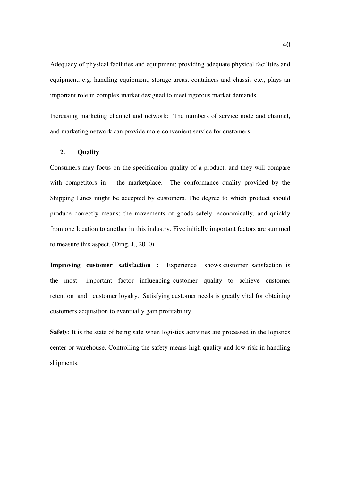Adequacy of physical facilities and equipment: providing adequate physical facilities and equipment, e.g. handling equipment, storage areas, containers and chassis etc., plays an important role in complex market designed to meet rigorous market demands.

Increasing marketing channel and network: The numbers of service node and channel, and marketing network can provide more convenient service for customers.

## **2. Quality**

Consumers may focus on the specification quality of a product, and they will compare with competitors in the marketplace. The conformance quality provided by the Shipping Lines might be accepted by customers. The degree to which product should produce correctly means; the movements of goods safely, economically, and quickly from one location to another in this industry. Five initially important factors are summed to measure this aspect. (Ding, J., 2010)

**Improving customer satisfaction :** Experience shows customer satisfaction is the most important factor influencing customer quality to achieve customer retention and customer loyalty. Satisfying customer needs is greatly vital for obtaining customers acquisition to eventually gain profitability.

**Safety**: It is the state of being safe when logistics activities are processed in the logistics center or warehouse. Controlling the safety means high quality and low risk in handling shipments.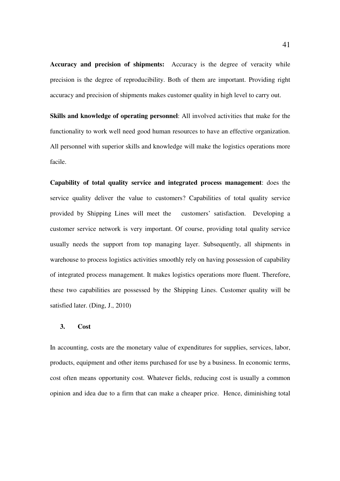**Accuracy and precision of shipments:** Accuracy is the degree of veracity while precision is the degree of reproducibility. Both of them are important. Providing right accuracy and precision of shipments makes customer quality in high level to carry out.

**Skills and knowledge of operating personnel**: All involved activities that make for the functionality to work well need good human resources to have an effective organization. All personnel with superior skills and knowledge will make the logistics operations more facile.

**Capability of total quality service and integrated process management**: does the service quality deliver the value to customers? Capabilities of total quality service provided by Shipping Lines will meet the customers' satisfaction. Developing a customer service network is very important. Of course, providing total quality service usually needs the support from top managing layer. Subsequently, all shipments in warehouse to process logistics activities smoothly rely on having possession of capability of integrated process management. It makes logistics operations more fluent. Therefore, these two capabilities are possessed by the Shipping Lines. Customer quality will be satisfied later. (Ding, J., 2010)

## **3. Cost**

In accounting, costs are the monetary value of expenditures for supplies, services, labor, products, equipment and other items purchased for use by a business. In economic terms, cost often means opportunity cost. Whatever fields, reducing cost is usually a common opinion and idea due to a firm that can make a cheaper price. Hence, diminishing total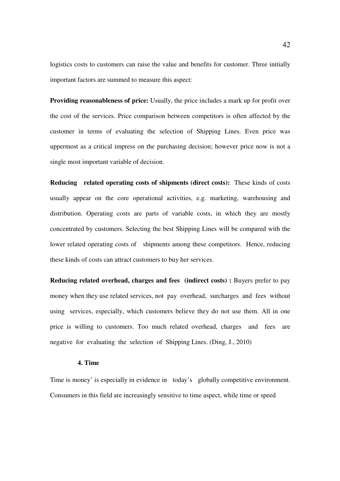logistics costs to customers can raise the value and benefits for customer. Three initially important factors are summed to measure this aspect:

**Providing reasonableness of price:** Usually, the price includes a mark up for profit over the cost of the services. Price comparison between competitors is often affected by the customer in terms of evaluating the selection of Shipping Lines. Even price was uppermost as a critical impress on the purchasing decision; however price now is not a single most important variable of decision.

**Reducing related operating costs of shipments (direct costs):** These kinds of costs usually appear on the core operational activities, e.g. marketing, warehousing and distribution. Operating costs are parts of variable costs, in which they are mostly concentrated by customers. Selecting the best Shipping Lines will be compared with the lower related operating costs of shipments among these competitors. Hence, reducing these kinds of costs can attract customers to buy her services.

**Reducing related overhead, charges and fees (indirect costs) :** Buyers prefer to pay money when they use related services, not pay overhead, surcharges and fees without using services, especially, which customers believe they do not use them. All in one price is willing to customers. Too much related overhead, charges and fees are negative for evaluating the selection of Shipping Lines. (Ding, J., 2010)

## **4. Time**

Time is money' is especially in evidence in today's globally competitive environment. Consumers in this field are increasingly sensitive to time aspect, while time or speed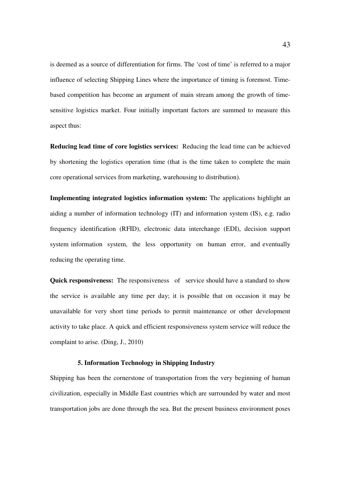is deemed as a source of differentiation for firms. The 'cost of time' is referred to a major influence of selecting Shipping Lines where the importance of timing is foremost. Timebased competition has become an argument of main stream among the growth of timesensitive logistics market. Four initially important factors are summed to measure this aspect thus:

**Reducing lead time of core logistics services:** Reducing the lead time can be achieved by shortening the logistics operation time (that is the time taken to complete the main core operational services from marketing, warehousing to distribution).

**Implementing integrated logistics information system:** The applications highlight an aiding a number of information technology (IT) and information system (IS), e.g. radio frequency identification (RFID), electronic data interchange (EDI), decision support system information system, the less opportunity on human error, and eventually reducing the operating time.

**Quick responsiveness:** The responsiveness of service should have a standard to show the service is available any time per day; it is possible that on occasion it may be unavailable for very short time periods to permit maintenance or other development activity to take place. A quick and efficient responsiveness system service will reduce the complaint to arise. (Ding, J., 2010)

## **5. Information Technology in Shipping Industry**

Shipping has been the cornerstone of transportation from the very beginning of human civilization, especially in Middle East countries which are surrounded by water and most transportation jobs are done through the sea. But the present business environment poses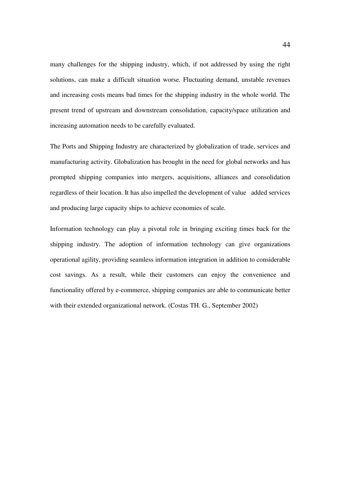many challenges for the shipping industry, which, if not addressed by using the right solutions, can make a difficult situation worse. Fluctuating demand, unstable revenues and increasing costs means bad times for the shipping industry in the whole world. The present trend of upstream and downstream consolidation, capacity/space utilization and increasing automation needs to be carefully evaluated.

The Ports and Shipping Industry are characterized by globalization of trade, services and manufacturing activity. Globalization has brought in the need for global networks and has prompted shipping companies into mergers, acquisitions, alliances and consolidation regardless of their location. It has also impelled the development of value added services and producing large capacity ships to achieve economies of scale.

Information technology can play a pivotal role in bringing exciting times back for the shipping industry. The adoption of information technology can give organizations operational agility, providing seamless information integration in addition to considerable cost savings. As a result, while their customers can enjoy the convenience and functionality offered by e-commerce, shipping companies are able to communicate better with their extended organizational network. (Costas TH. G., September 2002)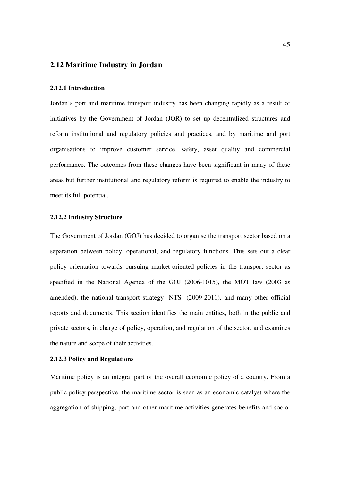## **2.12 Maritime Industry in Jordan**

#### **2.12.1 Introduction**

Jordan's port and maritime transport industry has been changing rapidly as a result of initiatives by the Government of Jordan (JOR) to set up decentralized structures and reform institutional and regulatory policies and practices, and by maritime and port organisations to improve customer service, safety, asset quality and commercial performance. The outcomes from these changes have been significant in many of these areas but further institutional and regulatory reform is required to enable the industry to meet its full potential.

## **2.12.2 Industry Structure**

The Government of Jordan (GOJ) has decided to organise the transport sector based on a separation between policy, operational, and regulatory functions. This sets out a clear policy orientation towards pursuing market-oriented policies in the transport sector as specified in the National Agenda of the GOJ (2006-1015), the MOT law (2003 as amended), the national transport strategy -NTS- (2009-2011), and many other official reports and documents. This section identifies the main entities, both in the public and private sectors, in charge of policy, operation, and regulation of the sector, and examines the nature and scope of their activities.

## **2.12.3 Policy and Regulations**

Maritime policy is an integral part of the overall economic policy of a country. From a public policy perspective, the maritime sector is seen as an economic catalyst where the aggregation of shipping, port and other maritime activities generates benefits and socio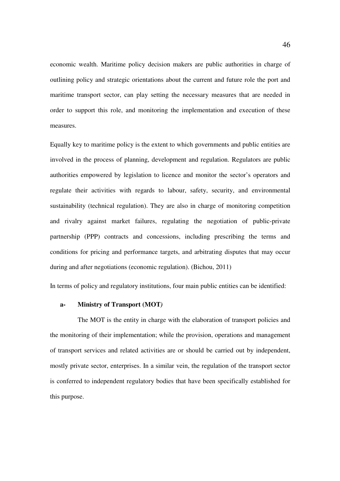economic wealth. Maritime policy decision makers are public authorities in charge of outlining policy and strategic orientations about the current and future role the port and maritime transport sector, can play setting the necessary measures that are needed in order to support this role, and monitoring the implementation and execution of these measures.

Equally key to maritime policy is the extent to which governments and public entities are involved in the process of planning, development and regulation. Regulators are public authorities empowered by legislation to licence and monitor the sector's operators and regulate their activities with regards to labour, safety, security, and environmental sustainability (technical regulation). They are also in charge of monitoring competition and rivalry against market failures, regulating the negotiation of public-private partnership (PPP) contracts and concessions, including prescribing the terms and conditions for pricing and performance targets, and arbitrating disputes that may occur during and after negotiations (economic regulation). (Bichou, 2011)

In terms of policy and regulatory institutions, four main public entities can be identified:

#### **a- Ministry of Transport (MOT***)*

 The MOT is the entity in charge with the elaboration of transport policies and the monitoring of their implementation; while the provision, operations and management of transport services and related activities are or should be carried out by independent, mostly private sector, enterprises. In a similar vein, the regulation of the transport sector is conferred to independent regulatory bodies that have been specifically established for this purpose.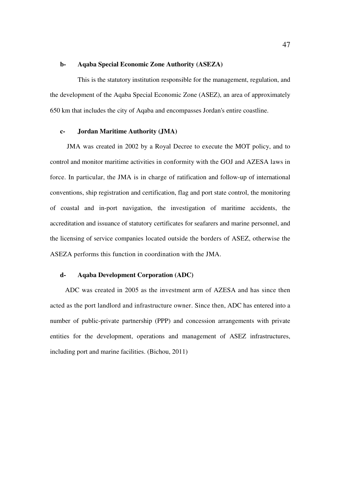### **b- Aqaba Special Economic Zone Authority (ASEZA)**

 This is the statutory institution responsible for the management, regulation, and the development of the Aqaba Special Economic Zone (ASEZ), an area of approximately 650 km that includes the city of Aqaba and encompasses Jordan's entire coastline.

## **c- Jordan Maritime Authority (JMA)**

 JMA was created in 2002 by a Royal Decree to execute the MOT policy, and to control and monitor maritime activities in conformity with the GOJ and AZESA laws in force. In particular, the JMA is in charge of ratification and follow-up of international conventions, ship registration and certification, flag and port state control, the monitoring of coastal and in-port navigation, the investigation of maritime accidents, the accreditation and issuance of statutory certificates for seafarers and marine personnel, and the licensing of service companies located outside the borders of ASEZ, otherwise the ASEZA performs this function in coordination with the JMA.

## **d- Aqaba Development Corporation (ADC)**

 ADC was created in 2005 as the investment arm of AZESA and has since then acted as the port landlord and infrastructure owner. Since then, ADC has entered into a number of public-private partnership (PPP) and concession arrangements with private entities for the development, operations and management of ASEZ infrastructures, including port and marine facilities. (Bichou, 2011)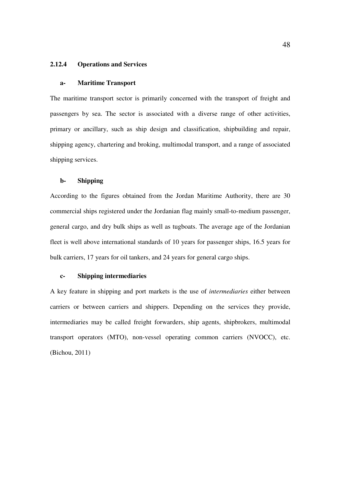### **2.12.4 Operations and Services**

#### **a- Maritime Transport**

The maritime transport sector is primarily concerned with the transport of freight and passengers by sea. The sector is associated with a diverse range of other activities, primary or ancillary, such as ship design and classification, shipbuilding and repair, shipping agency, chartering and broking, multimodal transport, and a range of associated shipping services.

## **b- Shipping**

According to the figures obtained from the Jordan Maritime Authority, there are 30 commercial ships registered under the Jordanian flag mainly small-to-medium passenger, general cargo, and dry bulk ships as well as tugboats. The average age of the Jordanian fleet is well above international standards of 10 years for passenger ships, 16.5 years for bulk carriers, 17 years for oil tankers, and 24 years for general cargo ships.

## **c- Shipping intermediaries**

A key feature in shipping and port markets is the use of *intermediaries* either between carriers or between carriers and shippers. Depending on the services they provide, intermediaries may be called freight forwarders, ship agents, shipbrokers, multimodal transport operators (MTO), non-vessel operating common carriers (NVOCC), etc. (Bichou, 2011)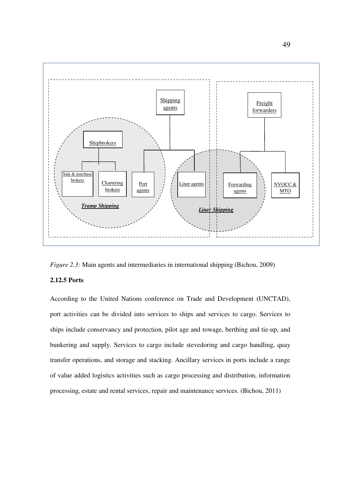

*Figure 2.3:* Main agents and intermediaries in international shipping (Bichou, 2009)

## **2.12.5 Ports**

According to the United Nations conference on Trade and Development (UNCTAD), port activities can be divided into services to ships and services to cargo. Services to ships include conservancy and protection, pilot age and towage, berthing and tie-up, and bunkering and supply. Services to cargo include stevedoring and cargo handling, quay transfer operations, and storage and stacking. Ancillary services in ports include a range of value added logistics activities such as cargo processing and distribution, information processing, estate and rental services, repair and maintenance services. (Bichou, 2011)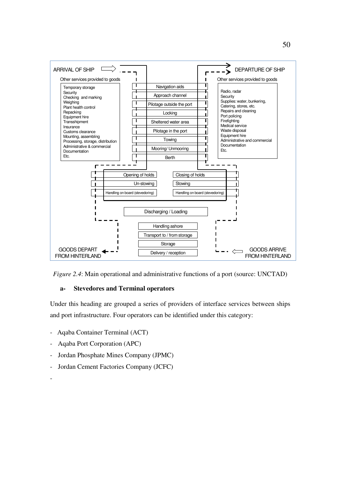



## **a- Stevedores and Terminal operators**

Under this heading are grouped a series of providers of interface services between ships and port infrastructure. Four operators can be identified under this category:

- Aqaba Container Terminal (ACT)
- Aqaba Port Corporation (APC)
- Jordan Phosphate Mines Company (JPMC)
- Jordan Cement Factories Company (JCFC)

-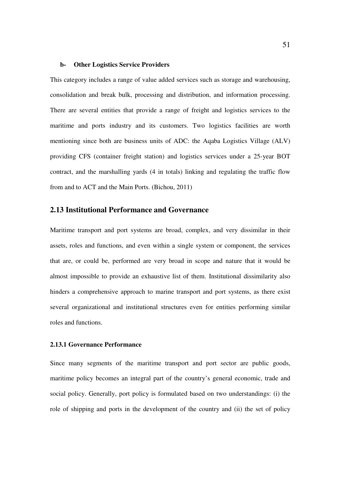#### **b- Other Logistics Service Providers**

This category includes a range of value added services such as storage and warehousing, consolidation and break bulk, processing and distribution, and information processing. There are several entities that provide a range of freight and logistics services to the maritime and ports industry and its customers. Two logistics facilities are worth mentioning since both are business units of ADC: the Aqaba Logistics Village (ALV) providing CFS (container freight station) and logistics services under a 25-year BOT contract, and the marshalling yards (4 in totals) linking and regulating the traffic flow from and to ACT and the Main Ports. (Bichou, 2011)

## **2.13 Institutional Performance and Governance**

Maritime transport and port systems are broad, complex, and very dissimilar in their assets, roles and functions, and even within a single system or component, the services that are, or could be, performed are very broad in scope and nature that it would be almost impossible to provide an exhaustive list of them. Institutional dissimilarity also hinders a comprehensive approach to marine transport and port systems, as there exist several organizational and institutional structures even for entities performing similar roles and functions.

## **2.13.1 Governance Performance**

Since many segments of the maritime transport and port sector are public goods, maritime policy becomes an integral part of the country's general economic, trade and social policy. Generally, port policy is formulated based on two understandings: (i) the role of shipping and ports in the development of the country and (ii) the set of policy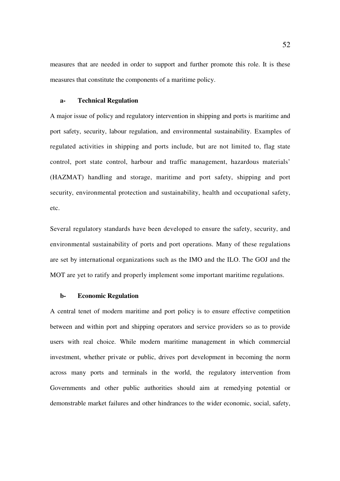measures that are needed in order to support and further promote this role. It is these measures that constitute the components of a maritime policy.

#### **a- Technical Regulation**

A major issue of policy and regulatory intervention in shipping and ports is maritime and port safety, security, labour regulation, and environmental sustainability. Examples of regulated activities in shipping and ports include, but are not limited to, flag state control, port state control, harbour and traffic management, hazardous materials' (HAZMAT) handling and storage, maritime and port safety, shipping and port security, environmental protection and sustainability, health and occupational safety, etc.

Several regulatory standards have been developed to ensure the safety, security, and environmental sustainability of ports and port operations. Many of these regulations are set by international organizations such as the IMO and the ILO. The GOJ and the MOT are yet to ratify and properly implement some important maritime regulations.

#### **b- Economic Regulation**

A central tenet of modern maritime and port policy is to ensure effective competition between and within port and shipping operators and service providers so as to provide users with real choice. While modern maritime management in which commercial investment, whether private or public, drives port development in becoming the norm across many ports and terminals in the world, the regulatory intervention from Governments and other public authorities should aim at remedying potential or demonstrable market failures and other hindrances to the wider economic, social, safety,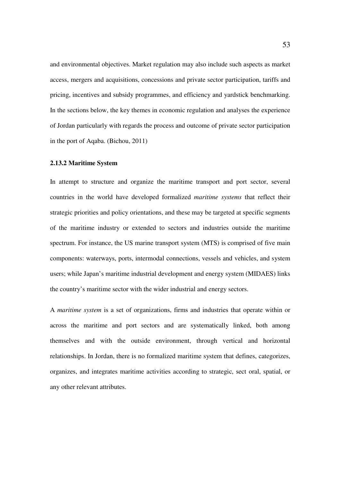and environmental objectives. Market regulation may also include such aspects as market access, mergers and acquisitions, concessions and private sector participation, tariffs and pricing, incentives and subsidy programmes, and efficiency and yardstick benchmarking. In the sections below, the key themes in economic regulation and analyses the experience of Jordan particularly with regards the process and outcome of private sector participation in the port of Aqaba. (Bichou, 2011)

## **2.13.2 Maritime System**

In attempt to structure and organize the maritime transport and port sector, several countries in the world have developed formalized *maritime systems* that reflect their strategic priorities and policy orientations, and these may be targeted at specific segments of the maritime industry or extended to sectors and industries outside the maritime spectrum. For instance, the US marine transport system (MTS) is comprised of five main components: waterways, ports, intermodal connections, vessels and vehicles, and system users; while Japan's maritime industrial development and energy system (MIDAES) links the country's maritime sector with the wider industrial and energy sectors.

A *maritime system* is a set of organizations, firms and industries that operate within or across the maritime and port sectors and are systematically linked, both among themselves and with the outside environment, through vertical and horizontal relationships. In Jordan, there is no formalized maritime system that defines, categorizes, organizes, and integrates maritime activities according to strategic, sect oral, spatial, or any other relevant attributes.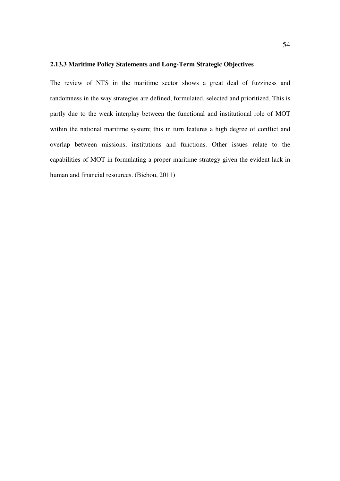## **2.13.3 Maritime Policy Statements and Long-Term Strategic Objectives**

The review of NTS in the maritime sector shows a great deal of fuzziness and randomness in the way strategies are defined, formulated, selected and prioritized. This is partly due to the weak interplay between the functional and institutional role of MOT within the national maritime system; this in turn features a high degree of conflict and overlap between missions, institutions and functions. Other issues relate to the capabilities of MOT in formulating a proper maritime strategy given the evident lack in human and financial resources. (Bichou, 2011)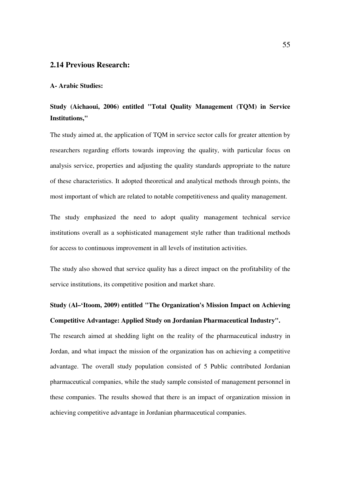## **2.14 Previous Research:**

## **A- Arabic Studies:**

## **Study (Aichaoui, 2006) entitled "Total Quality Management (TQM) in Service Institutions,"**

The study aimed at, the application of TQM in service sector calls for greater attention by researchers regarding efforts towards improving the quality, with particular focus on analysis service, properties and adjusting the quality standards appropriate to the nature of these characteristics. It adopted theoretical and analytical methods through points, the most important of which are related to notable competitiveness and quality management.

The study emphasized the need to adopt quality management technical service institutions overall as a sophisticated management style rather than traditional methods for access to continuous improvement in all levels of institution activities.

The study also showed that service quality has a direct impact on the profitability of the service institutions, its competitive position and market share.

# **Study (Al–'Itoom, 2009) entitled "The Organization's Mission Impact on Achieving Competitive Advantage: Applied Study on Jordanian Pharmaceutical Industry".**

The research aimed at shedding light on the reality of the pharmaceutical industry in Jordan, and what impact the mission of the organization has on achieving a competitive advantage. The overall study population consisted of 5 Public contributed Jordanian pharmaceutical companies, while the study sample consisted of management personnel in these companies. The results showed that there is an impact of organization mission in achieving competitive advantage in Jordanian pharmaceutical companies.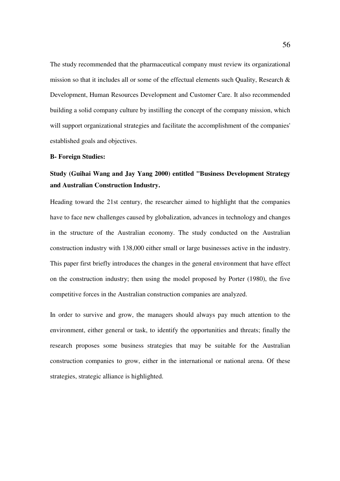The study recommended that the pharmaceutical company must review its organizational mission so that it includes all or some of the effectual elements such Quality, Research & Development, Human Resources Development and Customer Care. It also recommended building a solid company culture by instilling the concept of the company mission, which will support organizational strategies and facilitate the accomplishment of the companies' established goals and objectives.

#### **B- Foreign Studies:**

## **Study (Guihai Wang and Jay Yang 2000) entitled "Business Development Strategy and Australian Construction Industry.**

Heading toward the 21st century, the researcher aimed to highlight that the companies have to face new challenges caused by globalization, advances in technology and changes in the structure of the Australian economy. The study conducted on the Australian construction industry with 138,000 either small or large businesses active in the industry. This paper first briefly introduces the changes in the general environment that have effect on the construction industry; then using the model proposed by Porter (1980), the five competitive forces in the Australian construction companies are analyzed.

In order to survive and grow, the managers should always pay much attention to the environment, either general or task, to identify the opportunities and threats; finally the research proposes some business strategies that may be suitable for the Australian construction companies to grow, either in the international or national arena. Of these strategies, strategic alliance is highlighted.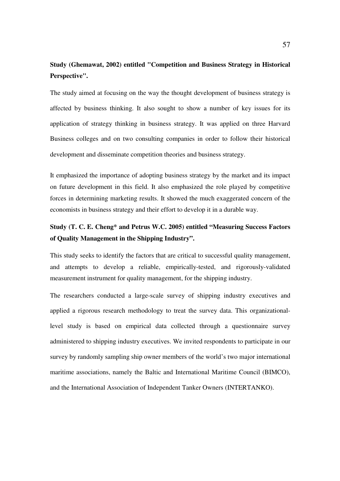## **Study (Ghemawat, 2002) entitled "Competition and Business Strategy in Historical Perspective".**

The study aimed at focusing on the way the thought development of business strategy is affected by business thinking. It also sought to show a number of key issues for its application of strategy thinking in business strategy. It was applied on three Harvard Business colleges and on two consulting companies in order to follow their historical development and disseminate competition theories and business strategy.

It emphasized the importance of adopting business strategy by the market and its impact on future development in this field. It also emphasized the role played by competitive forces in determining marketing results. It showed the much exaggerated concern of the economists in business strategy and their effort to develop it in a durable way.

## **Study (T. C. E. Cheng\* and Petrus W.C. 2005) entitled "Measuring Success Factors of Quality Management in the Shipping Industry".**

This study seeks to identify the factors that are critical to successful quality management, and attempts to develop a reliable, empirically-tested, and rigorously-validated measurement instrument for quality management, for the shipping industry.

The researchers conducted a large-scale survey of shipping industry executives and applied a rigorous research methodology to treat the survey data. This organizationallevel study is based on empirical data collected through a questionnaire survey administered to shipping industry executives. We invited respondents to participate in our survey by randomly sampling ship owner members of the world's two major international maritime associations, namely the Baltic and International Maritime Council (BIMCO), and the International Association of Independent Tanker Owners (INTERTANKO).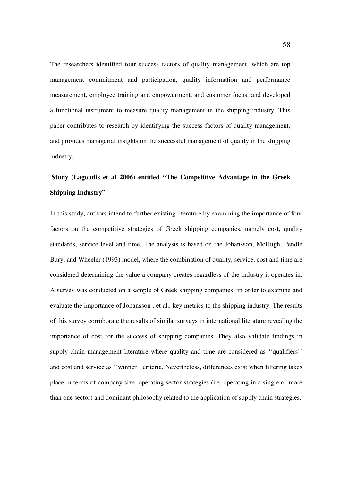The researchers identified four success factors of quality management, which are top management commitment and participation, quality information and performance measurement, employee training and empowerment, and customer focus, and developed a functional instrument to measure quality management in the shipping industry. This paper contributes to research by identifying the success factors of quality management, and provides managerial insights on the successful management of quality in the shipping industry.

# **Study (Lagoudis et al 2006) entitled "The Competitive Advantage in the Greek Shipping Industry"**

In this study, authors intend to further existing literature by examining the importance of four factors on the competitive strategies of Greek shipping companies, namely cost, quality standards, service level and time. The analysis is based on the Johansson, McHugh, Pendle Bury, and Wheeler (1993) model, where the combination of quality, service, cost and time are considered determining the value a company creates regardless of the industry it operates in. A survey was conducted on a sample of Greek shipping companies' in order to examine and evaluate the importance of Johansson , et al., key metrics to the shipping industry. The results of this survey corroborate the results of similar surveys in international literature revealing the importance of cost for the success of shipping companies. They also validate findings in supply chain management literature where quality and time are considered as ''qualifiers'' and cost and service as ''winner'' criteria. Nevertheless, differences exist when filtering takes place in terms of company size, operating sector strategies (i.e. operating in a single or more than one sector) and dominant philosophy related to the application of supply chain strategies.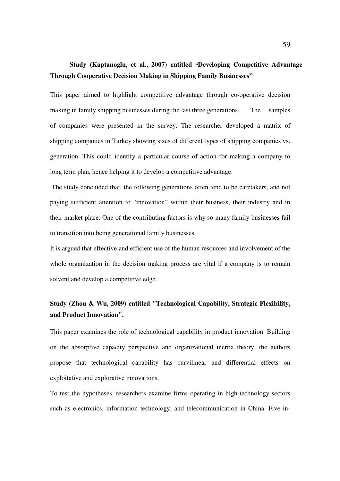# **Study (Kaptanoglu, et al., 2007) entitled "Developing Competitive Advantage Through Cooperative Decision Making in Shipping Family Businesses"**

This paper aimed to highlight competitive advantage through co-operative decision making in family shipping businesses during the last three generations. The samples of companies were presented in the survey. The researcher developed a matrix of shipping companies in Turkey showing sizes of different types of shipping companies vs. generation. This could identify a particular course of action for making a company to long term plan, hence helping it to develop a competitive advantage.

 The study concluded that, the following generations often tend to be caretakers, and not paying sufficient attention to "innovation" within their business, their industry and in their market place. One of the contributing factors is why so many family businesses fail to transition into being generational family businesses.

It is argued that effective and efficient use of the human resources and involvement of the whole organization in the decision making process are vital if a company is to remain solvent and develop a competitive edge.

# **Study (Zhou & Wu, 2009) entitled "Technological Capability, Strategic Flexibility, and Product Innovation".**

This paper examines the role of technological capability in product innovation. Building on the absorptive capacity perspective and organizational inertia theory, the authors propose that technological capability has curvilinear and differential effects on exploitative and explorative innovations.

To test the hypotheses, researchers examine firms operating in high-technology sectors such as electronics, information technology, and telecommunication in China. Five in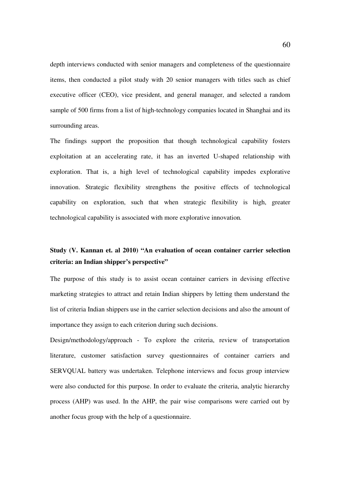depth interviews conducted with senior managers and completeness of the questionnaire items, then conducted a pilot study with 20 senior managers with titles such as chief executive officer (CEO), vice president, and general manager, and selected a random sample of 500 firms from a list of high-technology companies located in Shanghai and its surrounding areas.

The findings support the proposition that though technological capability fosters exploitation at an accelerating rate, it has an inverted U-shaped relationship with exploration. That is, a high level of technological capability impedes explorative innovation. Strategic flexibility strengthens the positive effects of technological capability on exploration, such that when strategic flexibility is high, greater technological capability is associated with more explorative innovation*.* 

# **Study (V. Kannan et. al 2010) "An evaluation of ocean container carrier selection criteria: an Indian shipper's perspective"**

The purpose of this study is to assist ocean container carriers in devising effective marketing strategies to attract and retain Indian shippers by letting them understand the list of criteria Indian shippers use in the carrier selection decisions and also the amount of importance they assign to each criterion during such decisions.

Design/methodology/approach - To explore the criteria, review of transportation literature, customer satisfaction survey questionnaires of container carriers and SERVQUAL battery was undertaken. Telephone interviews and focus group interview were also conducted for this purpose. In order to evaluate the criteria, analytic hierarchy process (AHP) was used. In the AHP, the pair wise comparisons were carried out by another focus group with the help of a questionnaire.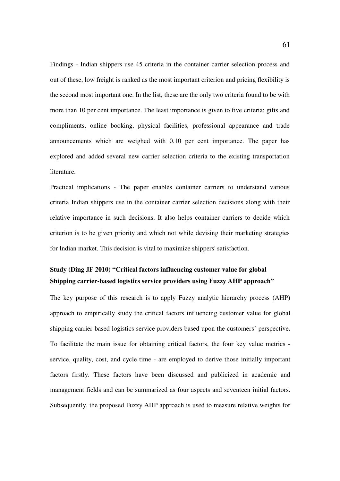Findings - Indian shippers use 45 criteria in the container carrier selection process and out of these, low freight is ranked as the most important criterion and pricing flexibility is the second most important one. In the list, these are the only two criteria found to be with more than 10 per cent importance. The least importance is given to five criteria: gifts and compliments, online booking, physical facilities, professional appearance and trade announcements which are weighed with 0.10 per cent importance. The paper has explored and added several new carrier selection criteria to the existing transportation literature.

Practical implications - The paper enables container carriers to understand various criteria Indian shippers use in the container carrier selection decisions along with their relative importance in such decisions. It also helps container carriers to decide which criterion is to be given priority and which not while devising their marketing strategies for Indian market. This decision is vital to maximize shippers' satisfaction.

# **Study (Ding JF 2010) "Critical factors influencing customer value for global Shipping carrier-based logistics service providers using Fuzzy AHP approach"**

The key purpose of this research is to apply Fuzzy analytic hierarchy process (AHP) approach to empirically study the critical factors influencing customer value for global shipping carrier-based logistics service providers based upon the customers' perspective. To facilitate the main issue for obtaining critical factors, the four key value metrics service, quality, cost, and cycle time - are employed to derive those initially important factors firstly. These factors have been discussed and publicized in academic and management fields and can be summarized as four aspects and seventeen initial factors. Subsequently, the proposed Fuzzy AHP approach is used to measure relative weights for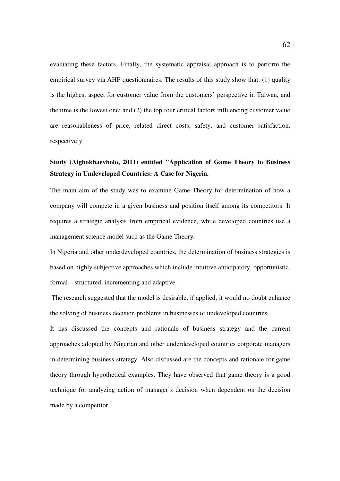evaluating these factors. Finally, the systematic appraisal approach is to perform the empirical survey via AHP questionnaires. The results of this study show that: (1) quality is the highest aspect for customer value from the customers' perspective in Taiwan, and the time is the lowest one; and (2) the top four critical factors influencing customer value are reasonableness of price, related direct costs, safety, and customer satisfaction, respectively.

# **Study (Aigbokhaevbolo, 2011) entitled "Application of Game Theory to Business Strategy in Undeveloped Countries: A Case for Nigeria.**

The main aim of the study was to examine Game Theory for determination of how a company will compete in a given business and position itself among its competitors. It requires a strategic analysis from empirical evidence, while developed countries use a management science model such as the Game Theory*.* 

In Nigeria and other underdeveloped countries, the determination of business strategies is based on highly subjective approaches which include intuitive anticipatory, opportunistic, formal – structured, incrementing and adaptive.

 The research suggested that the model is desirable, if applied, it would no doubt enhance the solving of business decision problems in businesses of undeveloped countries.

It has discussed the concepts and rationale of business strategy and the current approaches adopted by Nigerian and other underdeveloped countries corporate managers in determining business strategy. Also discussed are the concepts and rationale for game theory through hypothetical examples. They have observed that game theory is a good technique for analyzing action of manager's decision when dependent on the decision made by a competitor.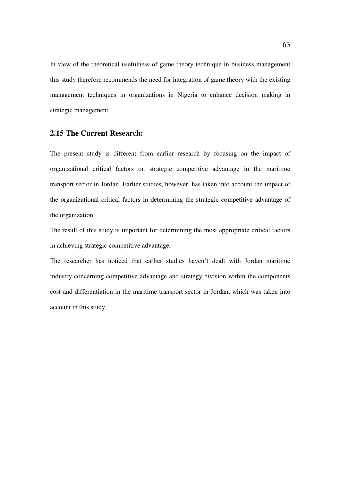In view of the theoretical usefulness of game theory technique in business management this study therefore recommends the need for integration of game theory with the existing management techniques in organizations in Nigeria to enhance decision making in strategic management.

## **2.15 The Current Research:**

The present study is different from earlier research by focusing on the impact of organizational critical factors on strategic competitive advantage in the maritime transport sector in Jordan. Earlier studies, however, has taken into account the impact of the organizational critical factors in determining the strategic competitive advantage of the organization.

The result of this study is important for determining the most appropriate critical factors in achieving strategic competitive advantage.

The researcher has noticed that earlier studies haven't dealt with Jordan maritime industry concerning competitive advantage and strategy division within the components cost and differentiation in the maritime transport sector in Jordan, which was taken into account in this study.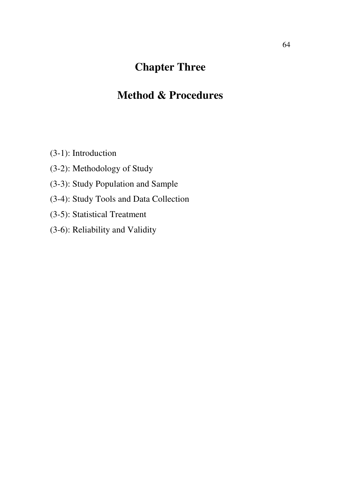# **Chapter Three**

# **Method & Procedures**

- (3-1): Introduction
- (3-2): Methodology of Study
- (3-3): Study Population and Sample
- (3-4): Study Tools and Data Collection
- (3-5): Statistical Treatment
- (3-6): Reliability and Validity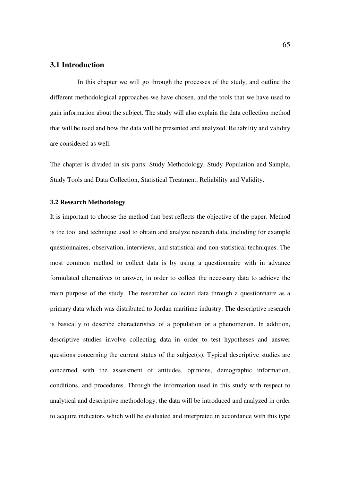### **3.1 Introduction**

 In this chapter we will go through the processes of the study, and outline the different methodological approaches we have chosen, and the tools that we have used to gain information about the subject. The study will also explain the data collection method that will be used and how the data will be presented and analyzed. Reliability and validity are considered as well.

The chapter is divided in six parts: Study Methodology, Study Population and Sample, Study Tools and Data Collection, Statistical Treatment, Reliability and Validity.

#### **3.2 Research Methodology**

It is important to choose the method that best reflects the objective of the paper. Method is the tool and technique used to obtain and analyze research data, including for example questionnaires, observation, interviews, and statistical and non-statistical techniques. The most common method to collect data is by using a questionnaire with in advance formulated alternatives to answer, in order to collect the necessary data to achieve the main purpose of the study. The researcher collected data through a questionnaire as a primary data which was distributed to Jordan maritime industry. The descriptive research is basically to describe characteristics of a population or a phenomenon. In addition, descriptive studies involve collecting data in order to test hypotheses and answer questions concerning the current status of the subject(s). Typical descriptive studies are concerned with the assessment of attitudes, opinions, demographic information, conditions, and procedures. Through the information used in this study with respect to analytical and descriptive methodology, the data will be introduced and analyzed in order to acquire indicators which will be evaluated and interpreted in accordance with this type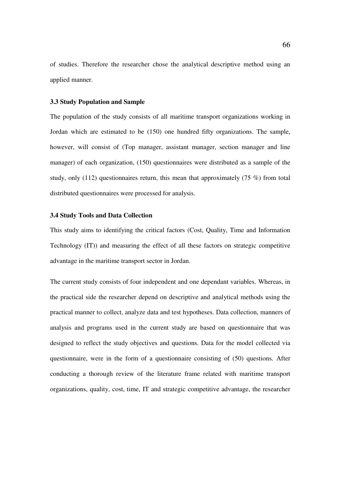of studies. Therefore the researcher chose the analytical descriptive method using an applied manner.

#### **3.3 Study Population and Sample**

The population of the study consists of all maritime transport organizations working in Jordan which are estimated to be (150) one hundred fifty organizations. The sample, however, will consist of (Top manager, assistant manager, section manager and line manager) of each organization, (150) questionnaires were distributed as a sample of the study, only (112) questionnaires return, this mean that approximately (75 %) from total distributed questionnaires were processed for analysis.

#### **3.4 Study Tools and Data Collection**

This study aims to identifying the critical factors (Cost, Quality, Time and Information Technology (IT)) and measuring the effect of all these factors on strategic competitive advantage in the maritime transport sector in Jordan.

The current study consists of four independent and one dependant variables. Whereas, in the practical side the researcher depend on descriptive and analytical methods using the practical manner to collect, analyze data and test hypotheses. Data collection, manners of analysis and programs used in the current study are based on questionnaire that was designed to reflect the study objectives and questions. Data for the model collected via questionnaire, were in the form of a questionnaire consisting of (50) questions. After conducting a thorough review of the literature frame related with maritime transport organizations, quality, cost, time, IT and strategic competitive advantage, the researcher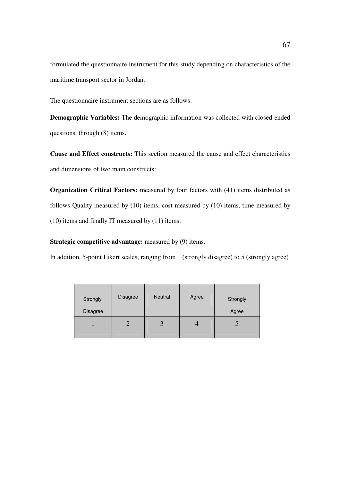formulated the questionnaire instrument for this study depending on characteristics of the maritime transport sector in Jordan.

The questionnaire instrument sections are as follows:

**Demographic Variables:** The demographic information was collected with closed-ended questions, through (8) items.

**Cause and Effect constructs:** This section measured the cause and effect characteristics and dimensions of two main constructs:

**Organization Critical Factors:** measured by four factors with (41) items distributed as follows Quality measured by (10) items, cost measured by (10) items, time measured by (10) items and finally IT measured by (11) items.

**Strategic competitive advantage:** measured by (9) items.

In addition, 5-point Likert scales, ranging from 1 (strongly disagree) to 5 (strongly agree)

| Strongly<br><b>Disagree</b> | Disagree | <b>Neutral</b> | Agree | Strongly<br>Agree |
|-----------------------------|----------|----------------|-------|-------------------|
|                             | ◠        | 3              |       | C                 |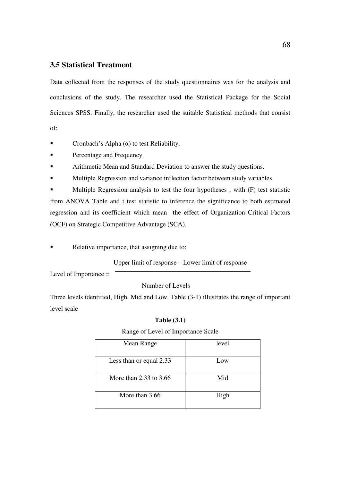## **3.5 Statistical Treatment**

Data collected from the responses of the study questionnaires was for the analysis and conclusions of the study. The researcher used the Statistical Package for the Social Sciences SPSS. Finally, the researcher used the suitable Statistical methods that consist of:

- Cronbach's Alpha  $(\alpha)$  to test Reliability.
- **Percentage and Frequency.**
- Arithmetic Mean and Standard Deviation to answer the study questions.
- Multiple Regression and variance inflection factor between study variables.

**Multiple Regression analysis to test the four hypotheses**, with (F) test statistic from ANOVA Table and t test statistic to inference the significance to both estimated regression and its coefficient which mean the effect of Organization Critical Factors

(OCF) on Strategic Competitive Advantage (SCA).

Relative importance, that assigning due to:

Upper limit of response – Lower limit of response

Level of Importance =

Number of Levels

Three levels identified, High, Mid and Low. Table (3-1) illustrates the range of important level scale

#### **Table (3.1)**

#### Range of Level of Importance Scale

| Mean Range              | level |
|-------------------------|-------|
| Less than or equal 2.33 | Low   |
| More than 2.33 to 3.66  | Mid   |
| More than 3.66          | High  |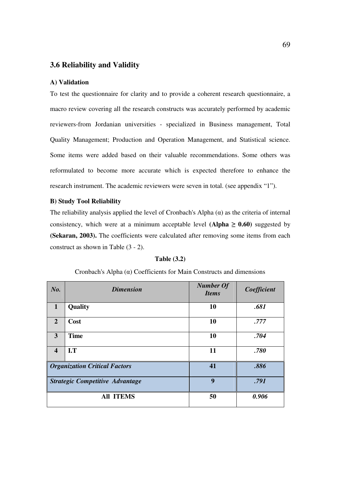### **3.6 Reliability and Validity**

#### **A) Validation**

To test the questionnaire for clarity and to provide a coherent research questionnaire, a macro review covering all the research constructs was accurately performed by academic reviewers-from Jordanian universities - specialized in Business management, Total Quality Management; Production and Operation Management, and Statistical science. Some items were added based on their valuable recommendations. Some others was reformulated to become more accurate which is expected therefore to enhance the research instrument. The academic reviewers were seven in total. (see appendix "1").

#### **B) Study Tool Reliability**

The reliability analysis applied the level of Cronbach's Alpha  $(\alpha)$  as the criteria of internal consistency, which were at a minimum acceptable level  $(Alpha \geq 0.60)$  suggested by **(Sekaran, 2003).** The coefficients were calculated after removing some items from each construct as shown in Table (3 - 2).

| No.                     | <b>Dimension</b>                       | <b>Number Of</b><br><b>Items</b> | Coefficient |
|-------------------------|----------------------------------------|----------------------------------|-------------|
| $\mathbf{1}$            | Quality                                | 10                               | .681        |
| $\overline{2}$          | Cost                                   | 10                               | .777        |
| 3                       | <b>Time</b>                            | 10                               | .704        |
| $\overline{\mathbf{4}}$ | I.T                                    | 11                               | .780        |
|                         | <b>Organization Critical Factors</b>   | 41                               | .886        |
|                         | <b>Strategic Competitive Advantage</b> | 9                                | .791        |
|                         | <b>All ITEMS</b>                       | 50                               | 0.906       |

#### **Table (3.2)**

### Cronbach's Alpha (α) Coefficients for Main Constructs and dimensions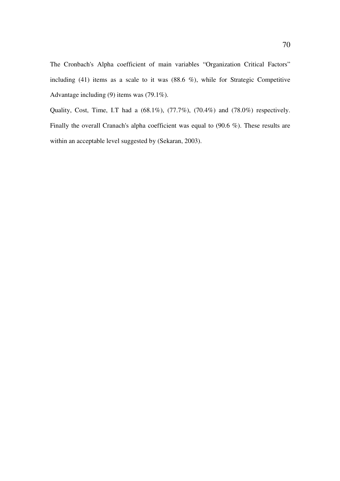The Cronbach's Alpha coefficient of main variables "Organization Critical Factors" including (41) items as a scale to it was  $(88.6 \%)$ , while for Strategic Competitive Advantage including (9) items was (79.1%).

Quality, Cost, Time, I.T had a (68.1%), (77.7%), (70.4%) and (78.0%) respectively. Finally the overall Cranach's alpha coefficient was equal to (90.6 %). These results are within an acceptable level suggested by (Sekaran, 2003).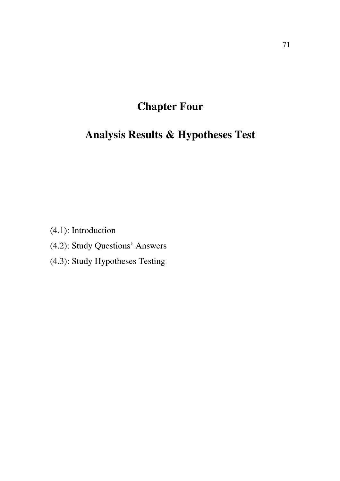# **Chapter Four**

# **Analysis Results & Hypotheses Test**

(4.1): Introduction

- (4.2): Study Questions' Answers
- (4.3): Study Hypotheses Testing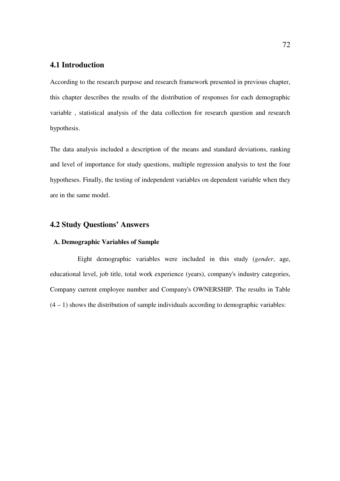## **4.1 Introduction**

According to the research purpose and research framework presented in previous chapter, this chapter describes the results of the distribution of responses for each demographic variable , statistical analysis of the data collection for research question and research hypothesis.

The data analysis included a description of the means and standard deviations, ranking and level of importance for study questions, multiple regression analysis to test the four hypotheses. Finally, the testing of independent variables on dependent variable when they are in the same model.

# **4.2 Study Questions' Answers**

### **A. Demographic Variables of Sample**

 Eight demographic variables were included in this study (*gender*, age, educational level, job title, total work experience (years), company's industry categories, Company current employee number and Company's OWNERSHIP. The results in Table  $(4 - 1)$  shows the distribution of sample individuals according to demographic variables: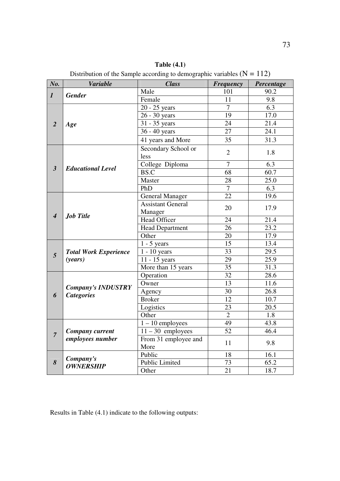| No.                         | <b>Variable</b>              | <b>Class</b>               | <b>Frequency</b> | Percentage        |
|-----------------------------|------------------------------|----------------------------|------------------|-------------------|
| $\boldsymbol{l}$            | <b>Gender</b>                | Male                       | 101              | 90.2              |
|                             |                              | Female                     | 11               | 9.8               |
| $\overline{2}$              |                              | $\overline{20}$ - 25 years | $\overline{7}$   | 6.3               |
|                             |                              | 26 - 30 years              | 19               | 17.0              |
|                             | Age                          | 31 - 35 years              | 24               | 21.4              |
|                             |                              | 36 - 40 years              | 27               | 24.1              |
|                             |                              | 41 years and More          | 35               | 31.3              |
|                             |                              | Secondary School or        |                  |                   |
| $\mathfrak{z}$              |                              | less                       | $\overline{2}$   | 1.8               |
|                             |                              | College Diploma            | $\overline{7}$   | 6.3               |
|                             | <b>Educational Level</b>     | BS.C                       | 68               | 60.7              |
|                             |                              | Master                     | 28               | $\overline{25.0}$ |
|                             |                              | PhD                        | $\overline{7}$   | 6.3               |
| $\overline{\boldsymbol{4}}$ |                              | <b>General Manager</b>     | $\overline{22}$  | 19.6              |
|                             | <b>Job Title</b>             | <b>Assistant General</b>   | 20               | 17.9              |
|                             |                              | Manager                    |                  |                   |
|                             |                              | Head Officer               | 24               | 21.4              |
|                             |                              | <b>Head Department</b>     | 26               | 23.2              |
|                             |                              | Other                      | 20               | 17.9              |
|                             |                              | $1 - 5$ years              | 15               | 13.4              |
| 5                           | <b>Total Work Experience</b> | $1 - 10$ years             | 33               | 29.5              |
|                             | ( <i>years</i> )             | 11 - 15 years              | 29               | 25.9              |
|                             |                              | More than 15 years         | $\overline{35}$  | 31.3              |
|                             |                              | Operation                  | $\overline{32}$  | 28.6              |
|                             | <b>Company's INDUSTRY</b>    | Owner                      | 13               | 11.6              |
| 6                           | <b>Categories</b>            | Agency                     | 30               | 26.8              |
|                             |                              | <b>Broker</b>              | 12               | 10.7              |
|                             |                              | Logistics                  | 23               | 20.5              |
|                             |                              | Other                      | $\overline{2}$   | $\overline{1.8}$  |
|                             |                              | $1 - 10$ employees         | 49               | 43.8              |
| $\overline{7}$              | <b>Company current</b>       | $11 - 30$ employees        | $\overline{52}$  | 46.4              |
|                             | employees number             | From 31 employee and       | 11               | 9.8               |
|                             |                              | More                       |                  |                   |
|                             | Company's                    | Public                     | 18               | 16.1              |
| 8                           | <b>OWNERSHIP</b>             | <b>Public Limited</b>      | 73               | 65.2              |
|                             |                              | Other                      | 21               | 18.7              |

**Table (4.1)**  Distribution of the Sample according to demographic variables  $(N = 112)$ 

Results in Table (4.1) indicate to the following outputs: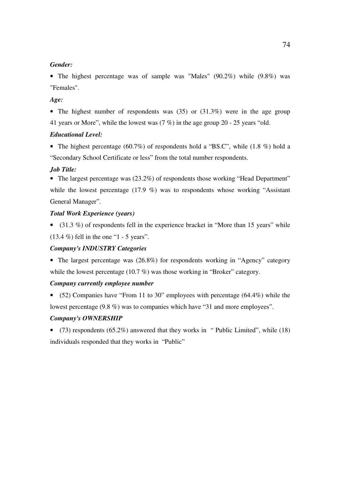#### *Gender:*

• The highest percentage was of sample was "Males" (90.2%) while (9.8%) was "Females".

#### *Age:*

• The highest number of respondents was (35) or (31.3%) were in the age group 41 years or More", while the lowest was (7 %) in the age group 20 - 25 years "old.

#### *Educational Level:*

• The highest percentage (60.7%) of respondents hold a "BS.C", while (1.8 %) hold a "Secondary School Certificate or less" from the total number respondents.

#### *Job Title:*

• The largest percentage was (23.2%) of respondents those working "Head Department" while the lowest percentage (17.9 %) was to respondents whose working "Assistant" General Manager".

#### *Total Work Experience (years)*

• (31.3 %) of respondents fell in the experience bracket in "More than 15 years" while  $(13.4\%)$  fell in the one "1 - 5 years".

#### *Company's INDUSTRY Categories*

• The largest percentage was (26.8%) for respondents working in "Agency" category while the lowest percentage (10.7 %) was those working in "Broker" category.

#### *Company currently employee number*

• (52) Companies have "From 11 to 30" employees with percentage (64.4%) while the lowest percentage (9.8 %) was to companies which have "31 and more employees".

#### *Company's OWNERSHIP*

• (73) respondents (65.2%) answered that they works in " Public Limited", while (18) individuals responded that they works in "Public"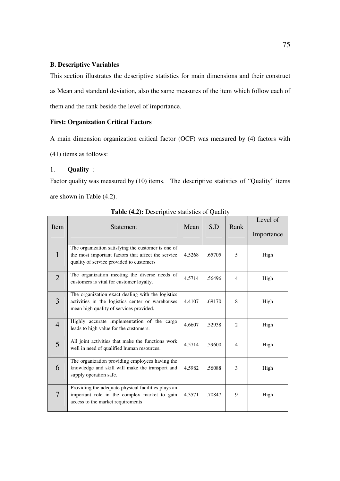#### **B. Descriptive Variables**

This section illustrates the descriptive statistics for main dimensions and their construct as Mean and standard deviation, also the same measures of the item which follow each of them and the rank beside the level of importance.

### **First: Organization Critical Factors**

A main dimension organization critical factor (OCF) was measured by (4) factors with

(41) items as follows:

#### 1. **Quality** :

Factor quality was measured by (10) items. The descriptive statistics of "Quality" items are shown in Table (4.2).

| Item           | <b>Statement</b>                                                                                                                                     | Mean   | S.D    | Rank           | Level of<br>Importance |
|----------------|------------------------------------------------------------------------------------------------------------------------------------------------------|--------|--------|----------------|------------------------|
| $\mathbf{1}$   | The organization satisfying the customer is one of<br>the most important factors that affect the service<br>quality of service provided to customers | 4.5268 | .65705 | 5              | High                   |
| $\overline{2}$ | The organization meeting the diverse needs of<br>customers is vital for customer loyalty.                                                            | 4.5714 | .56496 | $\overline{4}$ | High                   |
| 3              | The organization exact dealing with the logistics<br>activities in the logistics center or warehouses<br>mean high quality of services provided.     | 4.4107 | .69170 | 8              | High                   |
| $\overline{4}$ | Highly accurate implementation of the cargo<br>leads to high value for the customers.                                                                | 4.6607 | .52938 | 2              | High                   |
| 5              | All joint activities that make the functions work<br>well in need of qualified human resources.                                                      | 4.5714 | .59600 | $\overline{4}$ | High                   |
| 6              | The organization providing employees having the<br>knowledge and skill will make the transport and<br>supply operation safe.                         | 4.5982 | .56088 | 3              | High                   |
| 7              | Providing the adequate physical facilities plays an<br>important role in the complex market to gain<br>access to the market requirements             | 4.3571 | .70847 | 9              | High                   |

**Table (4.2):** Descriptive statistics of Quality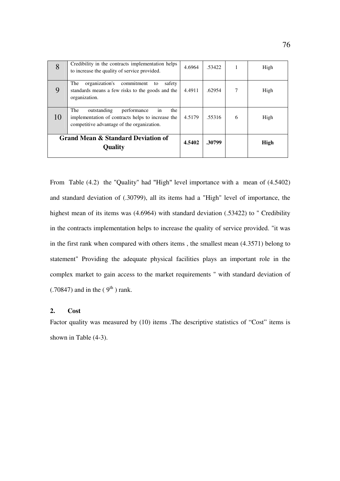| 8  | Credibility in the contracts implementation helps<br>to increase the quality of service provided.                                                 | 4.6964 | .53422 |   | High |
|----|---------------------------------------------------------------------------------------------------------------------------------------------------|--------|--------|---|------|
| 9  | organization's<br>The<br>commitment<br>safety<br>to<br>standards means a few risks to the goods and the<br>organization.                          | 4.4911 | .62954 | 7 | High |
| 10 | The<br>outstanding<br>performance<br>the<br>in<br>implementation of contracts helps to increase the<br>competitive advantage of the organization. | 4.5179 | .55316 | 6 | High |
|    | Grand Mean & Standard Deviation of<br>Quality                                                                                                     | 4.5402 | .30799 |   | High |

From Table (4.2) the "Quality" had "High" level importance with a mean of (4.5402) and standard deviation of (.30799), all its items had a "High" level of importance, the highest mean of its items was (4.6964) with standard deviation (.53422) to " Credibility in the contracts implementation helps to increase the quality of service provided. "it was in the first rank when compared with others items , the smallest mean (4.3571) belong to statement" Providing the adequate physical facilities plays an important role in the complex market to gain access to the market requirements " with standard deviation of  $(.70847)$  and in the  $(9<sup>th</sup>)$  rank.

## **2. Cost**

Factor quality was measured by (10) items .The descriptive statistics of "Cost" items is shown in Table (4-3).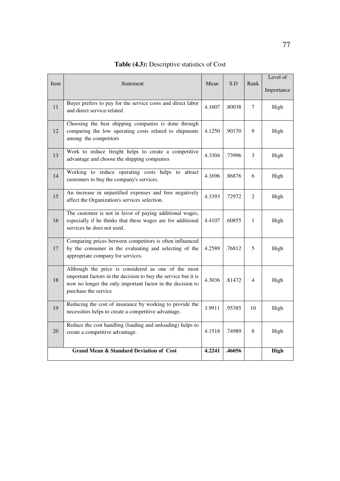| Item | Statement                                                                                                                                                                                                   | Mean   | S.D    | Rank           | Level of   |
|------|-------------------------------------------------------------------------------------------------------------------------------------------------------------------------------------------------------------|--------|--------|----------------|------------|
|      |                                                                                                                                                                                                             |        |        |                | Importance |
| 11   | Buyer prefers to pay for the service costs and direct labor<br>and direct service-related                                                                                                                   | 4.1607 | .80038 | 7              | High       |
| 12   | Choosing the best shipping companies is done through<br>comparing the low operating costs related to shipments<br>among the competitors                                                                     | 4.1250 | .90170 | 9              | High       |
| 13   | Work to reduce freight helps to create a competitive<br>advantage and choose the shipping companies                                                                                                         | 4.3304 | .73996 | 3              | High       |
| 14   | Working to reduce operating costs helps to attract<br>customers to buy the company's services.                                                                                                              | 4.1696 | .86876 | 6              | High       |
| 15   | An increase in unjustified expenses and fees negatively<br>affect the Organization's services selection.                                                                                                    | 4.3393 | .72972 | 2              | High       |
| 16   | The customer is not in favor of paying additional wages,<br>especially if he thinks that these wages are for additional<br>services he does not used.                                                       | 4.4107 | .60855 | $\mathbf{1}$   | High       |
| 17   | Comparing prices between competitors is often influenced<br>by the consumer in the evaluating and selecting of the<br>appropriate company for services.                                                     | 4.2589 | .76812 | 5              | High       |
| 18   | Although the price is considered as one of the most<br>important factors in the decision to buy the service but it is<br>now no longer the only important factor in the decision to<br>purchase the service | 4.3036 | .81472 | $\overline{4}$ | High       |
| 19   | Reducing the cost of insurance by working to provide the<br>necessities helps to create a competitive advantage.                                                                                            | 3.9911 | .95385 | 10             | High       |
| 20   | Reduce the cost handling (loading and unloading) helps to<br>create a competitive advantage.                                                                                                                | 4.1518 | .74989 | 8              | High       |
|      | <b>Grand Mean &amp; Standard Deviation of Cost</b>                                                                                                                                                          | 4.2241 | .46056 |                | High       |

# **Table (4.3):** Descriptive statistics of Cost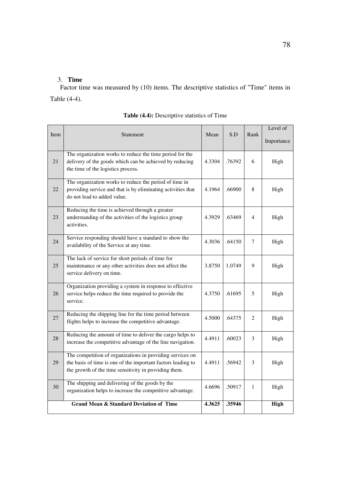## 3. **Time**

Factor time was measured by (10) items. The descriptive statistics of "Time" items in Table (4-4).

| Item | Statement                                                                                                                                                                          | Mean   | S.D    | Rank           | Level of    |
|------|------------------------------------------------------------------------------------------------------------------------------------------------------------------------------------|--------|--------|----------------|-------------|
|      |                                                                                                                                                                                    |        |        |                | Importance  |
| 21   | The organization works to reduce the time period for the<br>delivery of the goods which can be achieved by reducing<br>the time of the logistics process.                          | 4.3304 | .76392 | 6              | High        |
| 22   | The organization works to reduce the period of time in<br>providing service and that is by eliminating activities that<br>do not lead to added value.                              | 4.1964 | .66900 | 8              | High        |
| 23   | Reducing the time is achieved through a greater<br>understanding of the activities of the logistics group<br>activities.                                                           | 4.3929 | .63469 | $\overline{4}$ | High        |
| 24   | Service responding should have a standard to show the<br>availability of the Service at any time.                                                                                  | 4.3036 | .64150 | 7              | High        |
| 25   | The lack of service for short periods of time for<br>maintenance or any other activities does not affect the<br>service delivery on time.                                          | 3.8750 | 1.0749 | 9              | High        |
| 26   | Organization providing a system in response to effective<br>service helps reduce the time required to provide the<br>service.                                                      | 4.3750 | .61695 | 5              | High        |
| 27   | Reducing the shipping line for the time period between<br>flights helps to increase the competitive advantage.                                                                     | 4.5000 | .64375 | 2              | High        |
| 28   | Reducing the amount of time to deliver the cargo helps to<br>increase the competitive advantage of the line navigation.                                                            | 4.4911 | .60023 | 3              | High        |
| 29   | The competition of organizations in providing services on<br>the basis of time is one of the important factors leading to<br>the growth of the time sensitivity in providing them. | 4.4911 | .56942 | 3              | High        |
| 30   | The shipping and delivering of the goods by the<br>organization helps to increase the competitive advantage.                                                                       | 4.6696 | .50917 | $\mathbf{1}$   | High        |
|      | <b>Grand Mean &amp; Standard Deviation of Time</b>                                                                                                                                 | 4.3625 | .35946 |                | <b>High</b> |

**Table (4.4):** Descriptive statistics of Time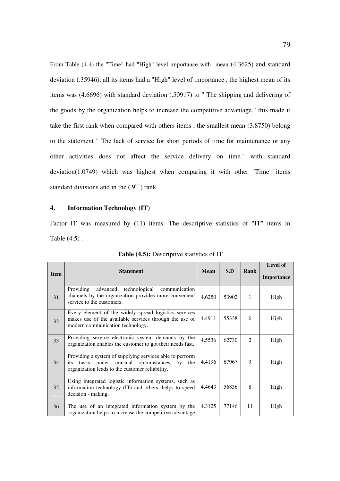From Table (4-4) the "Time" had "High" level importance with mean (4.3625) and standard deviation (.35946), all its items had a "High" level of importance , the highest mean of its items was (4.6696) with standard deviation (.50917) to " The shipping and delivering of the goods by the organization helps to increase the competitive advantage." this made it take the first rank when compared with others items , the smallest mean (3.8750) belong to the statement " The lack of service for short periods of time for maintenance or any other activities does not affect the service delivery on time." with standard deviation(1.0749) which was highest when comparing it with other "Time" items standard divisions and in the  $(9<sup>th</sup>)$  rank.

#### **4. Information Technology (IT)**

Factor IT was measured by (11) items. The descriptive statistics of "IT" items in Table (4.5) .

| <b>Item</b> | <b>Statement</b>                                                                                                                                                  | <b>Mean</b> | S.D    | Rank                          | Level of<br>Importance |
|-------------|-------------------------------------------------------------------------------------------------------------------------------------------------------------------|-------------|--------|-------------------------------|------------------------|
| 31          | advanced technological<br>communication<br>Providing<br>channels by the organization provides more convenient<br>service to the customers.                        | 4.6250      | .53902 | 1                             | High                   |
| 32          | Every element of the widely spread logistics services<br>makes use of the available services through the use of<br>modern communication technology.               | 4.4911      | .55338 | 6                             | High                   |
| 33          | Providing service electronic system demands by the<br>organization enables the customer to got their needs fast.                                                  | 4.5536      | .62730 | $\mathfrak{D}_{\mathfrak{p}}$ | High                   |
| 34          | Providing a system of supplying services able to perform<br>tasks under unusual circumstances<br>by the<br>its<br>organization leads to the customer reliability. | 4.4196      | .67967 | 9                             | High                   |
| 35          | Using integrated logistic information systems, such as<br>information technology (IT) and others, helps to speed<br>decision - making.                            | 4.4643      | .56836 | 8                             | High                   |
| 36          | The use of an integrated information system by the<br>organization helps to increase the competitive advantage                                                    | 4.3125      | .77146 | 11                            | High                   |

**Table (4.5):** Descriptive statistics of IT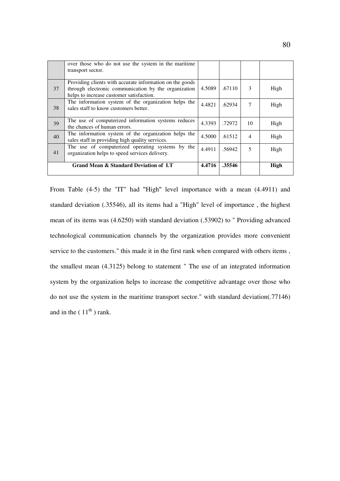|    | over those who do not use the system in the maritime<br>transport sector.                                                                                    |        |        |                |      |
|----|--------------------------------------------------------------------------------------------------------------------------------------------------------------|--------|--------|----------------|------|
| 37 | Providing clients with accurate information on the goods<br>through electronic communication by the organization<br>helps to increase customer satisfaction. | 4.5089 | .67110 | $\mathbf{3}$   | High |
| 38 | The information system of the organization helps the<br>sales staff to know customers better.                                                                | 4.4821 | .62934 | 7              | High |
| 39 | The use of computerized information systems reduces<br>the chances of human errors.                                                                          | 4.3393 | .72972 | 10             | High |
| 40 | The information system of the organization helps the<br>sales staff in providing high quality services.                                                      | 4.5000 | .61512 | $\overline{4}$ | High |
| 41 | The use of computerized operating systems by the<br>organization helps to speed services delivery.                                                           | 4.4911 | .56942 | 5              | High |
|    | Grand Mean & Standard Deviation of I.T                                                                                                                       | 4.4716 | .35546 |                | High |

From Table (4-5) the "IT" had "High" level importance with a mean (4.4911) and standard deviation (.35546), all its items had a "High" level of importance , the highest mean of its items was (4.6250) with standard deviation (.53902) to " Providing advanced technological communication channels by the organization provides more convenient service to the customers." this made it in the first rank when compared with others items , the smallest mean (4.3125) belong to statement " The use of an integrated information system by the organization helps to increase the competitive advantage over those who do not use the system in the maritime transport sector." with standard deviation(.77146) and in the  $(11<sup>th</sup>)$  rank.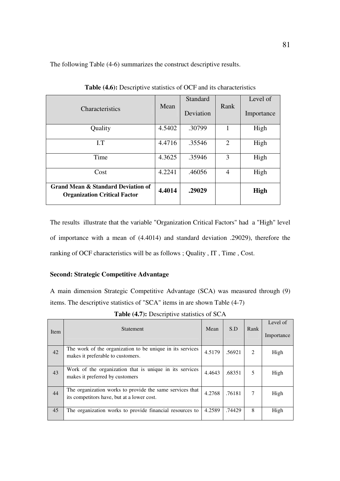The following Table (4-6) summarizes the construct descriptive results.

| <b>Characteristics</b>                                                               | Mean   | Standard<br>Deviation | Rank           | Level of<br>Importance |
|--------------------------------------------------------------------------------------|--------|-----------------------|----------------|------------------------|
| Quality                                                                              | 4.5402 | .30799                | 1              | High                   |
| I.T                                                                                  | 4.4716 | .35546                | $\overline{2}$ | High                   |
| Time                                                                                 | 4.3625 | .35946                | 3              | High                   |
| Cost                                                                                 | 4.2241 | .46056                | 4              | High                   |
| <b>Grand Mean &amp; Standard Deviation of</b><br><b>Organization Critical Factor</b> | 4.4014 | .29029                |                | <b>High</b>            |

**Table (4.6):** Descriptive statistics of OCF and its characteristics

The results illustrate that the variable "Organization Critical Factors" had a "High" level of importance with a mean of (4.4014) and standard deviation .29029), therefore the ranking of OCF characteristics will be as follows ; Quality , IT , Time , Cost.

### **Second: Strategic Competitive Advantage**

A main dimension Strategic Competitive Advantage (SCA) was measured through (9) items. The descriptive statistics of "SCA" items in are shown Table (4-7)

| Item | <b>Statement</b>                                                                                       | Mean   | S.D    | Rank | Level of<br>Importance |
|------|--------------------------------------------------------------------------------------------------------|--------|--------|------|------------------------|
| 42   | The work of the organization to be unique in its services<br>makes it preferable to customers.         | 4.5179 | .56921 | 2    | High                   |
| 43   | Work of the organization that is unique in its services<br>makes it preferred by customers             | 4.4643 | .68351 | 5    | High                   |
| 44   | The organization works to provide the same services that<br>its competitors have, but at a lower cost. | 4.2768 | .76181 | 7    | High                   |
| 45   | The organization works to provide financial resources to                                               | 4.2589 | .74429 | 8    | High                   |

**Table (4.7):** Descriptive statistics of SCA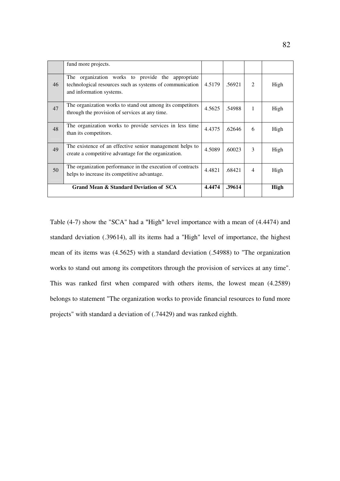|                                        | fund more projects.                                                                                                                       |        |        |                             |      |
|----------------------------------------|-------------------------------------------------------------------------------------------------------------------------------------------|--------|--------|-----------------------------|------|
| 46                                     | The organization works to provide the appropriate<br>technological resources such as systems of communication<br>and information systems. | 4.5179 | .56921 | $\mathcal{D}_{\mathcal{L}}$ | High |
| 47                                     | The organization works to stand out among its competitors<br>through the provision of services at any time.                               | 4.5625 | .54988 | 1                           | High |
| 48                                     | The organization works to provide services in less time<br>than its competitors.                                                          | 4.4375 | .62646 | 6                           | High |
| 49                                     | The existence of an effective senior management helps to<br>create a competitive advantage for the organization.                          | 4.5089 | .60023 | $\mathbf{3}$                | High |
| 50                                     | The organization performance in the execution of contracts<br>helps to increase its competitive advantage.                                | 4.4821 | .68421 | $\overline{4}$              | High |
| Grand Mean & Standard Deviation of SCA |                                                                                                                                           |        | .39614 |                             | High |

Table (4-7) show the "SCA" had a "High" level importance with a mean of (4.4474) and standard deviation (.39614), all its items had a "High" level of importance, the highest mean of its items was (4.5625) with a standard deviation (.54988) to "The organization works to stand out among its competitors through the provision of services at any time". This was ranked first when compared with others items, the lowest mean (4.2589) belongs to statement "The organization works to provide financial resources to fund more projects" with standard a deviation of (.74429) and was ranked eighth.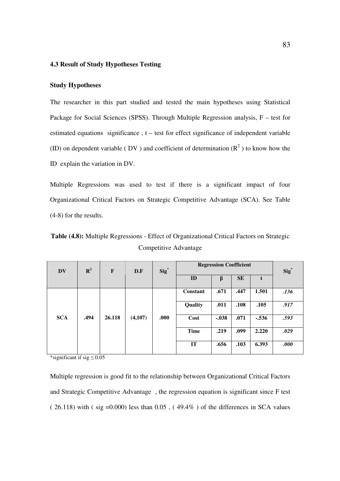#### **4.3 Result of Study Hypotheses Testing**

#### **Study Hypotheses**

The researcher in this part studied and tested the main hypotheses using Statistical Package for Social Sciences (SPSS). Through Multiple Regression analysis, F – test for estimated equations significance , t – test for effect significance of independent variable (ID) on dependent variable (DV) and coefficient of determination  $(R^2)$  to know how the ID explain the variation in DV.

Multiple Regressions was used to test if there is a significant impact of four Organizational Critical Factors on Strategic Competitive Advantage (SCA). See Table (4-8) for the results.

**Table (4.8):** Multiple Regressions - Effect of Organizational Critical Factors on Strategic Competitive Advantage

| <b>DV</b>  | ${\bf R}^2$ | $\mathbf{F}$ | D.F     | $Sig^*$ | <b>Regression Coefficient</b> |         |           |         | $Sig^*$ |
|------------|-------------|--------------|---------|---------|-------------------------------|---------|-----------|---------|---------|
|            |             |              |         |         | ID                            | β       | <b>SE</b> | t       |         |
|            |             |              |         |         | <b>Constant</b>               | .671    | .447      | 1.501   | .136    |
|            |             |              |         |         | Quality                       | .011    | .108      | .105    | .917    |
| <b>SCA</b> | .494        | 26.118       | (4,107) | .000    | Cost                          | $-.038$ | .071      | $-.536$ | .593    |
|            |             |              |         |         | <b>Time</b>                   | .219    | .099      | 2.220   | .029    |
|            |             |              |         |         | IT                            | .656    | .103      | 6.393   | .000    |

\*significant if sig  $\leq 0.05$ 

Multiple regression is good fit to the relationship between Organizational Critical Factors and Strategic Competitive Advantage , the regression equation is significant since F test  $(26.118)$  with  $(sig = 0.000)$  less than  $0.05$ ,  $(49.4\%)$  of the differences in SCA values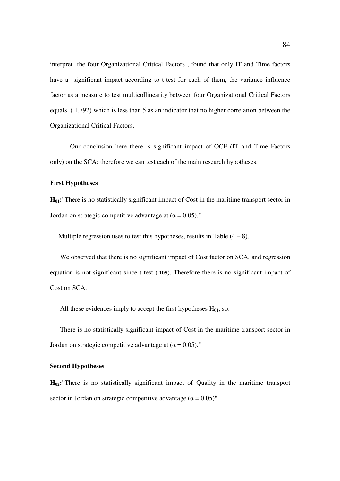interpret the four Organizational Critical Factors , found that only IT and Time factors have a significant impact according to t-test for each of them, the variance influence factor as a measure to test multicollinearity between four Organizational Critical Factors equals ( 1.792) which is less than 5 as an indicator that no higher correlation between the Organizational Critical Factors.

Our conclusion here there is significant impact of OCF (IT and Time Factors only) on the SCA; therefore we can test each of the main research hypotheses.

#### **First Hypotheses**

**H01:**"There is no statistically significant impact of Cost in the maritime transport sector in Jordan on strategic competitive advantage at ( $\alpha$  = 0.05)."

Multiple regression uses to test this hypotheses, results in Table  $(4 - 8)$ .

We observed that there is no significant impact of Cost factor on SCA, and regression equation is not significant since t test (**.105**). Therefore there is no significant impact of Cost on SCA.

All these evidences imply to accept the first hypotheses  $H<sub>01</sub>$ , so:

There is no statistically significant impact of Cost in the maritime transport sector in Jordan on strategic competitive advantage at  $(\alpha = 0.05)$ ."

#### **Second Hypotheses**

**H02:**"There is no statistically significant impact of Quality in the maritime transport sector in Jordan on strategic competitive advantage ( $\alpha = 0.05$ )".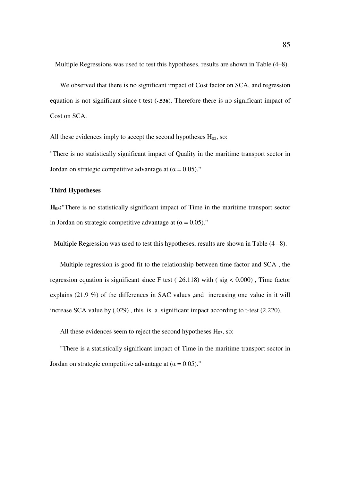Multiple Regressions was used to test this hypotheses, results are shown in Table (4–8).

We observed that there is no significant impact of Cost factor on SCA, and regression equation is not significant since t-test (**-.536**). Therefore there is no significant impact of Cost on SCA.

All these evidences imply to accept the second hypotheses  $H_{02}$ , so:

"There is no statistically significant impact of Quality in the maritime transport sector in Jordan on strategic competitive advantage at  $(\alpha = 0.05)$ ."

#### **Third Hypotheses**

**H03:**"There is no statistically significant impact of Time in the maritime transport sector in Jordan on strategic competitive advantage at ( $\alpha = 0.05$ )."

Multiple Regression was used to test this hypotheses, results are shown in Table (4 –8).

Multiple regression is good fit to the relationship between time factor and SCA , the regression equation is significant since F test ( $26.118$ ) with ( $sig < 0.000$ ), Time factor explains (21.9 %) of the differences in SAC values ,and increasing one value in it will increase SCA value by (.029) , this is a significant impact according to t-test (2.220).

All these evidences seem to reject the second hypotheses  $H_{03}$ , so:

"There is a statistically significant impact of Time in the maritime transport sector in Jordan on strategic competitive advantage at  $(\alpha = 0.05)$ ."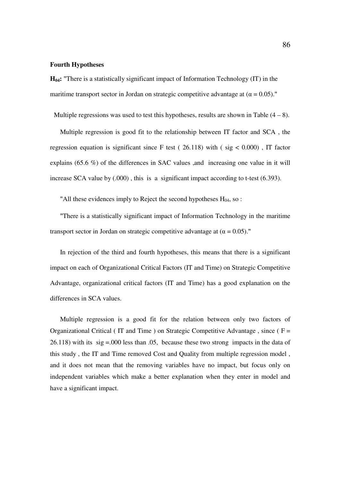#### **Fourth Hypotheses**

**H04:** "There is a statistically significant impact of Information Technology (IT) in the maritime transport sector in Jordan on strategic competitive advantage at ( $\alpha = 0.05$ )."

Multiple regressions was used to test this hypotheses, results are shown in Table  $(4 - 8)$ .

Multiple regression is good fit to the relationship between IT factor and SCA , the regression equation is significant since F test ( $26.118$ ) with ( $sig < 0.000$ ), IT factor explains (65.6 %) of the differences in SAC values ,and increasing one value in it will increase SCA value by (.000) , this is a significant impact according to t-test (6.393).

"All these evidences imply to Reject the second hypotheses  $H_{04}$ , so :

"There is a statistically significant impact of Information Technology in the maritime transport sector in Jordan on strategic competitive advantage at  $(\alpha = 0.05)$ ."

In rejection of the third and fourth hypotheses, this means that there is a significant impact on each of Organizational Critical Factors (IT and Time) on Strategic Competitive Advantage, organizational critical factors (IT and Time) has a good explanation on the differences in SCA values.

Multiple regression is a good fit for the relation between only two factors of Organizational Critical (IT and Time) on Strategic Competitive Advantage, since ( $F =$ 26.118) with its sig =.000 less than .05, because these two strong impacts in the data of this study , the IT and Time removed Cost and Quality from multiple regression model , and it does not mean that the removing variables have no impact, but focus only on independent variables which make a better explanation when they enter in model and have a significant impact.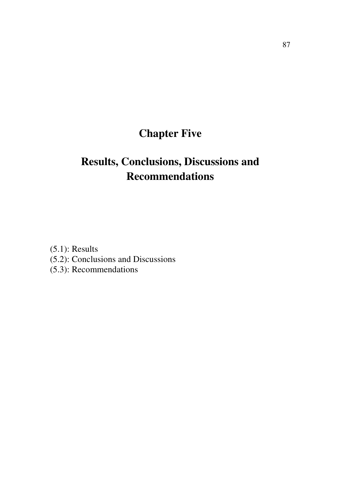# **Chapter Five**

# **Results, Conclusions, Discussions and Recommendations**

(5.1): Results (5.2): Conclusions and Discussions (5.3): Recommendations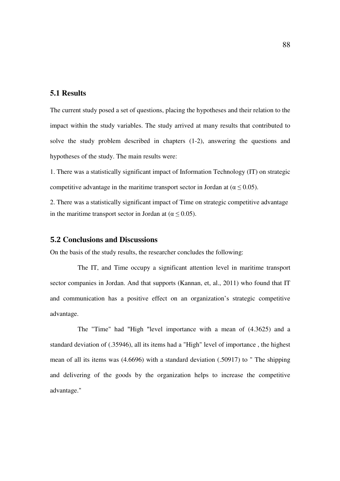# **5.1 Results**

The current study posed a set of questions, placing the hypotheses and their relation to the impact within the study variables. The study arrived at many results that contributed to solve the study problem described in chapters (1-2), answering the questions and hypotheses of the study. The main results were:

1. There was a statistically significant impact of Information Technology (IT) on strategic competitive advantage in the maritime transport sector in Jordan at ( $\alpha \le 0.05$ ).

2. There was a statistically significant impact of Time on strategic competitive advantage in the maritime transport sector in Jordan at ( $\alpha \leq 0.05$ ).

#### 5.2 **Conclusions and Discussions**

On the basis of the study results, the researcher concludes the following:

 The IT, and Time occupy a significant attention level in maritime transport sector companies in Jordan. And that supports (Kannan, et, al., 2011) who found that IT and communication has a positive effect on an organization's strategic competitive advantage.

 The "Time" had "High "level importance with a mean of (4.3625) and a standard deviation of (.35946), all its items had a "High" level of importance , the highest mean of all its items was (4.6696) with a standard deviation (.50917) to " The shipping and delivering of the goods by the organization helps to increase the competitive advantage."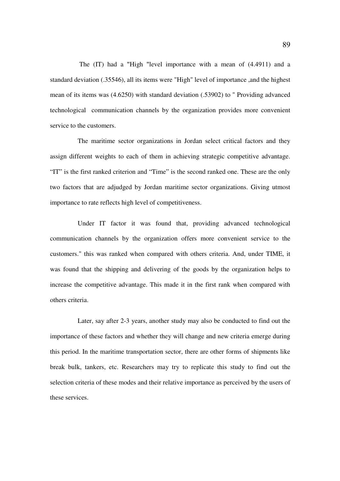The (IT) had a "High "level importance with a mean of (4.4911) and a standard deviation (.35546), all its items were "High" level of importance ,and the highest mean of its items was (4.6250) with standard deviation (.53902) to " Providing advanced technological communication channels by the organization provides more convenient service to the customers.

 The maritime sector organizations in Jordan select critical factors and they assign different weights to each of them in achieving strategic competitive advantage. "IT" is the first ranked criterion and "Time" is the second ranked one. These are the only two factors that are adjudged by Jordan maritime sector organizations. Giving utmost importance to rate reflects high level of competitiveness.

 Under IT factor it was found that, providing advanced technological communication channels by the organization offers more convenient service to the customers." this was ranked when compared with others criteria. And, under TIME, it was found that the shipping and delivering of the goods by the organization helps to increase the competitive advantage. This made it in the first rank when compared with others criteria.

 Later, say after 2-3 years, another study may also be conducted to find out the importance of these factors and whether they will change and new criteria emerge during this period. In the maritime transportation sector, there are other forms of shipments like break bulk, tankers, etc. Researchers may try to replicate this study to find out the selection criteria of these modes and their relative importance as perceived by the users of these services.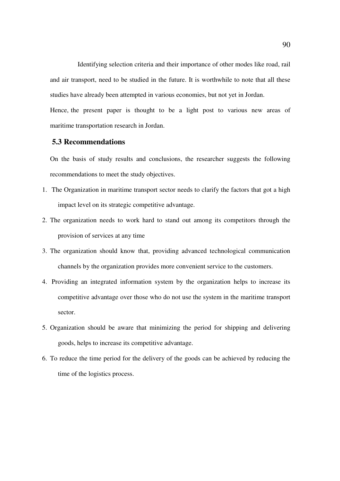Identifying selection criteria and their importance of other modes like road, rail and air transport, need to be studied in the future. It is worthwhile to note that all these studies have already been attempted in various economies, but not yet in Jordan.

Hence, the present paper is thought to be a light post to various new areas of maritime transportation research in Jordan.

## **5.3 Recommendations**

On the basis of study results and conclusions, the researcher suggests the following recommendations to meet the study objectives.

- 1. The Organization in maritime transport sector needs to clarify the factors that got a high impact level on its strategic competitive advantage.
- 2. The organization needs to work hard to stand out among its competitors through the provision of services at any time
- 3. The organization should know that, providing advanced technological communication channels by the organization provides more convenient service to the customers.
- 4. Providing an integrated information system by the organization helps to increase its competitive advantage over those who do not use the system in the maritime transport sector.
- 5. Organization should be aware that minimizing the period for shipping and delivering goods, helps to increase its competitive advantage.
- 6. To reduce the time period for the delivery of the goods can be achieved by reducing the time of the logistics process.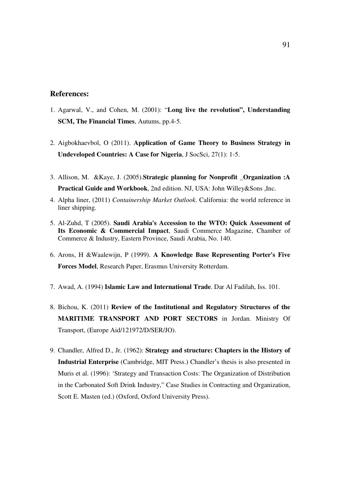## **References:**

- 1. Agarwal, V., and Cohen, M. (2001): "**Long live the revolution", Understanding SCM, The Financial Times**, Autums, pp.4-5.
- 2. Aigbokhaevbol, O (2011). **Application of Game Theory to Business Strategy in Undeveloped Countries: A Case for Nigeria**, J SocSci, 27(1): 1-5.
- 3. Allison, M. &Kaye, J. (2005).**Strategic planning for Nonprofit \_Organization** :**A Practical Guide and Workbook**, 2nd edition. NJ, USA: John Willey&Sons ,Inc.
- 4. Alpha liner, (2011) *Containership Market Outlook*. California: the world reference in liner shipping.
- 5. Al-Zuhd, T (2005). **Saudi Arabia's Accession to the WTO: Quick Assessment of Its Economic & Commercial Impact**, Saudi Commerce Magazine, Chamber of Commerce & Industry, Eastern Province, Saudi Arabia, No. 140.
- 6. Arons, H &Waalewijn, P (1999). **A Knowledge Base Representing Porter's Five Forces Model**, Research Paper, Erasmus University Rotterdam.
- 7. Awad, A. (1994) **Islamic Law and International Trade**. Dar Al Fadilah, Iss. 101.
- 8. Bichou, K. (2011) **Review of the Institutional and Regulatory Structures of the MARITIME TRANSPORT AND PORT SECTORS** in Jordan. Ministry Of Transport, (Europe Aid/121972/D/SER/JO).
- 9. Chandler, Alfred D., Jr. (1962): **Strategy and structure: Chapters in the History of Industrial Enterprise** (Cambridge, MIT Press.) Chandler's thesis is also presented in Muris et al. (1996): 'Strategy and Transaction Costs: The Organization of Distribution in the Carbonated Soft Drink Industry," Case Studies in Contracting and Organization, Scott E. Masten (ed.) (Oxford, Oxford University Press).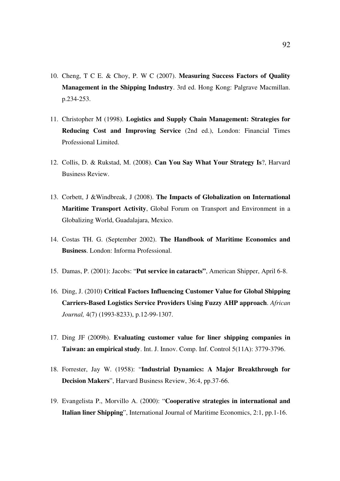- 10. Cheng, T C E. & Choy, P. W C (2007). **Measuring Success Factors of Quality Management in the Shipping Industry**. 3rd ed. Hong Kong: Palgrave Macmillan. p.234-253.
- 11. Christopher M (1998). **Logistics and Supply Chain Management: Strategies for Reducing Cost and Improving Service** (2nd ed.), London: Financial Times Professional Limited.
- 12. Collis, D. & Rukstad, M. (2008). **Can You Say What Your Strategy Is**?, Harvard Business Review.
- 13. Corbett, J &Windbreak, J (2008). **The Impacts of Globalization on International Maritime Transport Activity**, Global Forum on Transport and Environment in a Globalizing World, Guadalajara, Mexico.
- 14. Costas TH. G. (September 2002). **The Handbook of Maritime Economics and Business**. London: Informa Professional.
- 15. Damas, P. (2001): Jacobs: "**Put service in cataracts"**, American Shipper, April 6-8.
- 16. Ding, J. (2010) **Critical Factors Influencing Customer Value for Global Shipping Carriers-Based Logistics Service Providers Using Fuzzy AHP approach**. *African Journal,* 4(7) (1993-8233), p.12-99-1307.
- 17. Ding JF (2009b). **Evaluating customer value for liner shipping companies in Taiwan: an empirical study**. Int. J. Innov. Comp. Inf. Control 5(11A): 3779-3796.
- 18. Forrester, Jay W. (1958): "**Industrial Dynamics: A Major Breakthrough for Decision Makers**", Harvard Business Review, 36:4, pp.37-66.
- 19. Evangelista P., Morvillo A. (2000): "**Cooperative strategies in international and Italian liner Shipping**", International Journal of Maritime Economics, 2:1, pp.1-16.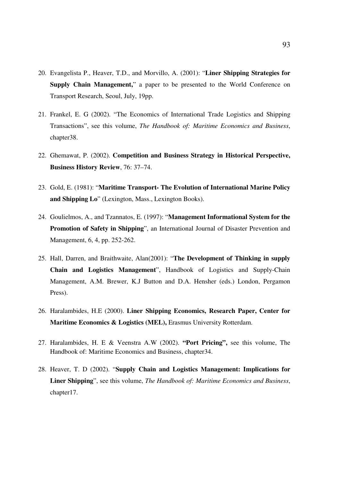- 20. Evangelista P., Heaver, T.D., and Morvillo, A. (2001): "**Liner Shipping Strategies for Supply Chain Management,**" a paper to be presented to the World Conference on Transport Research, Seoul, July, 19pp.
- 21. Frankel, E. G (2002). "The Economics of International Trade Logistics and Shipping Transactions", see this volume, *The Handbook of: Maritime Economics and Business*, chapter38.
- 22. Ghemawat, P. (2002). **Competition and Business Strategy in Historical Perspective, Business History Review**, 76: 37–74.
- 23. Gold, E. (1981): "**Maritime Transport- The Evolution of International Marine Policy and Shipping Lo**" (Lexington, Mass., Lexington Books).
- 24. Goulielmos, A., and Tzannatos, E. (1997): "**Management Informational System for the Promotion of Safety in Shipping**", an International Journal of Disaster Prevention and Management, 6, 4, pp. 252-262.
- 25. Hall, Darren, and Braithwaite, Alan(2001): "**The Development of Thinking in supply Chain and Logistics Management**", Handbook of Logistics and Supply-Chain Management, A.M. Brewer, K.J Button and D.A. Hensher (eds.) London, Pergamon Press).
- 26. Haralambides, H.E (2000). **Liner Shipping Economics, Research Paper, Center for Maritime Economics & Logistics (MEL),** Erasmus University Rotterdam.
- 27. Haralambides, H. E & Veenstra A.W (2002). **"Port Pricing",** see this volume, The Handbook of: Maritime Economics and Business, chapter34.
- 28. Heaver, T. D (2002). "**Supply Chain and Logistics Management: Implications for Liner Shipping**", see this volume, *The Handbook of: Maritime Economics and Business*, chapter17.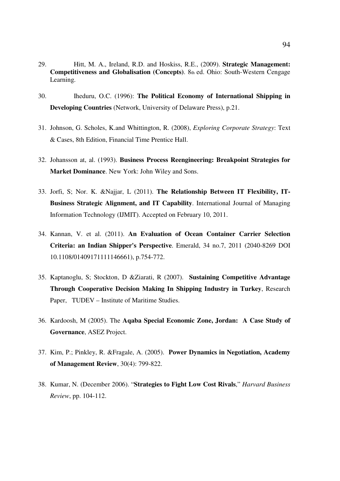- 29. Hitt, M. A., Ireland, R.D. and Hoskiss, R.E., (2009). **Strategic Management: Competitiveness and Globalisation (Concepts)**. 8th ed. Ohio: South-Western Cengage Learning.
- 30. Iheduru, O.C. (1996): **The Political Economy of International Shipping in Developing Countries** (Network, University of Delaware Press), p.21.
- 31. Johnson, G. Scholes, K.and Whittington, R. (2008), *Exploring Corporate Strategy*: Text & Cases, 8th Edition, Financial Time Prentice Hall.
- 32. Johansson at, al. (1993). **Business Process Reengineering: Breakpoint Strategies for Market Dominance**. New York: John Wiley and Sons.
- 33. Jorfi, S; Nor. K. &Najjar, L (2011). **The Relationship Between IT Flexibility, IT-Business Strategic Alignment, and IT Capability**. International Journal of Managing Information Technology (IJMIT). Accepted on February 10, 2011.
- 34. Kannan, V. et al. (2011). **An Evaluation of Ocean Container Carrier Selection Criteria: an Indian Shipper's Perspective**. Emerald, 34 no.7, 2011 (2040-8269 DOI 10.1108/01409171111146661), p.754-772.
- 35. Kaptanoglu, S; Stockton, D &Ziarati, R (2007). **Sustaining Competitive Advantage Through Cooperative Decision Making In Shipping Industry in Turkey**, Research Paper, TUDEV – Institute of Maritime Studies.
- 36. Kardoosh, M (2005). The **Aqaba Special Economic Zone, Jordan: A Case Study of Governance**, ASEZ Project.
- 37. Kim, P.; Pinkley, R. &Fragale, A. (2005). **Power Dynamics in Negotiation, Academy of Management Review**, 30(4): 799-822.
- 38. Kumar, N. (December 2006). "**Strategies to Fight Low Cost Rivals**," *Harvard Business Review*, pp. 104-112.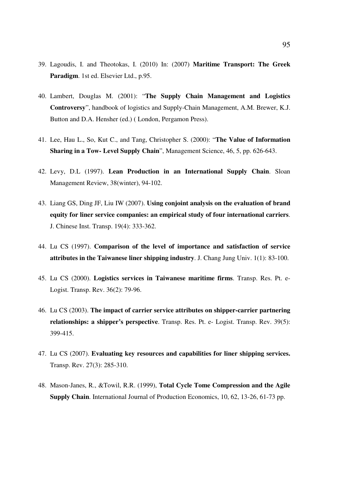- 39. Lagoudis, I. and Theotokas, I. (2010) In: (2007) **Maritime Transport: The Greek Paradigm**. 1st ed. Elsevier Ltd., p.95.
- 40. Lambert, Douglas M. (2001): "**The Supply Chain Management and Logistics Controversy**", handbook of logistics and Supply-Chain Management, A.M. Brewer, K.J. Button and D.A. Hensher (ed.) ( London, Pergamon Press).
- 41. Lee, Hau L., So, Kut C., and Tang, Christopher S. (2000): "**The Value of Information Sharing in a Tow- Level Supply Chain**", Management Science, 46, 5, pp. 626-643.
- 42. Levy, D.L (1997). **Lean Production in an International Supply Chain**. Sloan Management Review, 38(winter), 94-102.
- 43. Liang GS, Ding JF, Liu IW (2007). **Using conjoint analysis on the evaluation of brand equity for liner service companies: an empirical study of four international carriers**. J. Chinese Inst. Transp. 19(4): 333-362.
- 44. Lu CS (1997). **Comparison of the level of importance and satisfaction of service attributes in the Taiwanese liner shipping industry**. J. Chang Jung Univ. 1(1): 83-100.
- 45. Lu CS (2000). **Logistics services in Taiwanese maritime firms**. Transp. Res. Pt. e-Logist. Transp. Rev. 36(2): 79-96.
- 46. Lu CS (2003). **The impact of carrier service attributes on shipper-carrier partnering relationships: a shipper's perspective**. Transp. Res. Pt. e- Logist. Transp. Rev. 39(5): 399-415.
- 47. Lu CS (2007). **Evaluating key resources and capabilities for liner shipping services.** Transp. Rev. 27(3): 285-310.
- 48. Mason-Janes, R., &Towil, R.R. (1999), **Total Cycle Tome Compression and the Agile Supply Chain**. International Journal of Production Economics, 10, 62, 13-26, 61-73 pp.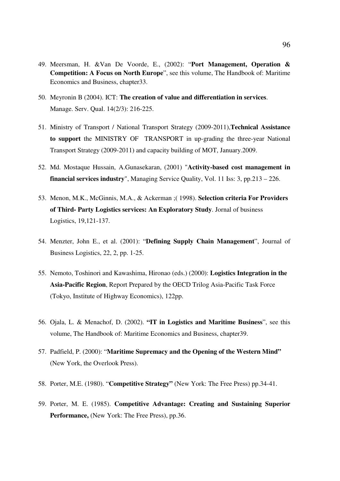- 49. Meersman, H. &Van De Voorde, E., (2002): "**Port Management, Operation & Competition: A Focus on North Europe**", see this volume, The Handbook of: Maritime Economics and Business, chapter33.
- 50. Meyronin B (2004). ICT: **The creation of value and differentiation in services**. Manage. Serv. Qual. 14(2/3): 216-225.
- 51. Ministry of Transport / National Transport Strategy (2009-2011),**Technical Assistance to support** the MINISTRY OF TRANSPORT in up-grading the three-year National Transport Strategy (2009-2011) and capacity building of MOT, January.2009.
- 52. Md. Mostaque Hussain, A.Gunasekaran, (2001) "**Activity-based cost management in financial services industry**", Managing Service Quality, Vol. 11 Iss: 3, pp.213 – 226.
- 53. Menon, M.K., McGinnis, M.A., & Ackerman ;( 1998). **Selection criteria For Providers of Third- Party Logistics services: An Exploratory Study**. Jornal of business Logistics, 19,121-137.
- 54. Menzter, John E., et al. (2001): "**Defining Supply Chain Management**", Journal of Business Logistics, 22, 2, pp. 1-25.
- 55. Nemoto, Toshinori and Kawashima, Hironao (eds.) (2000): **Logistics Integration in the Asia-Pacific Region**, Report Prepared by the OECD Trilog Asia-Pacific Task Force (Tokyo, Institute of Highway Economics), 122pp.
- 56. Ojala, L. & Menachof, D. (2002). **"IT in Logistics and Maritime Business**", see this volume, The Handbook of: Maritime Economics and Business, chapter39.
- 57. Padfield, P. (2000): "**Maritime Supremacy and the Opening of the Western Mind"** (New York, the Overlook Press).
- 58. Porter, M.E. (1980). "**Competitive Strategy"** (New York: The Free Press) pp.34-41.
- 59. Porter, M. E. (1985). **Competitive Advantage: Creating and Sustaining Superior Performance,** (New York: The Free Press), pp.36.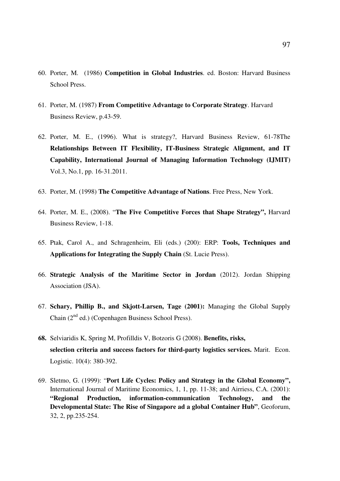- 60. Porter, M. (1986) **Competition in Global Industries**. ed. Boston: Harvard Business School Press.
- 61. Porter, M. (1987) **From Competitive Advantage to Corporate Strategy**. Harvard Business Review, p.43-59.
- 62. Porter, M. E., (1996). What is strategy?, Harvard Business Review, 61-78The **Relationships Between IT Flexibility, IT-Business Strategic Alignment, and IT Capability, International Journal of Managing Information Technology (IJMIT)** Vol.3, No.1, pp. 16-31.2011.
- 63. Porter, M. (1998) **The Competitive Advantage of Nations**. Free Press, New York.
- 64. Porter, M. E., (2008). "**The Five Competitive Forces that Shape Strategy",** Harvard Business Review, 1-18.
- 65. Ptak, Carol A., and Schragenheim, Eli (eds.) (200): ERP: **Tools, Techniques and Applications for Integrating the Supply Chain** (St. Lucie Press).
- 66. **Strategic Analysis of the Maritime Sector in Jordan** (2012). Jordan Shipping Association (JSA).
- 67. **Schary, Phillip B., and Skjott-Larsen, Tage (2001):** Managing the Global Supply Chain  $(2^{nd}$  ed.) (Copenhagen Business School Press).
- **68.** Selviaridis K, Spring M, Profilldis V, Botzoris G (2008). **Benefits, risks, selection criteria and success factors for third-party logistics services.** Marit. Econ. Logistic. 10(4): 380-392.
- 69. Sletmo, G. (1999): "**Port Life Cycles: Policy and Strategy in the Global Economy",**  International Journal of Maritime Economics, 1, 1, pp. 11-38; and Airriess, C.A. (2001): **"Regional Production, information-communication Technology, and the Developmental State: The Rise of Singapore ad a global Container Hub"**, Geoforum, 32, 2, pp.235-254.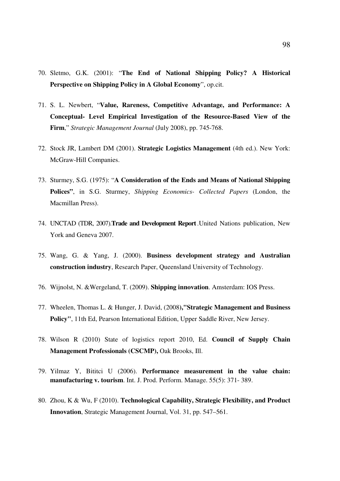- 70. Sletmo, G.K. (2001): "**The End of National Shipping Policy? A Historical Perspective on Shipping Policy in A Global Economy**", op.cit.
- 71. S. L. Newbert, "**Value, Rareness, Competitive Advantage, and Performance: A Conceptual- Level Empirical Investigation of the Resource-Based View of the Firm**," *Strategic Management Journal* (July 2008), pp. 745-768.
- 72. Stock JR, Lambert DM (2001). **Strategic Logistics Management** (4th ed.). New York: McGraw-Hill Companies.
- 73. Sturmey, S.G. (1975): "**A Consideration of the Ends and Means of National Shipping Polices"**, in S.G. Sturmey, *Shipping Economics- Collected Papers* (London, the Macmillan Press).
- 74. UNCTAD (TDR, 2007).**Trade and Development Report** .United Nations publication, New York and Geneva 2007.
- 75. Wang, G. & Yang, J. (2000). **Business development strategy and Australian construction industry**, Research Paper, Queensland University of Technology.
- 76. Wijnolst, N. &Wergeland, T. (2009). **Shipping innovation**. Amsterdam: IOS Press.
- 77. Wheelen, Thomas L. & Hunger, J. David, (2008**),"Strategic Management and Business Policy"**, 11th Ed, Pearson International Edition, Upper Saddle River, New Jersey.
- 78. Wilson R (2010) State of logistics report 2010, Ed. **Council of Supply Chain Management Professionals (CSCMP),** Oak Brooks, Ill.
- 79. Yilmaz Y, Bititci U (2006). **Performance measurement in the value chain: manufacturing v. tourism**. Int. J. Prod. Perform. Manage. 55(5): 371- 389.
- 80. Zhou, K & Wu, F (2010). **Technological Capability, Strategic Flexibility, and Product Innovation**, Strategic Management Journal, Vol. 31, pp. 547–561.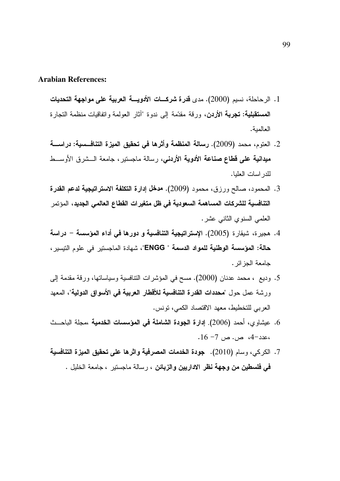#### **Arabian References:**

- 1. الرحاحلة، نسيم (2000). مدى قدرة شركـــات الأدويــــة العربية على مواجهة التحديات **المستقبلية: تجربة الأردن،** ورقة مقدّمة إلى ندوة "أثار العولمة واتفاقيات منظمة النجارة العالمية.
- 2. العتوم، محمد (2009). رسالة المنظمة وأثرها في تحقيق الميزة التنافسية: دراســــة ميدانية على قطاع صناعة الأدوية الأردنبي، رسالة ماجستير ، جامعة الـــشرق الأوســـط للدر اسات العلبا.
- 3. المحمود، صالح ورزق، محمود (2009). هدخل إدارة التكلفة الاستراتيجية لدعم القدرة التنافسية للشركات المساهمة السعودية في ظل متغيرات القطاع العالمي الجديد، المؤتمر العلمي السنوي الثاني عشر.
- 4. هجيرة، شيقارة (2005). الإستراتيجية التنافسية و دورها في أداء المؤسسة دراسة حالة: المؤسسة الوطنية للمواد الدسمة " ENGG"، شهادة الماجستبر في علوم التبسير ، جامعة الجز ائر .
- 5. وديع ، محمد عدنان (2000). مسح في المؤشرات النتافسية وسياساتها، ورقة مقدمة إلى ورشة عمل حول "**محددات القدرة التنافسية للأقطار العربية في الأسواق الدولية**"، المعهد العربي للتخطيط، معهد الاقتصاد الكمي، نونس.
- 6. عيشاو ي، أحمد (2006). إدارة الجودة الشاملة في المؤسسات الخدمية ،مجلة الباحــث  $-16 - 7$  ص. ص 7- 16.
- 7. الكركي، وسام (2010). جودة الخدمات المصرفية واثرها على تحقيق الميزة التنافسية في فلسطين من وجهة نظر الاداريين والزبائن ، رسالة ماجستير ، جامعة الخليل .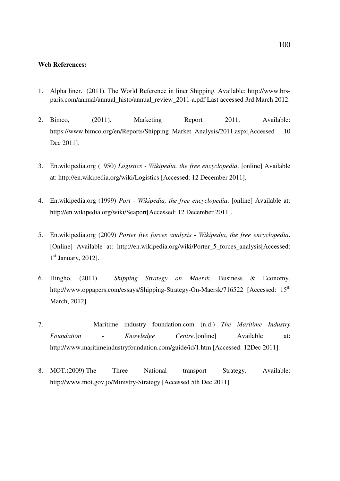#### **Web References:**

- 1. Alpha liner. (2011). The World Reference in liner Shipping. Available: http://www.brsparis.com/annual/annual\_histo/annual\_review\_2011-a.pdf Last accessed 3rd March 2012.
- 2. Bimco, (2011). Marketing Report 2011. Available: https://www.bimco.org/en/Reports/Shipping\_Market\_Analysis/2011.aspx[Accessed 10 Dec 2011].
- 3. En.wikipedia.org (1950) *Logistics Wikipedia, the free encyclopedia*. [online] Available at: http://en.wikipedia.org/wiki/Logistics [Accessed: 12 December 2011].
- 4. En.wikipedia.org (1999) *Port Wikipedia, the free encyclopedia*. [online] Available at: http://en.wikipedia.org/wiki/Seaport[Accessed: 12 December 2011].
- 5. En.wikipedia.org (2009) *Porter five forces analysis Wikipedia, the free encyclopedia*. [Online] Available at: http://en.wikipedia.org/wiki/Porter\_5\_forces\_analysis[Accessed: 1<sup>st</sup> January, 2012].
- 6. Hingho, (2011). *Shipping Strategy on Maersk*. Business & Economy. http://www.oppapers.com/essays/Shipping-Strategy-On-Maersk/716522 [Accessed: 15<sup>th</sup> March, 2012].
- 7. Maritime industry foundation.com (n.d.) *The Maritime Industry Foundation - Knowledge Centre.*[online] Available at: http://www.maritimeindustryfoundation.com/guide/id/1.htm [Accessed: 12Dec 2011].
- 8. MOT.(2009).The Three National transport Strategy. Available: http://www.mot.gov.jo/Ministry-Strategy [Accessed 5th Dec 2011].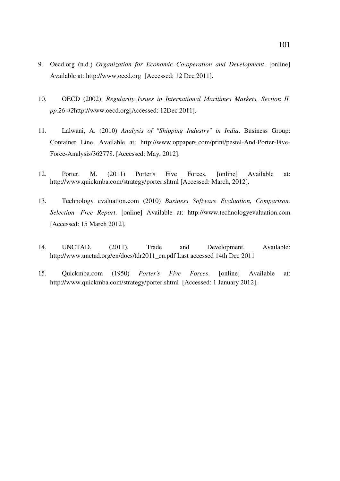- 9. Oecd.org (n.d.) *Organization for Economic Co-operation and Development*. [online] Available at: http://www.oecd.org [Accessed: 12 Dec 2011].
- 10. OECD (2002): *Regularity Issues in International Maritimes Markets, Section II, pp.26-42*http://www.oecd.org[Accessed: 12Dec 2011].
- 11. Lalwani, A. (2010) *Analysis of "Shipping Industry" in India*. Business Group: Container Line. Available at: http://www.oppapers.com/print/pestel-And-Porter-Five-Force-Analysis/362778. [Accessed: May, 2012].
- 12. Porter, M. (2011) Porter's Five Forces. [online] Available at: http://www.quickmba.com/strategy/porter.shtml [Accessed: March, 2012].
- 13. Technology evaluation.com (2010) *Business Software Evaluation, Comparison, Selection—Free Report*. [online] Available at: http://www.technologyevaluation.com [Accessed: 15 March 2012].
- 14. UNCTAD. (2011). Trade and Development. Available: http://www.unctad.org/en/docs/tdr2011\_en.pdf Last accessed 14th Dec 2011
- 15. Quickmba.com (1950) *Porter's Five Forces*. [online] Available at: http://www.quickmba.com/strategy/porter.shtml [Accessed: 1 January 2012].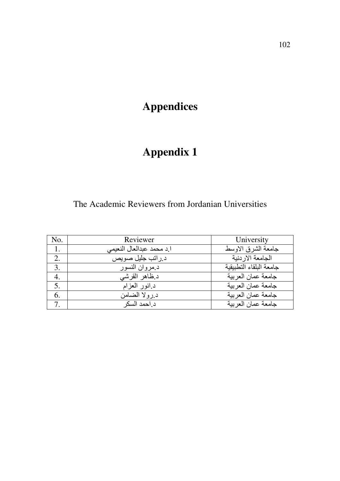# **Appendices**

# **Appendix 1**

## The Academic Reviewers from Jordanian Universities

| No. | Reviewer                  | University              |
|-----|---------------------------|-------------------------|
| 1.  | ا د محمد عبدالعال النعیمی | جامعة الشرق الاوسط      |
| 2.  | د راتب جليل صويص          | الجامعة الار دنبة       |
| 3.  | د مروان النسور            | جامعة البلقاء التطبيقية |
| 4.  | د ظاهر القرشي             | جامعة عمان العر بية     |
| 5.  | د انور العزام             | جامعة عمان العر بية     |
| 6.  | د رولا الضامن             | جامعة عمان العربية      |
| 7.  | د احمد السكر              | جامعة عمان العر بية     |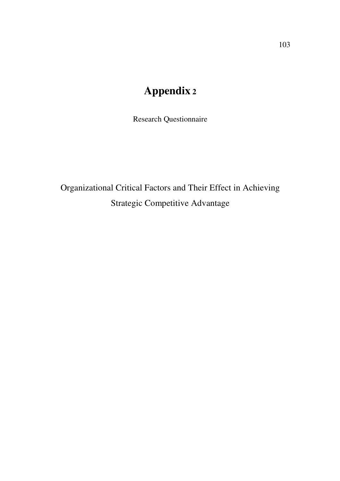# **Appendix 2**

Research Questionnaire

Organizational Critical Factors and Their Effect in Achieving Strategic Competitive Advantage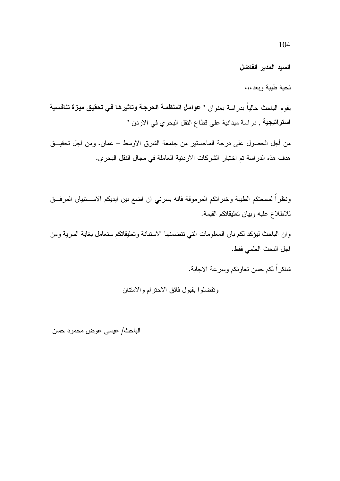السبد المدير الفاضل

تحبة طببة وبعد،،،

بقوم الباحث حالياً بدر اسة بعنو ان " عوامل المنظمـة الحرجـة وتـاثيرهـا فـي تحقيق ميـزة تنـافسيـة ا**ستراتيجية** , در اسة ميدانية على قطاع النقل البحري في الاردن "

من أجل الحصول على درجة الماجستير من جامعة الشرق الاوسط – عمان، ومن اجل تحقيــق هدف هذه الدراسة تم اختيار الشركات الاردنية العاملة في مجال النقل البحري.

ونظراً لسمعتكم الطيبة وخبراتكم المرموقة فانه يسرني ان اضع بين ايديكم الاســـتبيان المرفــق للاطلاع عليه وبيان تعليقاتكم القيمة.

وان الباحث لبؤكد لكم بان المعلومات التي نتضمنها الاستبانة وتعليقاتكم ستعامل بغاية السرية ومن اجل البحث العلمي فقط.

شاكراً لكم حسن تعاونكم وسرعة الاجابة.

وتفضلوا بقبول فائق الاحترام والامتتان

الباحث/ عيسى عوض محمود حسن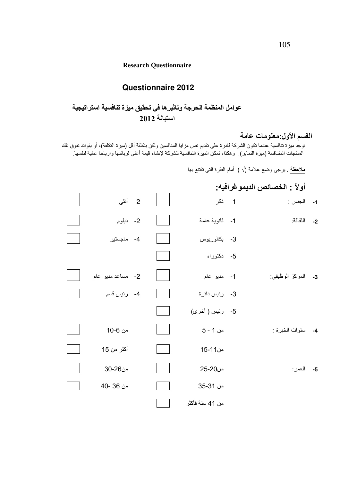#### **Research Questionnaire**

### **Questionnaire 2012**

## عوامل المنظمة الحرجة وتاثيرها في تحقيق ميزة تنافسية استراتيجية استبانية 2012

## القسم الأول:معلومات عامة

توجد ميزة تنافسية عندما تكون الشركة قادرة على تقديم نفس مزايا المنافسين ولكن بتكلفة أقل (ميزة التكلفة)، أو بفوائد تفوق تلك المنتجات المتنافسة (ميزة التمايز) وهكذا، تمكن الميزة التنافسية للشركة لإنشاء قيمة أعلى لزبائنها وارباحا عالية لنفسها

<mark>ملاحظة</mark> : يرجى وضع علامة (√ ) أمام الفقرة التي تقتنع بها

## أولاً : الخصائص الديمو غرافيه:

| 2- أنثى           |  | 1- ذکر          | الجنس :            | $-1$ |
|-------------------|--|-----------------|--------------------|------|
| 2- دبلوم          |  | 1- ثانوية عامة  | 2- النقافة:        |      |
| 4- ماجستير        |  | 3- بكالوريوس    |                    |      |
|                   |  | 5- دکتوراه      |                    |      |
| 2- مساعد مدیر عام |  | 1- مدير عام     | 3- المركز الوظيفي: |      |
| 4- رئيس قسم       |  | 3- رئيس دائرة   |                    |      |
|                   |  | 5- رئيس ( أخرى) |                    |      |
| من 6-10           |  | من 1 - 5        | 4- سنوات الخبرة :  |      |
| أكثر من 15        |  | من11-15         |                    |      |
| من26-30           |  | من20-25         | 5- العمر:          |      |
| من 36 -40         |  | من 31-35        |                    |      |
|                   |  | من 41 سنة فأكثر |                    |      |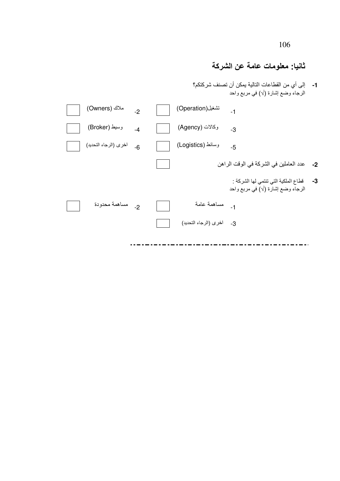106

# ثانيا: معلومات عامة عن الشركة

1- إلى أي من القطاعات النالية يمكن أن تصنف شركتكم؟<br>الرجاء وضع إشارة (√) في مربع واحد

| ملاك (Owners)         | $-2$ | تشغيل(Operation)         | $-1$                                                                                |  |
|-----------------------|------|--------------------------|-------------------------------------------------------------------------------------|--|
| وسيط (Broker)         | $-4$ | وكالات (Agency)          | -3                                                                                  |  |
| اخرى (الرجاء التحديد) | $-6$ | وسائط (Logistics)        | $-5$                                                                                |  |
|                       |      |                          | 2- عدد العاملين في الشركة في الوقت الراهن                                           |  |
|                       |      |                          | 3-        فطاع الملكية التي تنتمي لها الشركة :<br>الرجاء وضع إشارة (√) في مربع واحد |  |
| 2- مساهمة محدودة      |      | 1- مساهمة عامة           |                                                                                     |  |
|                       |      | 3- اخرى (الرجاء التحديد) |                                                                                     |  |
|                       |      |                          |                                                                                     |  |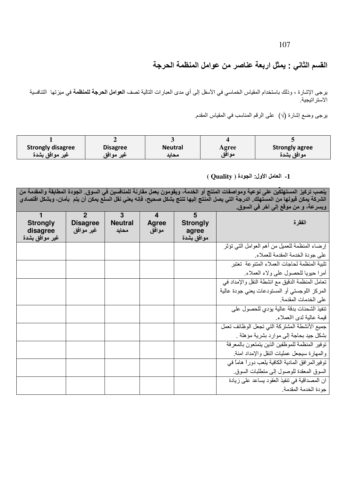107

القسم الثاني : يمثل اربعة عناصر من عوامل المنظمة الحرجة

يرجى الإشارة ، وذلك باستخدام المقياس الخماسي في الأسفل إلى أي مدى العبارات التالية تصف ا**لعوامل الحرجة للمنظمة** في ميزتها التنافسية الاستر اتيجية

يرجى وضع إشارة (√) على الرقم المناسب في المقياس المقدم.

| <b>Strongly disagree</b> | <b>Disagree</b> | <b>Neutral</b> | Agree | <b>Strongly agree</b> |
|--------------------------|-----------------|----------------|-------|-----------------------|
| ُ غير موافق بشدة         | ِ غیر موافق     | محائد          | موافق | موافق بشدة            |

#### 1- العامل الأول: الجودة ( Quality )

ينصب تركيز المستهلكين على نوعية ومواصفات المنتج أو الخدمة، ويقومون بعمل مقارنة للمنافسين في السوق. الجودة المطابقة والمقدمة من الشركة يمكن قبولها من المستهلك. الدرجة التي يصل المنتج إليها تنتج بشكل صحيح، فإنه يعني نقل السلّع يمكن أن يتم بأمان، وبشكل اقتصادي وبسرعة، و من موقع إلى آخر في السوق.

| <b>Strongly</b><br>disagree<br>غير موافق بشدة | $\mathbf 2$<br><b>Disagree</b><br>غير موافق | 3<br><b>Neutral</b><br>محايد | 4<br>Agree<br>موافق | 5<br><b>Strongly</b><br>agree<br>موافق بشدة | الفقرة                                             |
|-----------------------------------------------|---------------------------------------------|------------------------------|---------------------|---------------------------------------------|----------------------------------------------------|
|                                               |                                             |                              |                     |                                             | إرضاء المنظمة للعميل من أهم العوامل التي نؤثر      |
|                                               |                                             |                              |                     |                                             | على جودة الخدمة المقدمة للعملاء.                   |
|                                               |                                             |                              |                     |                                             | تلبية المنظمة لحاجات العملاء المتنوعة تعتبر        |
|                                               |                                             |                              |                     |                                             | أمرا حيويا للحصول على ولاء العملاء.                |
|                                               |                                             |                              |                     |                                             | تعامل المنظمة الدقيق مع انشطة النقل والإمداد في    |
|                                               |                                             |                              |                     |                                             | المركز اللوجستي أو المستودعات يعني جودة عالية      |
|                                               |                                             |                              |                     |                                             | على الخدمات المقدمة                                |
|                                               |                                             |                              |                     |                                             | تنفيذ الشحنات بدقة عالية يؤدى للحصول على           |
|                                               |                                             |                              |                     |                                             | قيمة عالية لدى االعملاء                            |
|                                               |                                             |                              |                     |                                             | جميع الأنشطة المشتركة التي تجعل الوظائف تعمل       |
|                                               |                                             |                              |                     |                                             | بشكل جيد بحاجة إلى موارد بشرية مؤهلة .             |
|                                               |                                             |                              |                     |                                             | توفير المنظمة للموظفين الذين يتمتعون بالمعرفة      |
|                                               |                                             |                              |                     |                                             | والمهارة سبجعل عمليات النقل والإمداد امنة          |
|                                               |                                             |                              |                     |                                             | توفير المر افق المادية الكافية يلعب دوراً هاماً في |
|                                               |                                             |                              |                     |                                             | السوق المعقدة للوصول إلى منطلبات السوق             |
|                                               |                                             |                              |                     |                                             | ان المصداقية في تنفيذ العقود بساعد على زيادة       |
|                                               |                                             |                              |                     |                                             | جودة الخدمة المقدمة                                |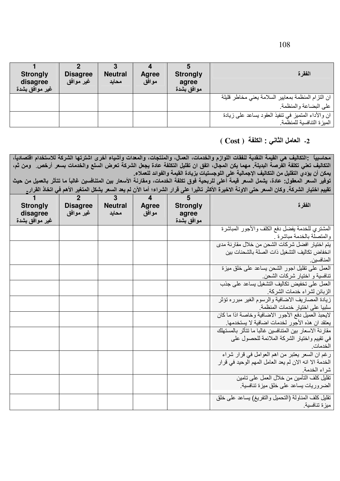|  | ×<br>۰.<br>٠ |
|--|--------------|
|--|--------------|

| <b>Strongly</b><br>disagree<br>غير موافق بشدة | <b>Disagree</b><br>غير موافق | <b>Neutral</b><br>محايد | Agree<br>موافق | <b>Strongly</b><br>agree<br>موافق بشدة | الفقرة                                              |
|-----------------------------------------------|------------------------------|-------------------------|----------------|----------------------------------------|-----------------------------------------------------|
|                                               |                              |                         |                |                                        | ان التزام المنظمة بمعايير السلامة يعني مخاطر قليلة  |
|                                               |                              |                         |                |                                        | على البضاعة والمنظمة                                |
|                                               |                              |                         |                |                                        | ان والأداء المتميز في تنفيذ العقود بساعد علمي زيادة |
|                                               |                              |                         |                |                                        | ا الميز ة التنافسية للمنظمة.                        |

#### 2- العامل الثاني : الكلفة ( Cost )

محاسبياً :التكاليف هي القيمة النقدية لنفقات اللوازم والخدمات، العمال، والمنتجات، والمعدات وأشياء أخرى اشترتها الشركة للاستخدام اقتصادياً، التكاليف تعني تكلفة الفّرصة البديلة. مهما يكن المجال، اتفق ان تقليل التكلفة عادة يجعل الشركة تعرض السلع والخدمات بسعر أرخص ومن ثم، يمكن أن يؤدي التقليل من التكاليف الإجمالية على اللوجستيات بزيادة القيمة والفوائد للعملاء. تُوفير السعر المعقول: عادة، يشمل السعر قيمة أعلى للربحية فوق تكلفة الخدمات، ومقارنة الأسعار بين المتنافسين غالباً ما تتأثر بالعميل من حيث

تقييم اختيار الشركة. وكان السعر حتى الاونة الاخيرة الأكثر تاثيرا على قرار الشراء؛ أما الآن لم يعد السعر يشكل المتغير الأهم في اتخاذ القرار.

| الفقرة                                                                                                    | 5<br><b>Strongly</b><br>agree<br>موافق بشدة | $\overline{\mathbf{4}}$<br><b>Agree</b><br>موافق | $\overline{3}$<br><b>Neutral</b><br>محايد | $\overline{2}$<br><b>Disagree</b><br>غير موافق | <b>Strongly</b><br>disagree<br>غير موافق بشدة |
|-----------------------------------------------------------------------------------------------------------|---------------------------------------------|--------------------------------------------------|-------------------------------------------|------------------------------------------------|-----------------------------------------------|
| المشتري للخدمة يفضل دفع الكلف والأجور المباشرة                                                            |                                             |                                                  |                                           |                                                |                                               |
| والمتصلة بالخدمة مباشرة .                                                                                 |                                             |                                                  |                                           |                                                |                                               |
| يتم اختيار افضل شركات الشحن من خلال مقارنة مدى                                                            |                                             |                                                  |                                           |                                                |                                               |
| انخفاض تكاليف التشغيل ذات الصلة بالشحنات بين                                                              |                                             |                                                  |                                           |                                                |                                               |
| المنافسين                                                                                                 |                                             |                                                  |                                           |                                                |                                               |
| العمل على نقليل اجور الشحن بساعد على خلق ميزة                                                             |                                             |                                                  |                                           |                                                |                                               |
| تنافسية و اختيار شركات الشحن                                                                              |                                             |                                                  |                                           |                                                |                                               |
| العمل على تخفيض تكاليف التشغيل يساعد على جذب                                                              |                                             |                                                  |                                           |                                                |                                               |
| الزبائن لشراء خدمات الشركة                                                                                |                                             |                                                  |                                           |                                                |                                               |
| زيادة المصاريف الاضافية والرسوم الغير مبرره تؤثر                                                          |                                             |                                                  |                                           |                                                |                                               |
| سلبيا على اختيار خدمات المنظمة                                                                            |                                             |                                                  |                                           |                                                |                                               |
| لايحبذ العميل دفع الأجور الاضافية وخاصة اذا ما كان                                                        |                                             |                                                  |                                           |                                                |                                               |
| يعتقد ان هذه الأجور لخدمات اضافية لا يستخدمها.<br>مقار نة الاسعار بين المتنافسين غالبا ما تتأثر بالمستهلك |                                             |                                                  |                                           |                                                |                                               |
| في تقييم واختيار الشركة الملائمة للحصول على                                                               |                                             |                                                  |                                           |                                                |                                               |
| الخدمات                                                                                                   |                                             |                                                  |                                           |                                                |                                               |
|                                                                                                           |                                             |                                                  |                                           |                                                |                                               |
| رغم ان السعر يعتبر من اهم العوامل في قرار شراء<br>الخدمة الا انه الان لم يعد العامل المهم الوحيد في قرار  |                                             |                                                  |                                           |                                                |                                               |
| شراء الخدمة                                                                                               |                                             |                                                  |                                           |                                                |                                               |
| تقليل كلف التأمين من خلال العمل على تامين                                                                 |                                             |                                                  |                                           |                                                |                                               |
| الضروريات يساعد على خلق ميزة تنافسية                                                                      |                                             |                                                  |                                           |                                                |                                               |
|                                                                                                           |                                             |                                                  |                                           |                                                |                                               |
| تقليل كلف المناولة (النحميل والنفريغ) بساعد على خلق                                                       |                                             |                                                  |                                           |                                                |                                               |
| ميزة تنافسية.                                                                                             |                                             |                                                  |                                           |                                                |                                               |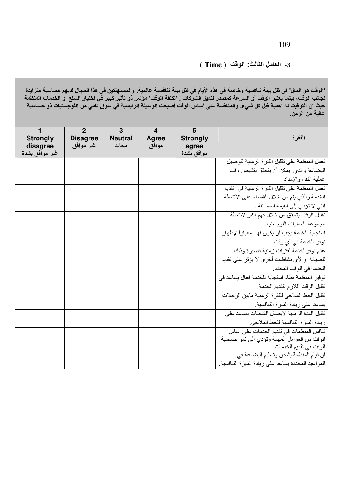### 3- العامل الثالث: الوقت ( Time )

"الوقت هو المال" في ظل بيئة تنافسية وخاصة في هذه الأيام في ظل بيئة تنافسية عالمية<sub>.</sub> والمستهلكين في هذا المجال لديهم حساسية متزايدة<br>لجانب الوقت، بينما يعتبر الوقت أو السرعة كمصدر لتميز الشركات <sub>-</sub> "تكلفة الوقت" موشر ذو تأ عالية من الزمن.

| $\mathbf{1}$<br><b>Strongly</b><br>disagree<br>غير موافق بشدة | $\overline{2}$<br><b>Disagree</b><br>غير موافق | $\overline{3}$<br><b>Neutral</b><br>محايد | $\overline{\mathbf{4}}$<br>Agree<br>موافق | 5<br><b>Strongly</b><br>agree<br>موافق بشدة | الفقرة                                             |
|---------------------------------------------------------------|------------------------------------------------|-------------------------------------------|-------------------------------------------|---------------------------------------------|----------------------------------------------------|
|                                                               |                                                |                                           |                                           |                                             | تعمل المنظمة على تقليل الفترة الزمنية لتوصيل       |
|                                                               |                                                |                                           |                                           |                                             | البضاعة والذي يمكن أن يتحقق بتقليص وقت             |
|                                                               |                                                |                                           |                                           |                                             | عملية النقل والإمداد                               |
|                                                               |                                                |                                           |                                           |                                             | تعمل المنظمة على تقليل الفترة الزمنية في تقديم     |
|                                                               |                                                |                                           |                                           |                                             | الخدمة والذي يتم من خلال القضاء على الأنشطة        |
|                                                               |                                                |                                           |                                           |                                             | التي لا تؤدي إلى القيمة المضافة .                  |
|                                                               |                                                |                                           |                                           |                                             | تقليل الوقت يتحقق من خلال فهم أكبر لأنشطة          |
|                                                               |                                                |                                           |                                           |                                             | مجموعة العمليات اللوجستية                          |
|                                                               |                                                |                                           |                                           |                                             | استجابة الخدمة يجب أن يكون لها ٍ معيار ًا لإظهار   |
|                                                               |                                                |                                           |                                           |                                             | توفر الخدمة في أي وقت .                            |
|                                                               |                                                |                                           |                                           |                                             | عدم توفر الخدمة لفترات زمنية قصيرة وذلك            |
|                                                               |                                                |                                           |                                           |                                             | للصيانة او لأي نشاطات أخرى لا يؤثر على تقديم       |
|                                                               |                                                |                                           |                                           |                                             | الخدمة في الوقت المحدد.                            |
|                                                               |                                                |                                           |                                           |                                             | توفير المنظمة نظام استجابة للخدمة فعال يساعد في    |
|                                                               |                                                |                                           |                                           |                                             | تقليل الوقت اللازم لتقديم الخدمة                   |
|                                                               |                                                |                                           |                                           |                                             | تقليل الخط الملاحي للفترة الزمنية مابين الرحلات    |
|                                                               |                                                |                                           |                                           |                                             | يساعد على زيادة الميزة التنافسية                   |
|                                                               |                                                |                                           |                                           |                                             | تقليل المدة الزمنية لايصال الشحنات يساعد على       |
|                                                               |                                                |                                           |                                           |                                             | زيادة الميزة التنافسية للخط الملاحي.               |
|                                                               |                                                |                                           |                                           |                                             | تنافس المنظمات في تقديم الخدمات على اساس           |
|                                                               |                                                |                                           |                                           |                                             | الوقت من العوامل المهمة وتؤدي الىي نمو حساسية      |
|                                                               |                                                |                                           |                                           |                                             | الوقت في تقديم الخدمات                             |
|                                                               |                                                |                                           |                                           |                                             | ان قيام المنظمة بشحن وتسليم البضاعة في             |
|                                                               |                                                |                                           |                                           |                                             | المواعيد المحددة يساعد على زيادة الميزة التنافسية. |

109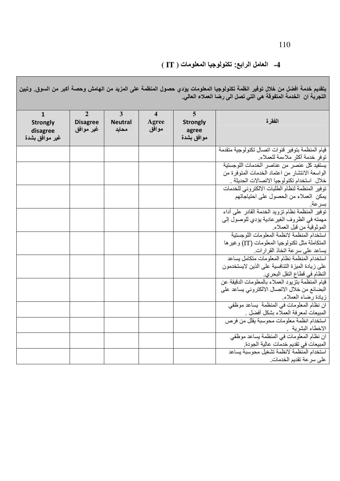### 4- العامل الرابع: تكنولوجيا المعلومات ( IT )

بتقديم خدمة افضل من خلال توفير انظمة تكنولوجيا المعلومات يؤدي حصول المنظمة على المزيد من الهامش وحصة أكبر من السوق. وتبين<br>التجربة ان الخدمة المتفوقة هي التي تصل الى رضا العملاء العالي.

| $\mathbf{1}$<br><b>Strongly</b><br>disagree<br>غير موافق بشدة | $\overline{2}$<br><b>Disagree</b><br>غير موافق | $\overline{3}$<br><b>Neutral</b><br>محايد | $\overline{\mathbf{4}}$<br>Agree<br>موافق | $\overline{5}$<br><b>Strongly</b><br>agree<br>موافق بشدة | الفقرة                                                                                       |
|---------------------------------------------------------------|------------------------------------------------|-------------------------------------------|-------------------------------------------|----------------------------------------------------------|----------------------------------------------------------------------------------------------|
|                                                               |                                                |                                           |                                           |                                                          | قيام المنظمة بتوفير قنوات اتصال تكنولوجية متقدمة                                             |
|                                                               |                                                |                                           |                                           |                                                          | توفر خدمة أكثر ملاءمة للعملاء                                                                |
|                                                               |                                                |                                           |                                           |                                                          | يستفيد كل عنصر من عناصر الخدمات اللوجستية                                                    |
|                                                               |                                                |                                           |                                           |                                                          | الواسعة الانتشار من اعتماد الخدمات المتوفرة من<br>خلال استخدام تكنولوجيا الاتصالات الحديثة . |
|                                                               |                                                |                                           |                                           |                                                          | توفير المنظمة لنظام الطلبات الالكتروني للخدمات                                               |
|                                                               |                                                |                                           |                                           |                                                          | يمكن العملاء من الحصول على احتياجاتهم                                                        |
|                                                               |                                                |                                           |                                           |                                                          |                                                                                              |
|                                                               |                                                |                                           |                                           |                                                          | بسرعة.<br>توفير المنظمة نظام تزويد الخدمة القادر على أداء                                    |
|                                                               |                                                |                                           |                                           |                                                          | مهمته في الظروف الغير عادية يؤدي للوصول إلى                                                  |
|                                                               |                                                |                                           |                                           |                                                          | الموثوقية من قبل العملاء                                                                     |
|                                                               |                                                |                                           |                                           |                                                          | استخدام المنظمة لانظمة المعلومات اللوجستية                                                   |
|                                                               |                                                |                                           |                                           |                                                          | المتكاملة مثل تكنولوجيا المعلومات (IT) وغير ها                                               |
|                                                               |                                                |                                           |                                           |                                                          | يساعد على سرعة اتخاذ القرارات.                                                               |
|                                                               |                                                |                                           |                                           |                                                          | استخدام المنظمة نظام المعلومات متكامل يساعد                                                  |
|                                                               |                                                |                                           |                                           |                                                          | على زيادة الميزة التنافسية على الذين لايستخدمون                                              |
|                                                               |                                                |                                           |                                           |                                                          | النظام في قطاع النقل البحري.                                                                 |
|                                                               |                                                |                                           |                                           |                                                          | قيام المنظمة بتزيود العملاء بالمعلومات الدقيقة عن                                            |
|                                                               |                                                |                                           |                                           |                                                          | البضائع من خلال الاتصال الالكتروني يساعد على                                                 |
|                                                               |                                                |                                           |                                           |                                                          | زيادة رضاء العملاء                                                                           |
|                                                               |                                                |                                           |                                           |                                                          | ان نظام المعلومات في المنظمة يساعد موظفى                                                     |
|                                                               |                                                |                                           |                                           |                                                          | المبيعات لمعرفة العملاء بشكل أفضل .                                                          |
|                                                               |                                                |                                           |                                           |                                                          | استخدام انظمة معلومات محوسبة يقلل من فرص                                                     |
|                                                               |                                                |                                           |                                           |                                                          | الاخطاء البشرية<br>ان نظام المعلومات في المنظمة بساعد موظفي                                  |
|                                                               |                                                |                                           |                                           |                                                          | المبيعات في تقديم خدمات عالية الجودة.                                                        |
|                                                               |                                                |                                           |                                           |                                                          | استخدام المنظمة لانظمة تشغيل محوسبة يساعد                                                    |
|                                                               |                                                |                                           |                                           |                                                          | على سرعة تقديم الخدمات                                                                       |
|                                                               |                                                |                                           |                                           |                                                          |                                                                                              |